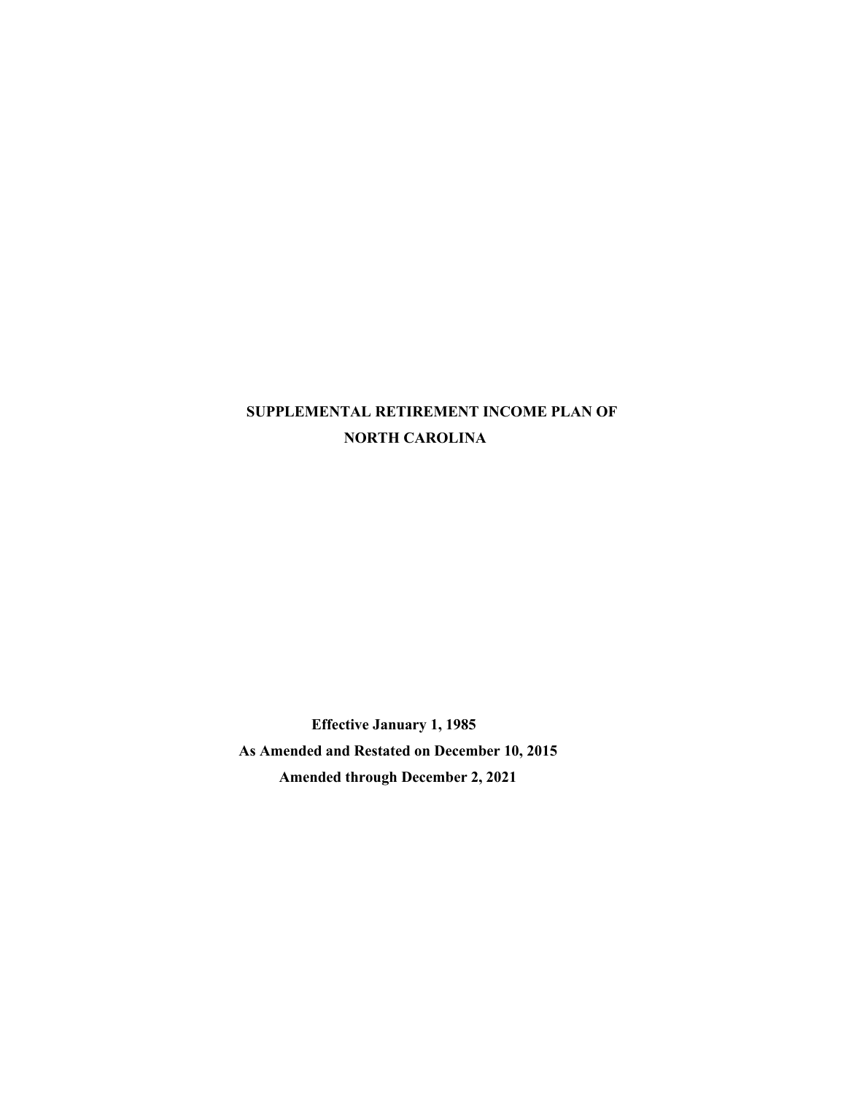# **SUPPLEMENTAL RETIREMENT INCOME PLAN OF NORTH CAROLINA**

**Effective January 1, 1985 As Amended and Restated on December 10, 2015 Amended through December 2, 2021**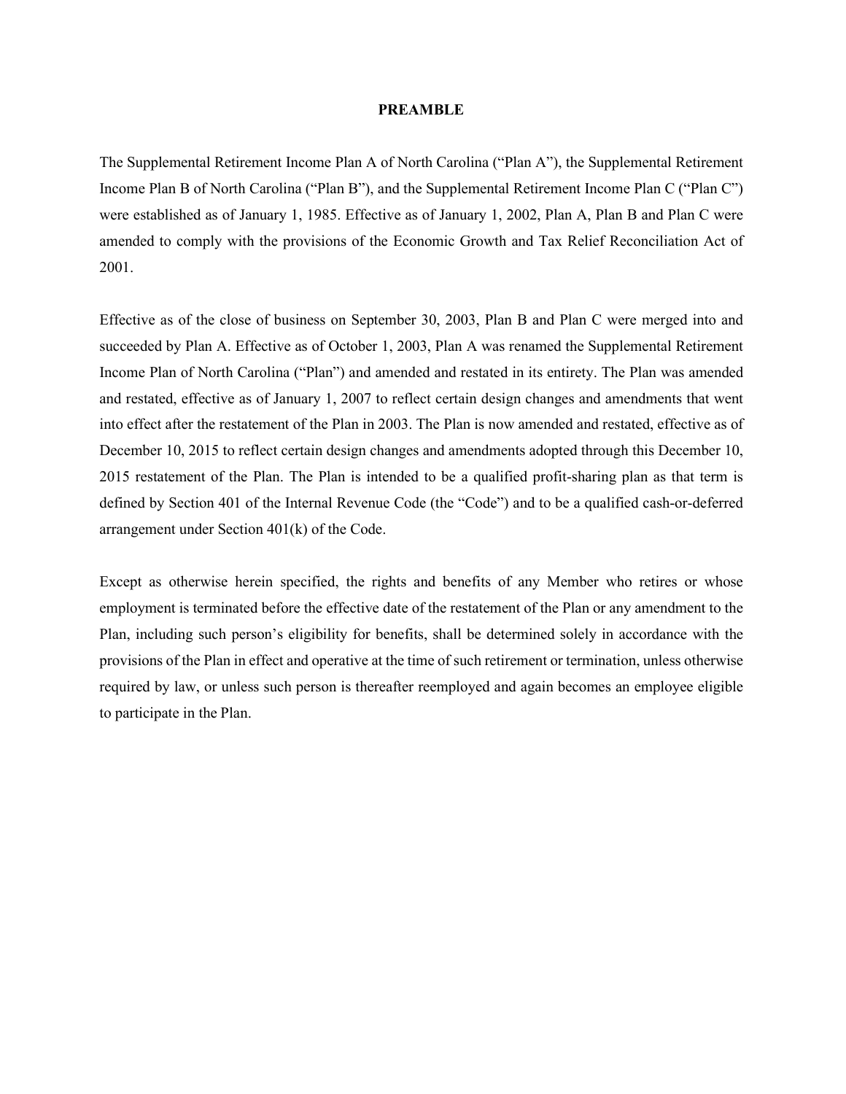#### **PREAMBLE**

The Supplemental Retirement Income Plan A of North Carolina ("Plan A"), the Supplemental Retirement Income Plan B of North Carolina ("Plan B"), and the Supplemental Retirement Income Plan C ("Plan C") were established as of January 1, 1985. Effective as of January 1, 2002, Plan A, Plan B and Plan C were amended to comply with the provisions of the Economic Growth and Tax Relief Reconciliation Act of 2001.

Effective as of the close of business on September 30, 2003, Plan B and Plan C were merged into and succeeded by Plan A. Effective as of October 1, 2003, Plan A was renamed the Supplemental Retirement Income Plan of North Carolina ("Plan") and amended and restated in its entirety. The Plan was amended and restated, effective as of January 1, 2007 to reflect certain design changes and amendments that went into effect after the restatement of the Plan in 2003. The Plan is now amended and restated, effective as of December 10, 2015 to reflect certain design changes and amendments adopted through this December 10, 2015 restatement of the Plan. The Plan is intended to be a qualified profit-sharing plan as that term is defined by Section 401 of the Internal Revenue Code (the "Code") and to be a qualified cash-or-deferred arrangement under Section 401(k) of the Code.

Except as otherwise herein specified, the rights and benefits of any Member who retires or whose employment is terminated before the effective date of the restatement of the Plan or any amendment to the Plan, including such person's eligibility for benefits, shall be determined solely in accordance with the provisions of the Plan in effect and operative at the time of such retirement or termination, unless otherwise required by law, or unless such person is thereafter reemployed and again becomes an employee eligible to participate in the Plan.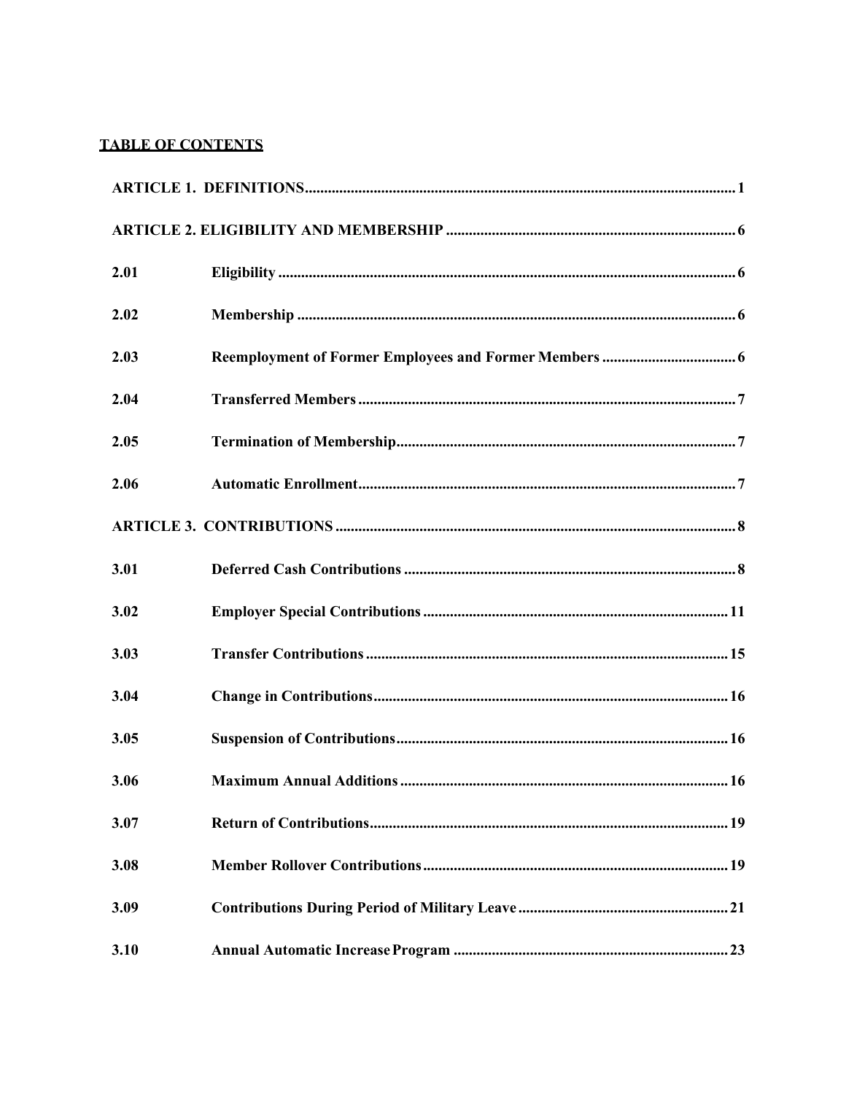# **TABLE OF CONTENTS**

| 2.01 |  |
|------|--|
| 2.02 |  |
| 2.03 |  |
| 2.04 |  |
| 2.05 |  |
| 2.06 |  |
|      |  |
| 3.01 |  |
| 3.02 |  |
| 3.03 |  |
| 3.04 |  |
| 3.05 |  |
| 3.06 |  |
| 3.07 |  |
| 3.08 |  |
| 3.09 |  |
| 3.10 |  |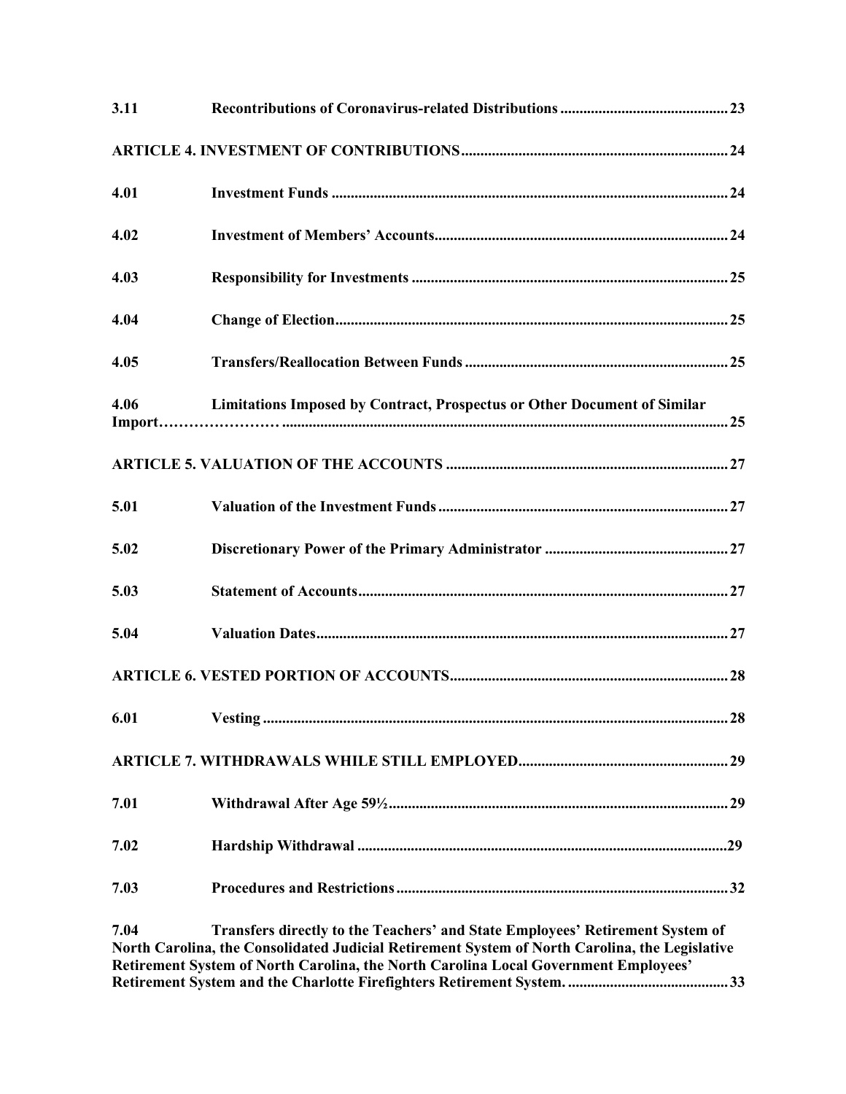| 3.11 |                                                                                                                                                                                                                                                                               |
|------|-------------------------------------------------------------------------------------------------------------------------------------------------------------------------------------------------------------------------------------------------------------------------------|
|      |                                                                                                                                                                                                                                                                               |
| 4.01 |                                                                                                                                                                                                                                                                               |
| 4.02 |                                                                                                                                                                                                                                                                               |
| 4.03 |                                                                                                                                                                                                                                                                               |
| 4.04 |                                                                                                                                                                                                                                                                               |
| 4.05 |                                                                                                                                                                                                                                                                               |
| 4.06 | Limitations Imposed by Contract, Prospectus or Other Document of Similar                                                                                                                                                                                                      |
|      |                                                                                                                                                                                                                                                                               |
| 5.01 |                                                                                                                                                                                                                                                                               |
| 5.02 |                                                                                                                                                                                                                                                                               |
| 5.03 |                                                                                                                                                                                                                                                                               |
| 5.04 |                                                                                                                                                                                                                                                                               |
|      |                                                                                                                                                                                                                                                                               |
|      |                                                                                                                                                                                                                                                                               |
|      |                                                                                                                                                                                                                                                                               |
| 7.01 |                                                                                                                                                                                                                                                                               |
| 7.02 |                                                                                                                                                                                                                                                                               |
| 7.03 |                                                                                                                                                                                                                                                                               |
| 7.04 | Transfers directly to the Teachers' and State Employees' Retirement System of<br>North Carolina, the Consolidated Judicial Retirement System of North Carolina, the Legislative<br><b>Retirement System of North Carolina, the North Carolina Local Government Employees'</b> |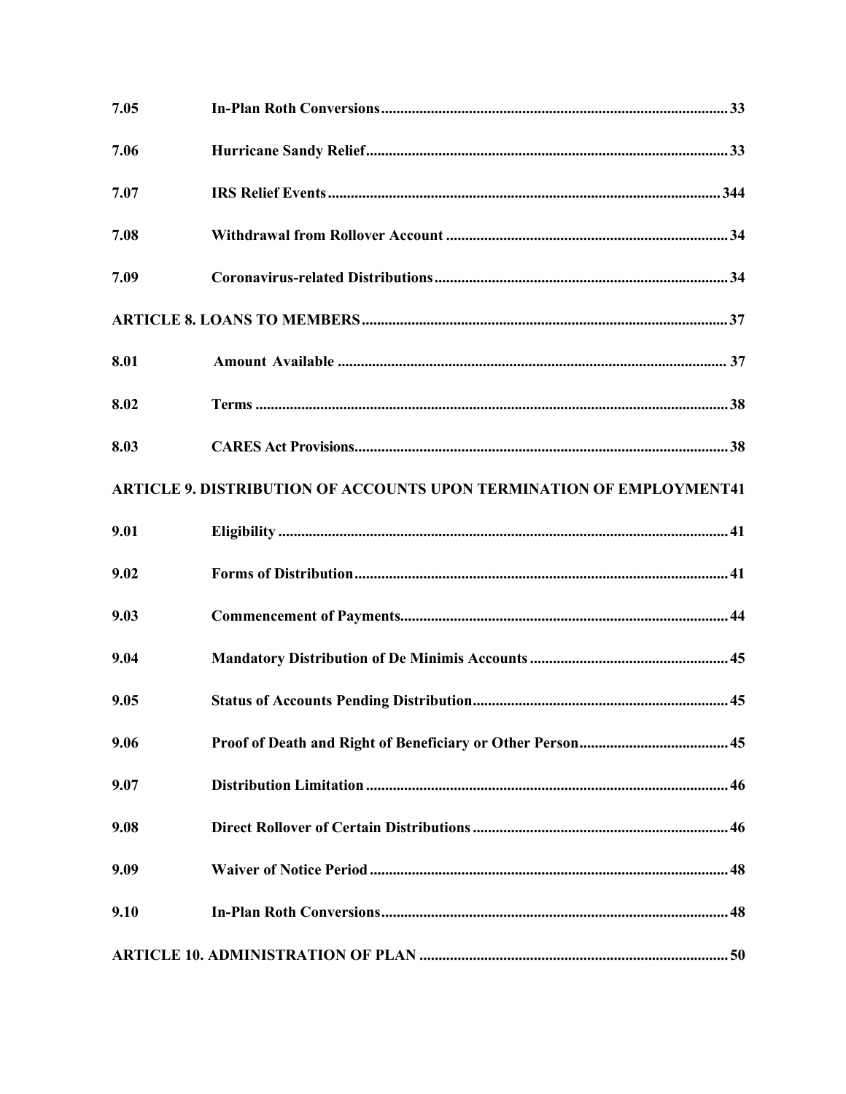| 7.05 |                                                                             |  |
|------|-----------------------------------------------------------------------------|--|
| 7.06 |                                                                             |  |
| 7.07 |                                                                             |  |
| 7.08 |                                                                             |  |
| 7.09 |                                                                             |  |
|      |                                                                             |  |
| 8.01 |                                                                             |  |
| 8.02 |                                                                             |  |
| 8.03 |                                                                             |  |
|      | <b>ARTICLE 9. DISTRIBUTION OF ACCOUNTS UPON TERMINATION OF EMPLOYMENT41</b> |  |
| 9.01 |                                                                             |  |
| 9.02 |                                                                             |  |
| 9.03 |                                                                             |  |
| 9.04 |                                                                             |  |
| 9.05 |                                                                             |  |
| 9.06 |                                                                             |  |
| 9.07 |                                                                             |  |
| 9.08 |                                                                             |  |
| 9.09 |                                                                             |  |
| 9.10 |                                                                             |  |
|      |                                                                             |  |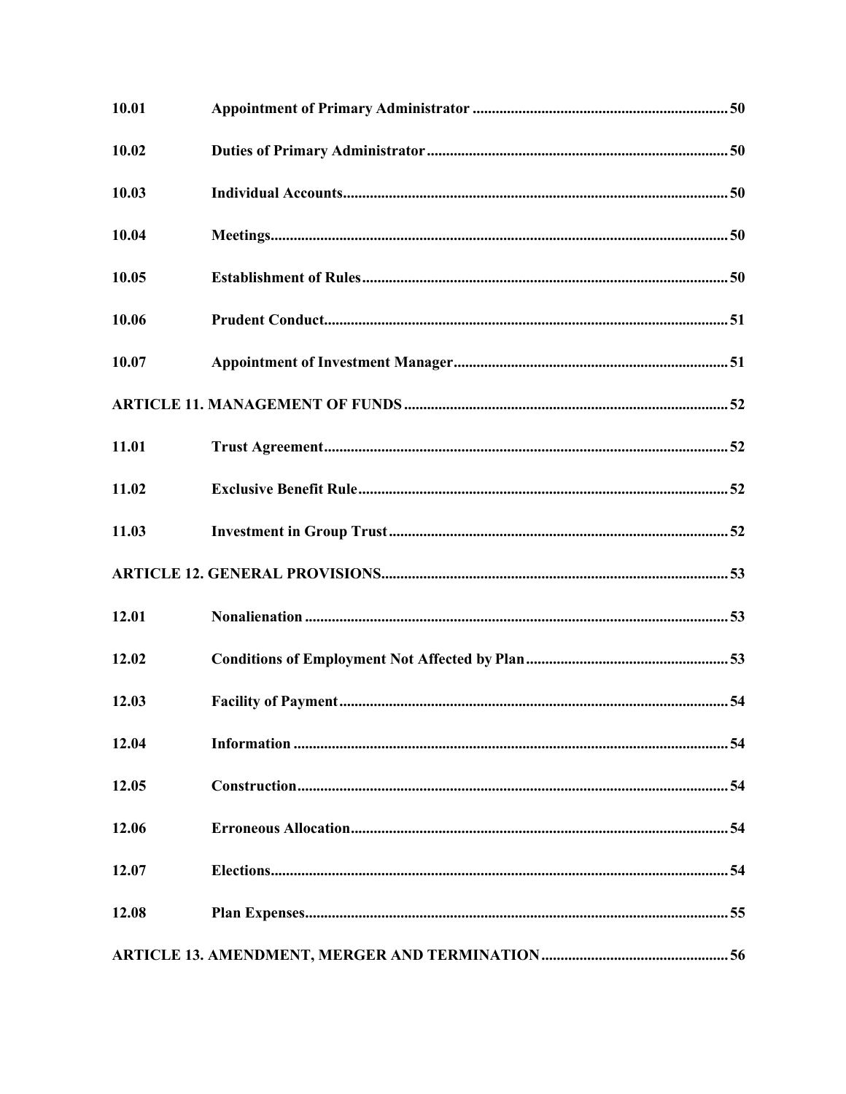| 10.01 |  |
|-------|--|
| 10.02 |  |
| 10.03 |  |
| 10.04 |  |
| 10.05 |  |
| 10.06 |  |
| 10.07 |  |
|       |  |
| 11.01 |  |
| 11.02 |  |
| 11.03 |  |
|       |  |
| 12.01 |  |
| 12.02 |  |
| 12.03 |  |
| 12.04 |  |
| 12.05 |  |
| 12.06 |  |
| 12.07 |  |
| 12.08 |  |
|       |  |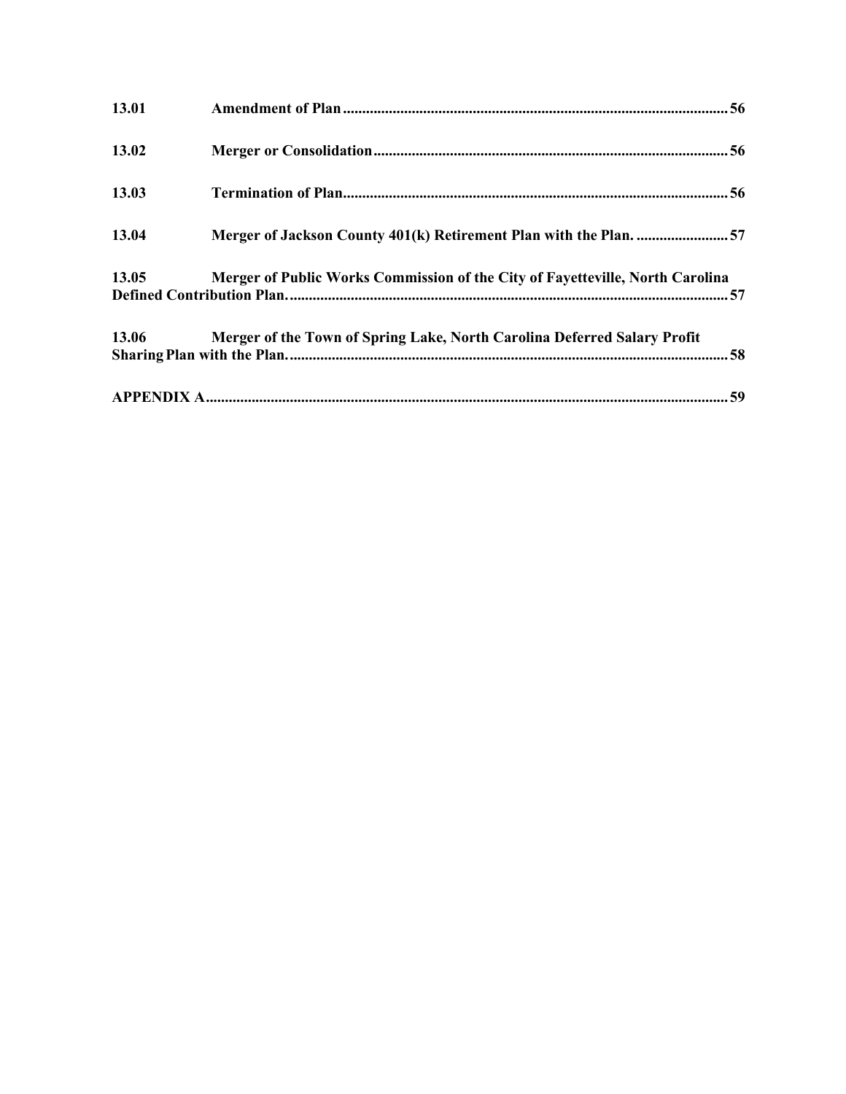| 13.01 |                                                                               |  |
|-------|-------------------------------------------------------------------------------|--|
| 13.02 |                                                                               |  |
| 13.03 |                                                                               |  |
| 13.04 | Merger of Jackson County 401(k) Retirement Plan with the Plan. 57             |  |
| 13.05 | Merger of Public Works Commission of the City of Fayetteville, North Carolina |  |
| 13.06 | Merger of the Town of Spring Lake, North Carolina Deferred Salary Profit      |  |
|       |                                                                               |  |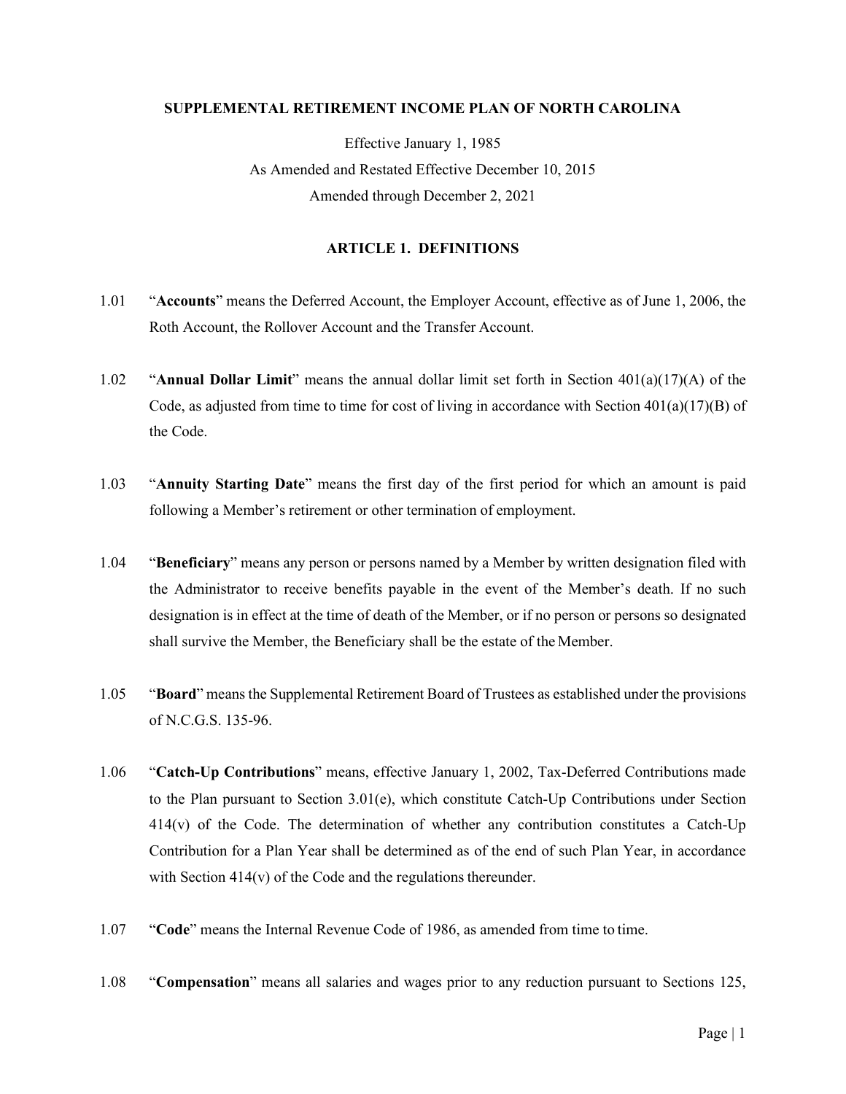## **SUPPLEMENTAL RETIREMENT INCOME PLAN OF NORTH CAROLINA**

Effective January 1, 1985 As Amended and Restated Effective December 10, 2015 Amended through December 2, 2021

## **ARTICLE 1. DEFINITIONS**

- <span id="page-7-0"></span>1.01 "**Accounts**" means the Deferred Account, the Employer Account, effective as of June 1, 2006, the Roth Account, the Rollover Account and the Transfer Account.
- 1.02 "**Annual Dollar Limit**" means the annual dollar limit set forth in Section 401(a)(17)(A) of the Code, as adjusted from time to time for cost of living in accordance with Section  $401(a)(17)(B)$  of the Code.
- 1.03 "**Annuity Starting Date**" means the first day of the first period for which an amount is paid following a Member's retirement or other termination of employment.
- 1.04 "**Beneficiary**" means any person or persons named by a Member by written designation filed with the Administrator to receive benefits payable in the event of the Member's death. If no such designation is in effect at the time of death of the Member, or if no person or persons so designated shall survive the Member, the Beneficiary shall be the estate of the Member.
- 1.05 "**Board**" means the Supplemental Retirement Board of Trustees as established under the provisions of N.C.G.S. 135-96.
- 1.06 "**Catch-Up Contributions**" means, effective January 1, 2002, Tax-Deferred Contributions made to the Plan pursuant to Section 3.01(e), which constitute Catch-Up Contributions under Section 414(v) of the Code. The determination of whether any contribution constitutes a Catch-Up Contribution for a Plan Year shall be determined as of the end of such Plan Year, in accordance with Section  $414(v)$  of the Code and the regulations thereunder.
- 1.07 "**Code**" means the Internal Revenue Code of 1986, as amended from time to time.
- 1.08 "**Compensation**" means all salaries and wages prior to any reduction pursuant to Sections 125,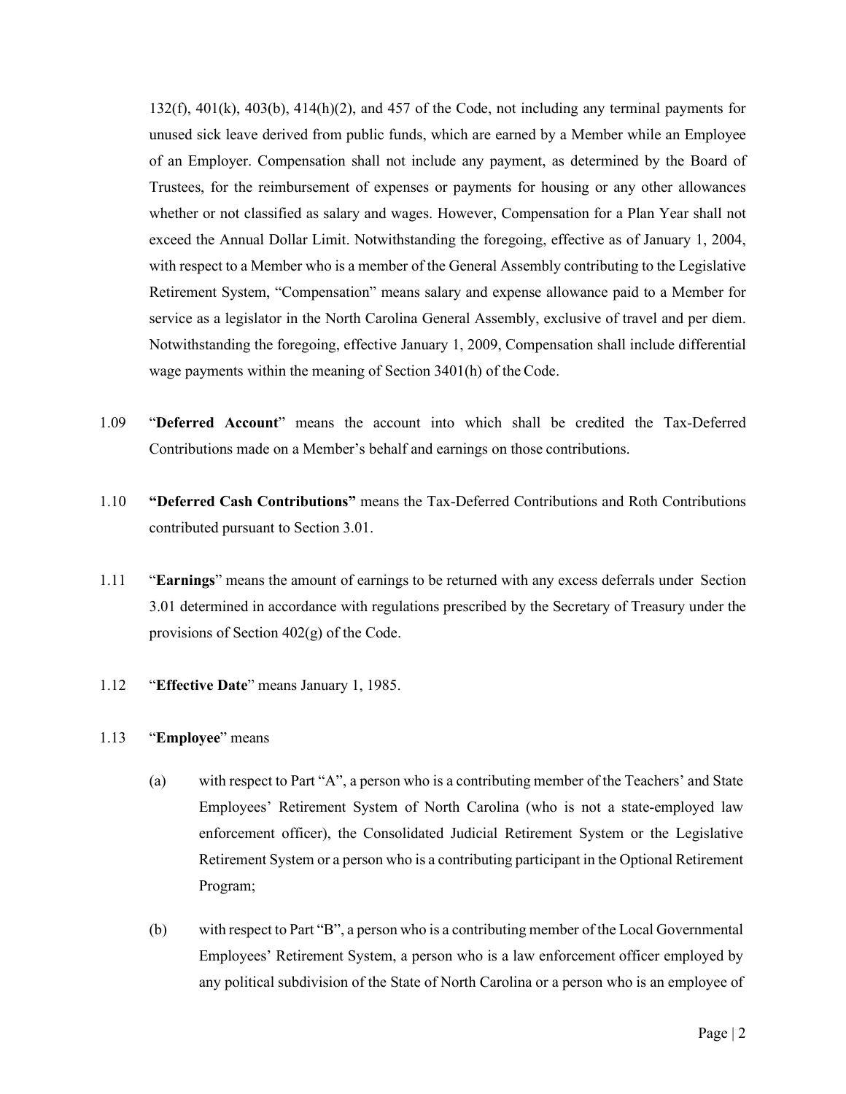$132(f)$ ,  $401(k)$ ,  $403(b)$ ,  $414(h)(2)$ , and  $457$  of the Code, not including any terminal payments for unused sick leave derived from public funds, which are earned by a Member while an Employee of an Employer. Compensation shall not include any payment, as determined by the Board of Trustees, for the reimbursement of expenses or payments for housing or any other allowances whether or not classified as salary and wages. However, Compensation for a Plan Year shall not exceed the Annual Dollar Limit. Notwithstanding the foregoing, effective as of January 1, 2004, with respect to a Member who is a member of the General Assembly contributing to the Legislative Retirement System, "Compensation" means salary and expense allowance paid to a Member for service as a legislator in the North Carolina General Assembly, exclusive of travel and per diem. Notwithstanding the foregoing, effective January 1, 2009, Compensation shall include differential wage payments within the meaning of Section 3401(h) of the Code.

- 1.09 "**Deferred Account**" means the account into which shall be credited the Tax-Deferred Contributions made on a Member's behalf and earnings on those contributions.
- 1.10 **"Deferred Cash Contributions"** means the Tax-Deferred Contributions and Roth Contributions contributed pursuant to Section 3.01.
- 1.11 "**Earnings**" means the amount of earnings to be returned with any excess deferrals under Section 3.01 determined in accordance with regulations prescribed by the Secretary of Treasury under the provisions of Section 402(g) of the Code.
- 1.12 "**Effective Date**" means January 1, 1985.

# 1.13 "**Employee**" means

- (a) with respect to Part "A", a person who is a contributing member of the Teachers' and State Employees' Retirement System of North Carolina (who is not a state-employed law enforcement officer), the Consolidated Judicial Retirement System or the Legislative Retirement System or a person who is a contributing participant in the Optional Retirement Program;
- (b) with respect to Part "B", a person who is a contributing member of the Local Governmental Employees' Retirement System, a person who is a law enforcement officer employed by any political subdivision of the State of North Carolina or a person who is an employee of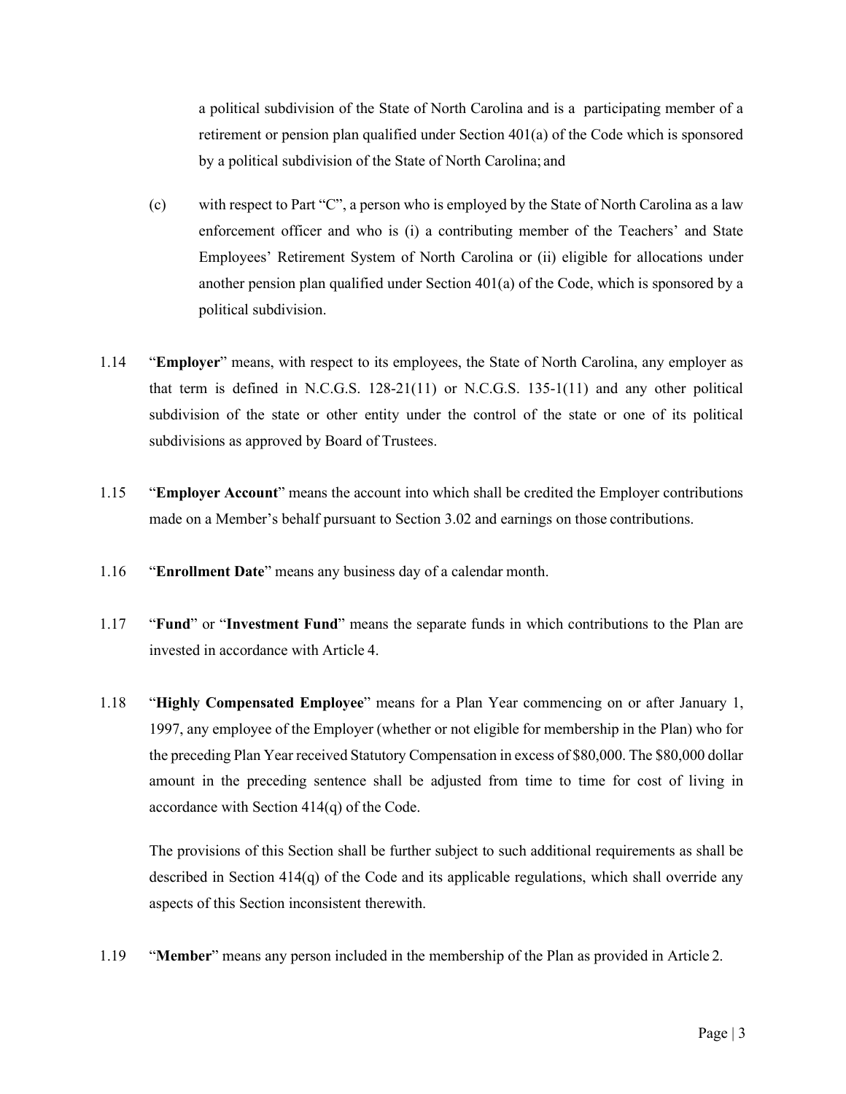a political subdivision of the State of North Carolina and is a participating member of a retirement or pension plan qualified under Section 401(a) of the Code which is sponsored by a political subdivision of the State of North Carolina; and

- (c) with respect to Part "C", a person who is employed by the State of North Carolina as a law enforcement officer and who is (i) a contributing member of the Teachers' and State Employees' Retirement System of North Carolina or (ii) eligible for allocations under another pension plan qualified under Section 401(a) of the Code, which is sponsored by a political subdivision.
- 1.14 "**Employer**" means, with respect to its employees, the State of North Carolina, any employer as that term is defined in N.C.G.S. 128-21(11) or N.C.G.S. 135-1(11) and any other political subdivision of the state or other entity under the control of the state or one of its political subdivisions as approved by Board of Trustees.
- 1.15 "**Employer Account**" means the account into which shall be credited the Employer contributions made on a Member's behalf pursuant to Section 3.02 and earnings on those contributions.
- 1.16 "**Enrollment Date**" means any business day of a calendar month.
- 1.17 "**Fund**" or "**Investment Fund**" means the separate funds in which contributions to the Plan are invested in accordance with Article 4.
- 1.18 "**Highly Compensated Employee**" means for a Plan Year commencing on or after January 1, 1997, any employee of the Employer (whether or not eligible for membership in the Plan) who for the preceding Plan Year received Statutory Compensation in excess of \$80,000. The \$80,000 dollar amount in the preceding sentence shall be adjusted from time to time for cost of living in accordance with Section 414(q) of the Code.

The provisions of this Section shall be further subject to such additional requirements as shall be described in Section 414(q) of the Code and its applicable regulations, which shall override any aspects of this Section inconsistent therewith.

1.19 "**Member**" means any person included in the membership of the Plan as provided in Article 2.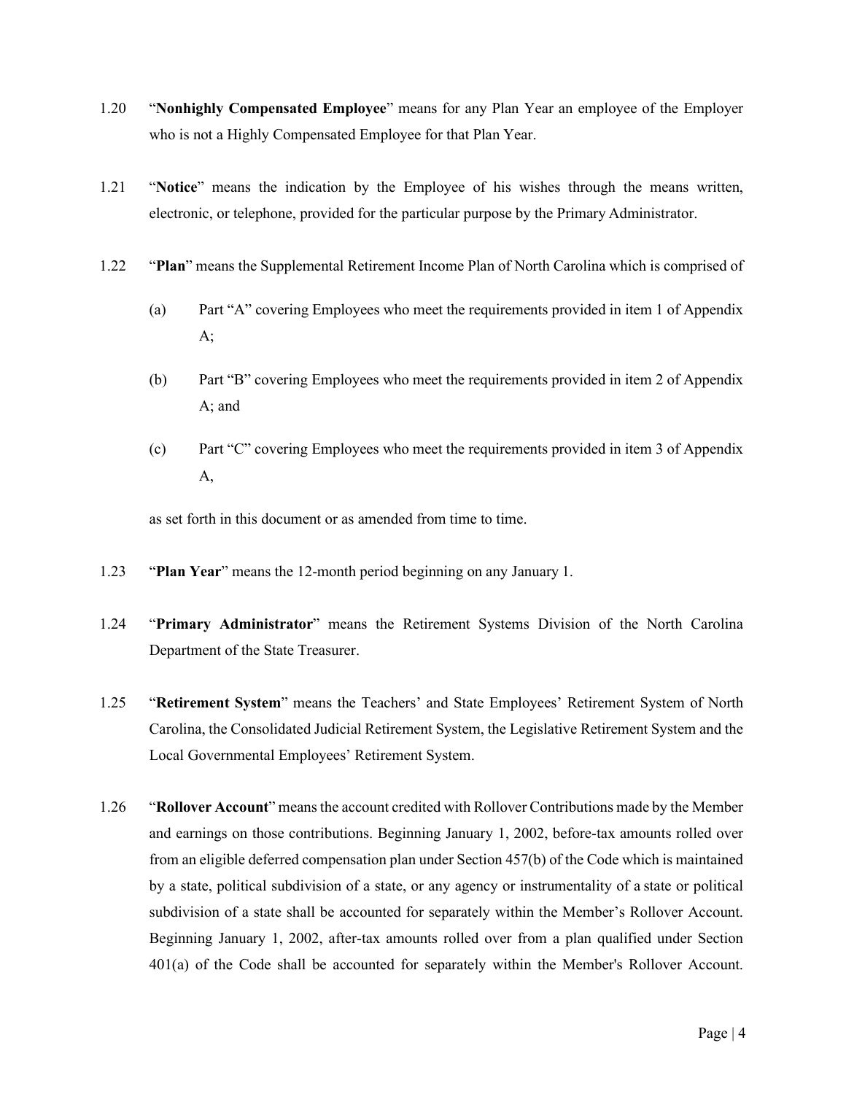- 1.20 "**Nonhighly Compensated Employee**" means for any Plan Year an employee of the Employer who is not a Highly Compensated Employee for that Plan Year.
- 1.21 "**Notice**" means the indication by the Employee of his wishes through the means written, electronic, or telephone, provided for the particular purpose by the Primary Administrator.
- 1.22 "**Plan**" means the Supplemental Retirement Income Plan of North Carolina which is comprised of
	- (a) Part "A" covering Employees who meet the requirements provided in item 1 of Appendix  $A$ ;
	- (b) Part "B" covering Employees who meet the requirements provided in item 2 of Appendix A; and
	- (c) Part "C" covering Employees who meet the requirements provided in item 3 of Appendix A,

as set forth in this document or as amended from time to time.

- 1.23 "**Plan Year**" means the 12-month period beginning on any January 1.
- 1.24 "**Primary Administrator**" means the Retirement Systems Division of the North Carolina Department of the State Treasurer.
- 1.25 "**Retirement System**" means the Teachers' and State Employees' Retirement System of North Carolina, the Consolidated Judicial Retirement System, the Legislative Retirement System and the Local Governmental Employees' Retirement System.
- 1.26 "**Rollover Account**" means the account credited with Rollover Contributions made by the Member and earnings on those contributions. Beginning January 1, 2002, before-tax amounts rolled over from an eligible deferred compensation plan under Section 457(b) of the Code which is maintained by a state, political subdivision of a state, or any agency or instrumentality of a state or political subdivision of a state shall be accounted for separately within the Member's Rollover Account. Beginning January 1, 2002, after-tax amounts rolled over from a plan qualified under Section 401(a) of the Code shall be accounted for separately within the Member's Rollover Account.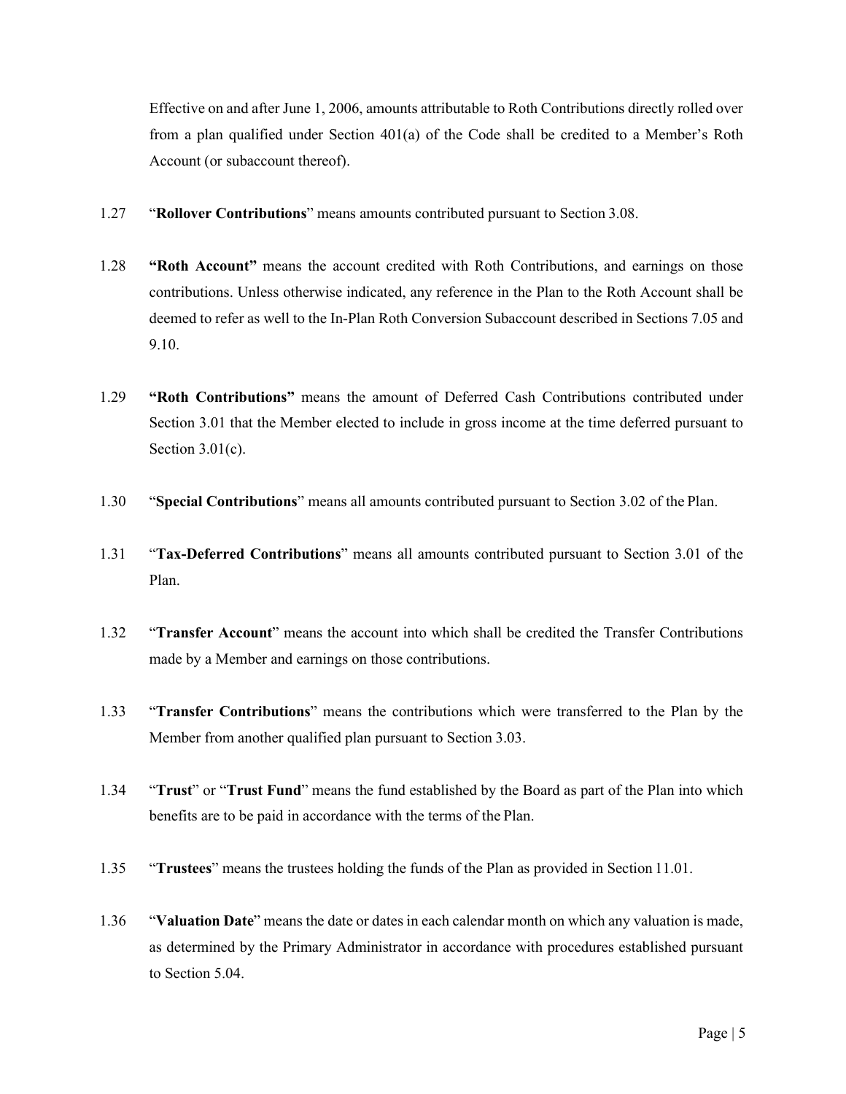Effective on and after June 1, 2006, amounts attributable to Roth Contributions directly rolled over from a plan qualified under Section 401(a) of the Code shall be credited to a Member's Roth Account (or subaccount thereof).

- 1.27 "**Rollover Contributions**" means amounts contributed pursuant to Section 3.08.
- 1.28 **"Roth Account"** means the account credited with Roth Contributions, and earnings on those contributions. Unless otherwise indicated, any reference in the Plan to the Roth Account shall be deemed to refer as well to the In-Plan Roth Conversion Subaccount described in Sections 7.05 and 9.10.
- 1.29 **"Roth Contributions"** means the amount of Deferred Cash Contributions contributed under Section 3.01 that the Member elected to include in gross income at the time deferred pursuant to Section  $3.01(c)$ .
- 1.30 "**Special Contributions**" means all amounts contributed pursuant to Section 3.02 of the Plan.
- 1.31 "**Tax-Deferred Contributions**" means all amounts contributed pursuant to Section 3.01 of the Plan.
- 1.32 "**Transfer Account**" means the account into which shall be credited the Transfer Contributions made by a Member and earnings on those contributions.
- 1.33 "**Transfer Contributions**" means the contributions which were transferred to the Plan by the Member from another qualified plan pursuant to Section 3.03.
- 1.34 "**Trust**" or "**Trust Fund**" means the fund established by the Board as part of the Plan into which benefits are to be paid in accordance with the terms of the Plan.
- 1.35 "**Trustees**" means the trustees holding the funds of the Plan as provided in Section 11.01.
- 1.36 "**Valuation Date**" means the date or dates in each calendar month on which any valuation is made, as determined by the Primary Administrator in accordance with procedures established pursuant to Section 5.04.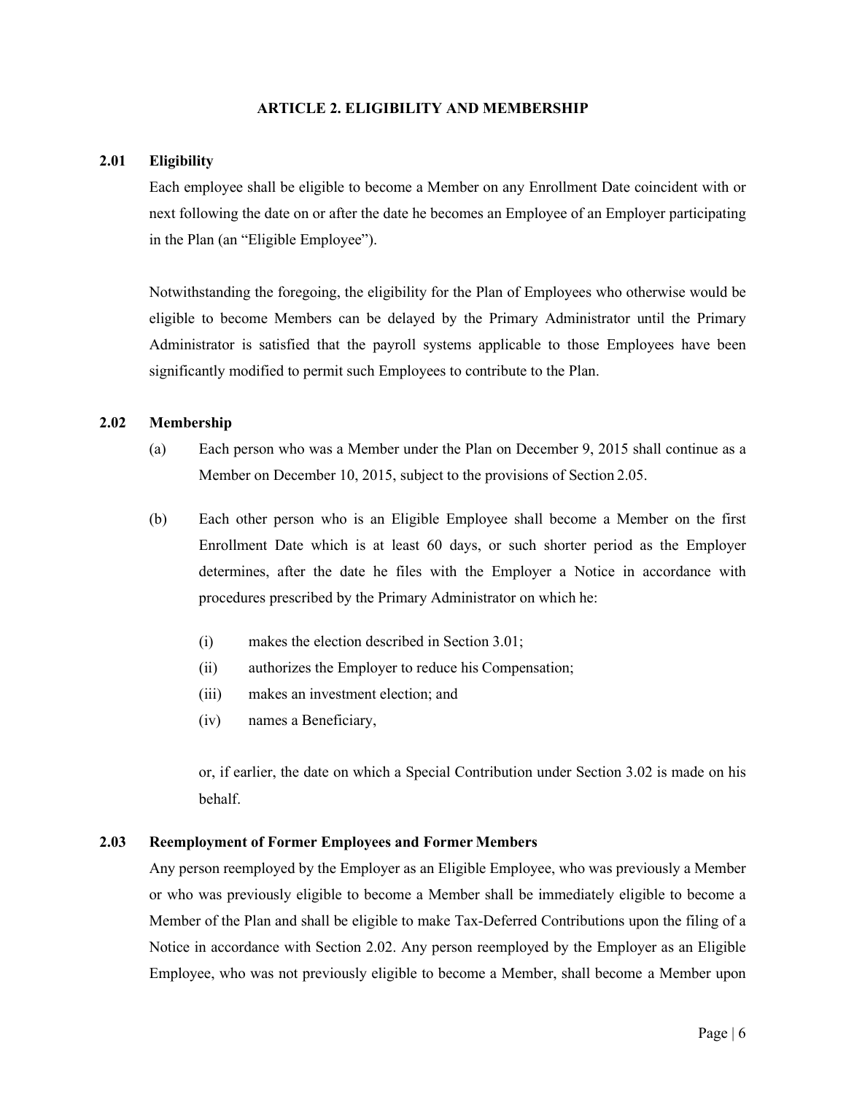## **ARTICLE 2. ELIGIBILITY AND MEMBERSHIP**

# <span id="page-12-1"></span><span id="page-12-0"></span>**2.01 Eligibility**

Each employee shall be eligible to become a Member on any Enrollment Date coincident with or next following the date on or after the date he becomes an Employee of an Employer participating in the Plan (an "Eligible Employee").

Notwithstanding the foregoing, the eligibility for the Plan of Employees who otherwise would be eligible to become Members can be delayed by the Primary Administrator until the Primary Administrator is satisfied that the payroll systems applicable to those Employees have been significantly modified to permit such Employees to contribute to the Plan.

# <span id="page-12-2"></span>**2.02 Membership**

- (a) Each person who was a Member under the Plan on December 9, 2015 shall continue as a Member on December 10, 2015, subject to the provisions of Section 2.05.
- (b) Each other person who is an Eligible Employee shall become a Member on the first Enrollment Date which is at least 60 days, or such shorter period as the Employer determines, after the date he files with the Employer a Notice in accordance with procedures prescribed by the Primary Administrator on which he:
	- (i) makes the election described in Section 3.01;
	- (ii) authorizes the Employer to reduce his Compensation;
	- (iii) makes an investment election; and
	- (iv) names a Beneficiary,

or, if earlier, the date on which a Special Contribution under Section 3.02 is made on his behalf.

# <span id="page-12-3"></span>**2.03 Reemployment of Former Employees and Former Members**

Any person reemployed by the Employer as an Eligible Employee, who was previously a Member or who was previously eligible to become a Member shall be immediately eligible to become a Member of the Plan and shall be eligible to make Tax-Deferred Contributions upon the filing of a Notice in accordance with Section 2.02. Any person reemployed by the Employer as an Eligible Employee, who was not previously eligible to become a Member, shall become a Member upon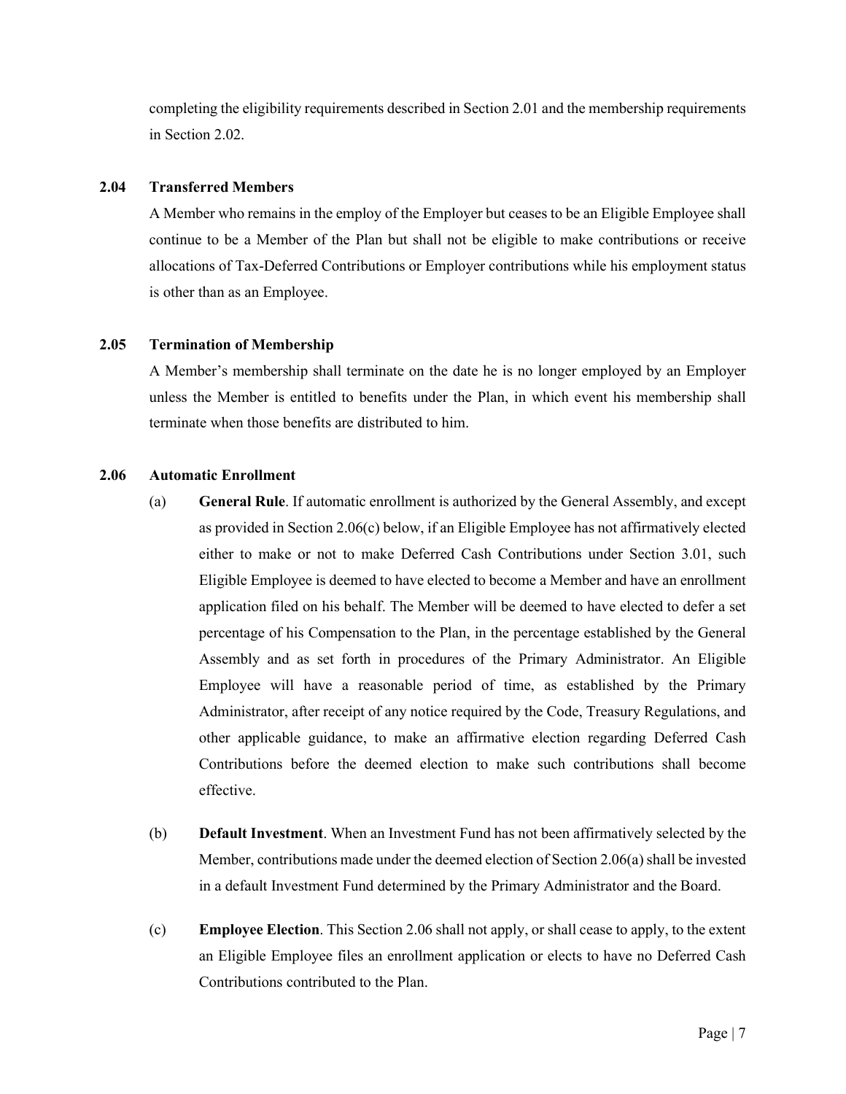completing the eligibility requirements described in Section 2.01 and the membership requirements in Section 2.02.

# <span id="page-13-0"></span>**2.04 Transferred Members**

A Member who remains in the employ of the Employer but ceases to be an Eligible Employee shall continue to be a Member of the Plan but shall not be eligible to make contributions or receive allocations of Tax-Deferred Contributions or Employer contributions while his employment status is other than as an Employee.

# <span id="page-13-1"></span>**2.05 Termination of Membership**

A Member's membership shall terminate on the date he is no longer employed by an Employer unless the Member is entitled to benefits under the Plan, in which event his membership shall terminate when those benefits are distributed to him.

# <span id="page-13-2"></span>**2.06 Automatic Enrollment**

- (a) **General Rule**. If automatic enrollment is authorized by the General Assembly, and except as provided in Section 2.06(c) below, if an Eligible Employee has not affirmatively elected either to make or not to make Deferred Cash Contributions under Section 3.01, such Eligible Employee is deemed to have elected to become a Member and have an enrollment application filed on his behalf. The Member will be deemed to have elected to defer a set percentage of his Compensation to the Plan, in the percentage established by the General Assembly and as set forth in procedures of the Primary Administrator. An Eligible Employee will have a reasonable period of time, as established by the Primary Administrator, after receipt of any notice required by the Code, Treasury Regulations, and other applicable guidance, to make an affirmative election regarding Deferred Cash Contributions before the deemed election to make such contributions shall become effective.
- (b) **Default Investment**. When an Investment Fund has not been affirmatively selected by the Member, contributions made under the deemed election of Section 2.06(a) shall be invested in a default Investment Fund determined by the Primary Administrator and the Board.
- (c) **Employee Election**. This Section 2.06 shall not apply, or shall cease to apply, to the extent an Eligible Employee files an enrollment application or elects to have no Deferred Cash Contributions contributed to the Plan.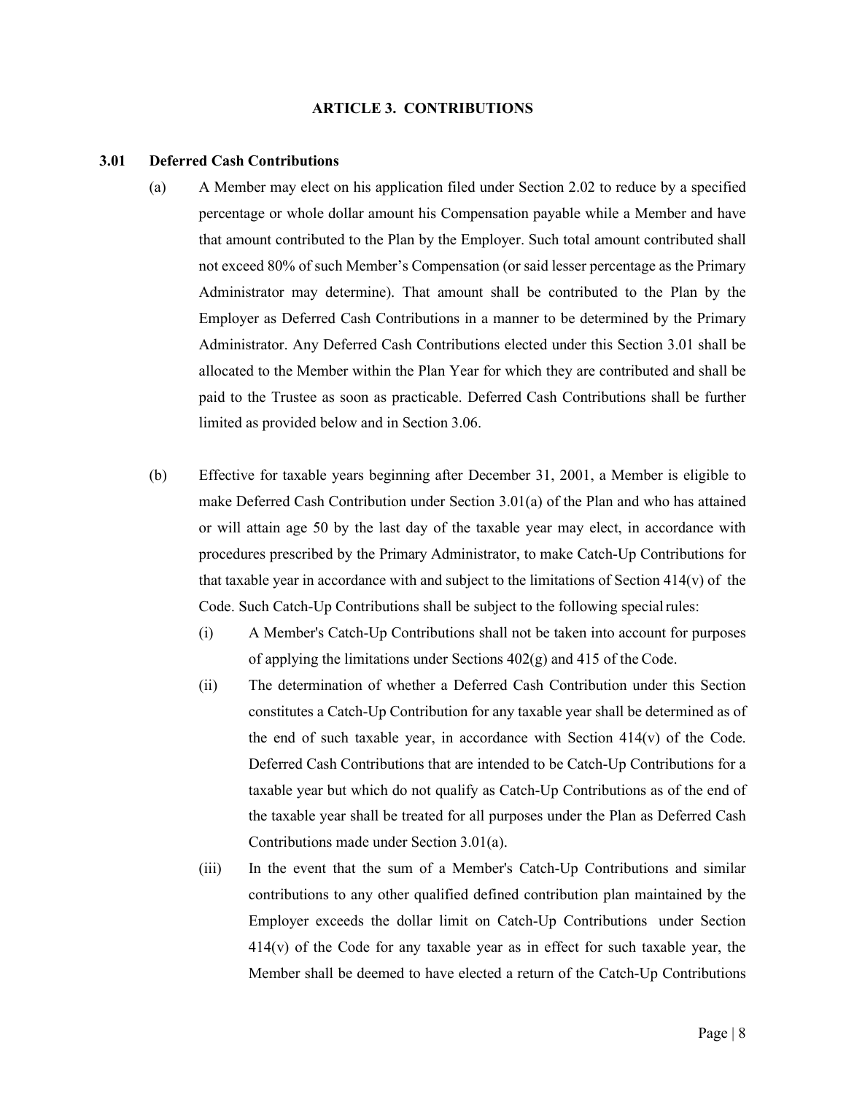#### **ARTICLE 3. CONTRIBUTIONS**

#### <span id="page-14-1"></span><span id="page-14-0"></span>**3.01 Deferred Cash Contributions**

- (a) A Member may elect on his application filed under Section 2.02 to reduce by a specified percentage or whole dollar amount his Compensation payable while a Member and have that amount contributed to the Plan by the Employer. Such total amount contributed shall not exceed 80% of such Member's Compensation (or said lesser percentage as the Primary Administrator may determine). That amount shall be contributed to the Plan by the Employer as Deferred Cash Contributions in a manner to be determined by the Primary Administrator. Any Deferred Cash Contributions elected under this Section 3.01 shall be allocated to the Member within the Plan Year for which they are contributed and shall be paid to the Trustee as soon as practicable. Deferred Cash Contributions shall be further limited as provided below and in Section 3.06.
- (b) Effective for taxable years beginning after December 31, 2001, a Member is eligible to make Deferred Cash Contribution under Section 3.01(a) of the Plan and who has attained or will attain age 50 by the last day of the taxable year may elect, in accordance with procedures prescribed by the Primary Administrator, to make Catch-Up Contributions for that taxable year in accordance with and subject to the limitations of Section  $414(v)$  of the Code. Such Catch-Up Contributions shall be subject to the following special rules:
	- (i) A Member's Catch-Up Contributions shall not be taken into account for purposes of applying the limitations under Sections 402(g) and 415 of the Code.
	- (ii) The determination of whether a Deferred Cash Contribution under this Section constitutes a Catch-Up Contribution for any taxable year shall be determined as of the end of such taxable year, in accordance with Section  $414(v)$  of the Code. Deferred Cash Contributions that are intended to be Catch-Up Contributions for a taxable year but which do not qualify as Catch-Up Contributions as of the end of the taxable year shall be treated for all purposes under the Plan as Deferred Cash Contributions made under Section 3.01(a).
	- (iii) In the event that the sum of a Member's Catch-Up Contributions and similar contributions to any other qualified defined contribution plan maintained by the Employer exceeds the dollar limit on Catch-Up Contributions under Section  $414(v)$  of the Code for any taxable year as in effect for such taxable year, the Member shall be deemed to have elected a return of the Catch-Up Contributions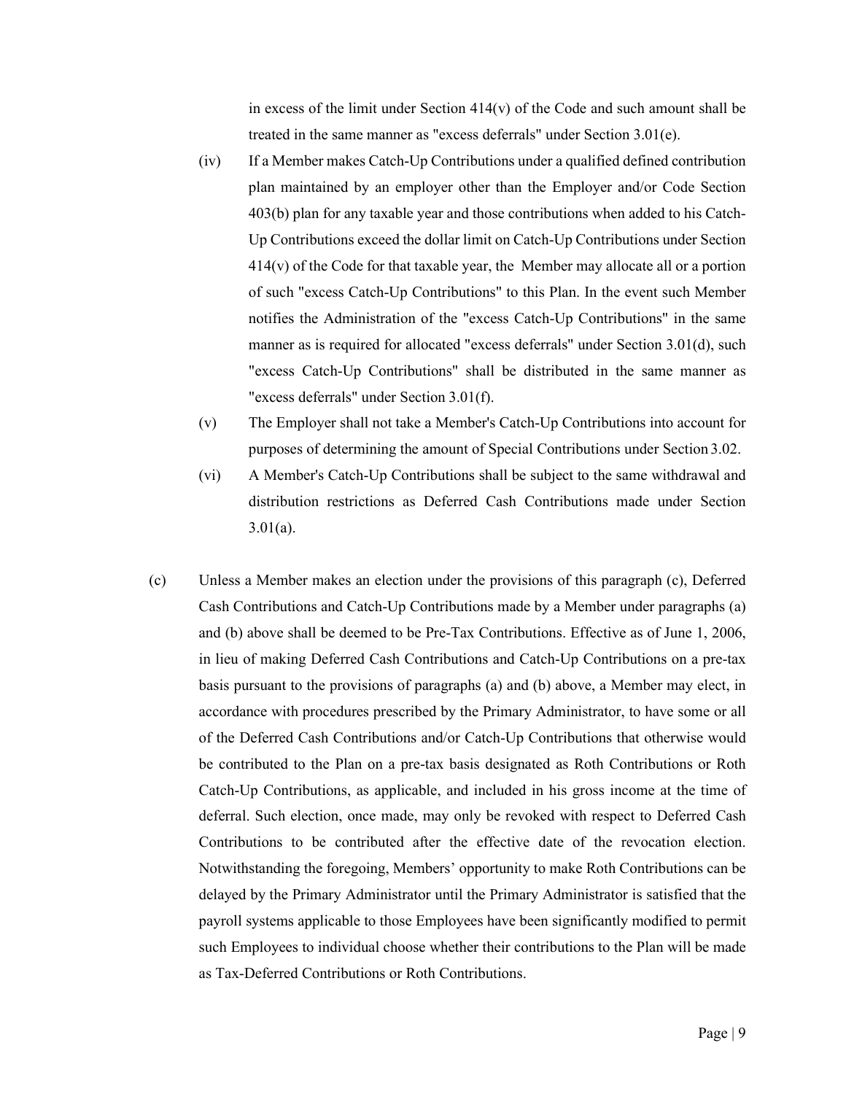in excess of the limit under Section  $414(v)$  of the Code and such amount shall be treated in the same manner as "excess deferrals" under Section 3.01(e).

- (iv) If a Member makes Catch-Up Contributions under a qualified defined contribution plan maintained by an employer other than the Employer and/or Code Section 403(b) plan for any taxable year and those contributions when added to his Catch-Up Contributions exceed the dollar limit on Catch-Up Contributions under Section  $414(v)$  of the Code for that taxable year, the Member may allocate all or a portion of such "excess Catch-Up Contributions" to this Plan. In the event such Member notifies the Administration of the "excess Catch-Up Contributions" in the same manner as is required for allocated "excess deferrals" under Section 3.01(d), such "excess Catch-Up Contributions" shall be distributed in the same manner as "excess deferrals" under Section 3.01(f).
- (v) The Employer shall not take a Member's Catch-Up Contributions into account for purposes of determining the amount of Special Contributions under Section 3.02.
- (vi) A Member's Catch-Up Contributions shall be subject to the same withdrawal and distribution restrictions as Deferred Cash Contributions made under Section  $3.01(a)$ .
- (c) Unless a Member makes an election under the provisions of this paragraph (c), Deferred Cash Contributions and Catch-Up Contributions made by a Member under paragraphs (a) and (b) above shall be deemed to be Pre-Tax Contributions. Effective as of June 1, 2006, in lieu of making Deferred Cash Contributions and Catch-Up Contributions on a pre-tax basis pursuant to the provisions of paragraphs (a) and (b) above, a Member may elect, in accordance with procedures prescribed by the Primary Administrator, to have some or all of the Deferred Cash Contributions and/or Catch-Up Contributions that otherwise would be contributed to the Plan on a pre-tax basis designated as Roth Contributions or Roth Catch-Up Contributions, as applicable, and included in his gross income at the time of deferral. Such election, once made, may only be revoked with respect to Deferred Cash Contributions to be contributed after the effective date of the revocation election. Notwithstanding the foregoing, Members' opportunity to make Roth Contributions can be delayed by the Primary Administrator until the Primary Administrator is satisfied that the payroll systems applicable to those Employees have been significantly modified to permit such Employees to individual choose whether their contributions to the Plan will be made as Tax-Deferred Contributions or Roth Contributions.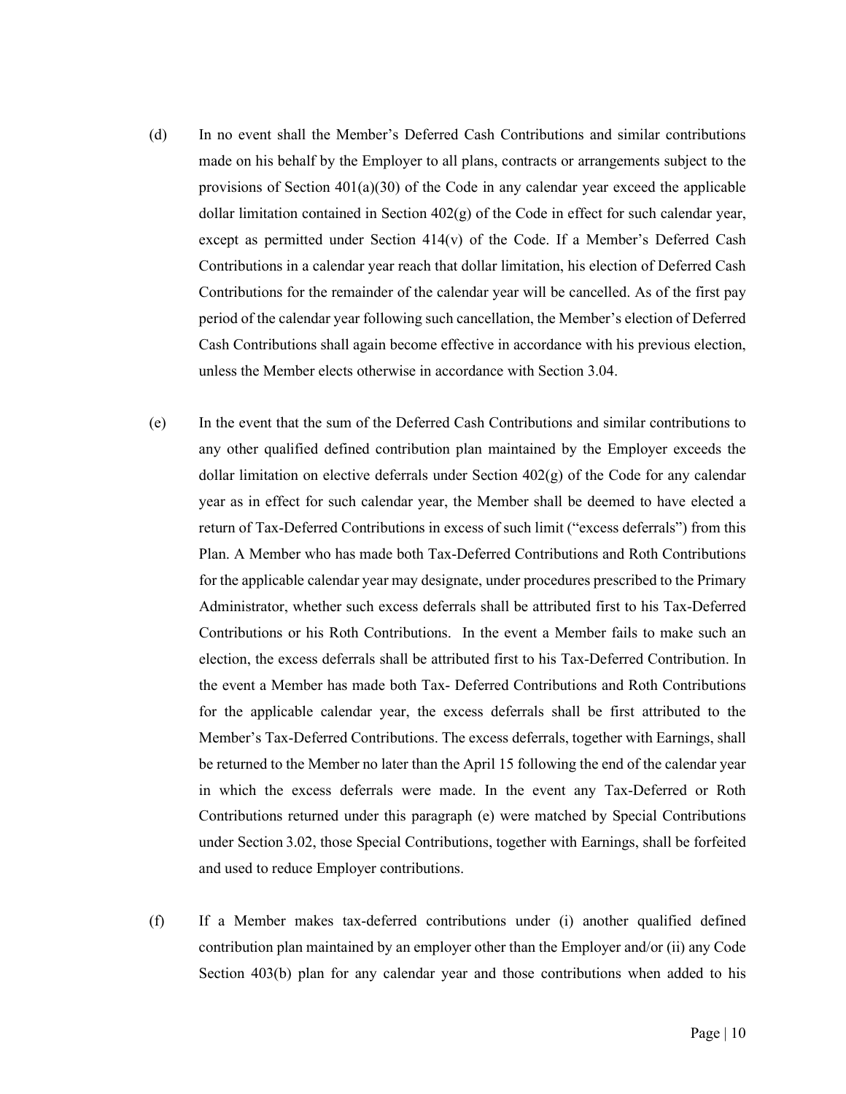- (d) In no event shall the Member's Deferred Cash Contributions and similar contributions made on his behalf by the Employer to all plans, contracts or arrangements subject to the provisions of Section  $401(a)(30)$  of the Code in any calendar year exceed the applicable dollar limitation contained in Section  $402(g)$  of the Code in effect for such calendar year, except as permitted under Section 414(v) of the Code. If a Member's Deferred Cash Contributions in a calendar year reach that dollar limitation, his election of Deferred Cash Contributions for the remainder of the calendar year will be cancelled. As of the first pay period of the calendar year following such cancellation, the Member's election of Deferred Cash Contributions shall again become effective in accordance with his previous election, unless the Member elects otherwise in accordance with Section 3.04.
- (e) In the event that the sum of the Deferred Cash Contributions and similar contributions to any other qualified defined contribution plan maintained by the Employer exceeds the dollar limitation on elective deferrals under Section 402(g) of the Code for any calendar year as in effect for such calendar year, the Member shall be deemed to have elected a return of Tax-Deferred Contributions in excess of such limit ("excess deferrals") from this Plan. A Member who has made both Tax-Deferred Contributions and Roth Contributions for the applicable calendar year may designate, under procedures prescribed to the Primary Administrator, whether such excess deferrals shall be attributed first to his Tax-Deferred Contributions or his Roth Contributions. In the event a Member fails to make such an election, the excess deferrals shall be attributed first to his Tax-Deferred Contribution. In the event a Member has made both Tax- Deferred Contributions and Roth Contributions for the applicable calendar year, the excess deferrals shall be first attributed to the Member's Tax-Deferred Contributions. The excess deferrals, together with Earnings, shall be returned to the Member no later than the April 15 following the end of the calendar year in which the excess deferrals were made. In the event any Tax-Deferred or Roth Contributions returned under this paragraph (e) were matched by Special Contributions under Section 3.02, those Special Contributions, together with Earnings, shall be forfeited and used to reduce Employer contributions.
- (f) If a Member makes tax-deferred contributions under (i) another qualified defined contribution plan maintained by an employer other than the Employer and/or (ii) any Code Section 403(b) plan for any calendar year and those contributions when added to his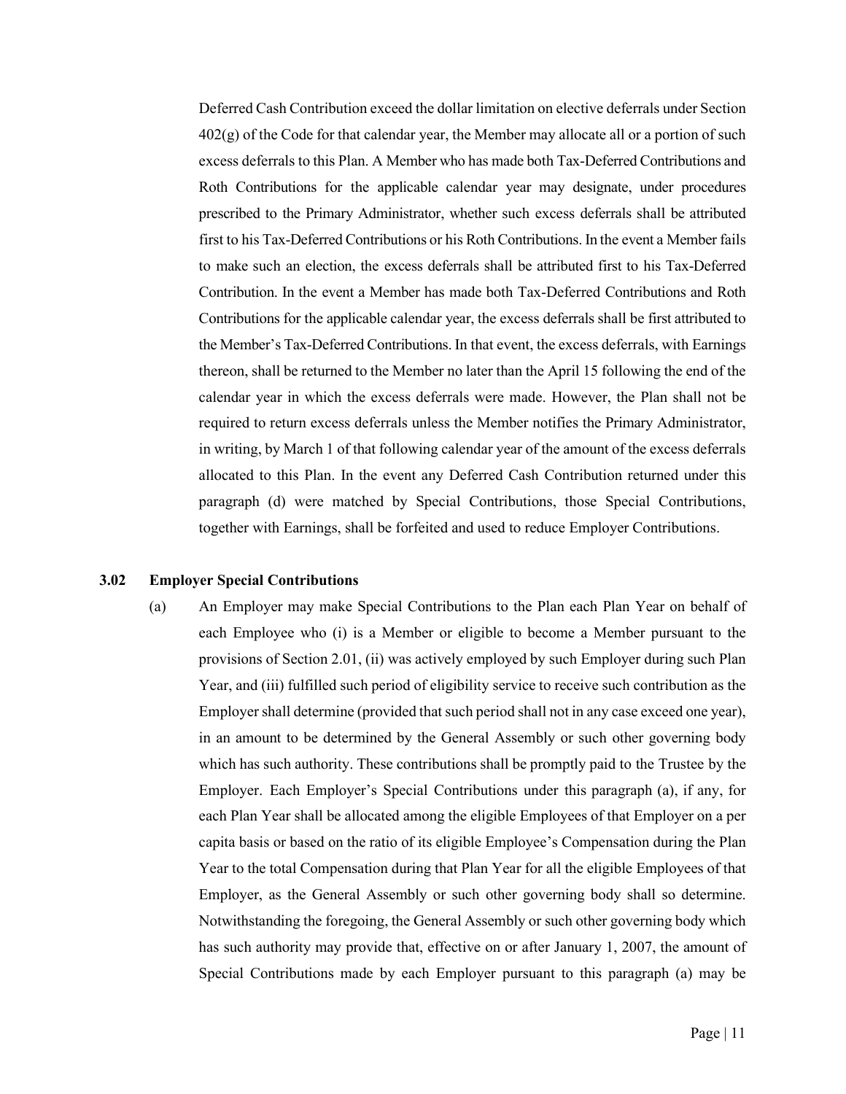Deferred Cash Contribution exceed the dollar limitation on elective deferrals under Section 402(g) of the Code for that calendar year, the Member may allocate all or a portion of such excess deferrals to this Plan. A Member who has made both Tax-Deferred Contributions and Roth Contributions for the applicable calendar year may designate, under procedures prescribed to the Primary Administrator, whether such excess deferrals shall be attributed first to his Tax-Deferred Contributions or his Roth Contributions. In the event a Member fails to make such an election, the excess deferrals shall be attributed first to his Tax-Deferred Contribution. In the event a Member has made both Tax-Deferred Contributions and Roth Contributions for the applicable calendar year, the excess deferrals shall be first attributed to the Member's Tax-Deferred Contributions. In that event, the excess deferrals, with Earnings thereon, shall be returned to the Member no later than the April 15 following the end of the calendar year in which the excess deferrals were made. However, the Plan shall not be required to return excess deferrals unless the Member notifies the Primary Administrator, in writing, by March 1 of that following calendar year of the amount of the excess deferrals allocated to this Plan. In the event any Deferred Cash Contribution returned under this paragraph (d) were matched by Special Contributions, those Special Contributions, together with Earnings, shall be forfeited and used to reduce Employer Contributions.

#### <span id="page-17-0"></span>**3.02 Employer Special Contributions**

(a) An Employer may make Special Contributions to the Plan each Plan Year on behalf of each Employee who (i) is a Member or eligible to become a Member pursuant to the provisions of Section 2.01, (ii) was actively employed by such Employer during such Plan Year, and (iii) fulfilled such period of eligibility service to receive such contribution as the Employer shall determine (provided that such period shall not in any case exceed one year), in an amount to be determined by the General Assembly or such other governing body which has such authority. These contributions shall be promptly paid to the Trustee by the Employer. Each Employer's Special Contributions under this paragraph (a), if any, for each Plan Year shall be allocated among the eligible Employees of that Employer on a per capita basis or based on the ratio of its eligible Employee's Compensation during the Plan Year to the total Compensation during that Plan Year for all the eligible Employees of that Employer, as the General Assembly or such other governing body shall so determine. Notwithstanding the foregoing, the General Assembly or such other governing body which has such authority may provide that, effective on or after January 1, 2007, the amount of Special Contributions made by each Employer pursuant to this paragraph (a) may be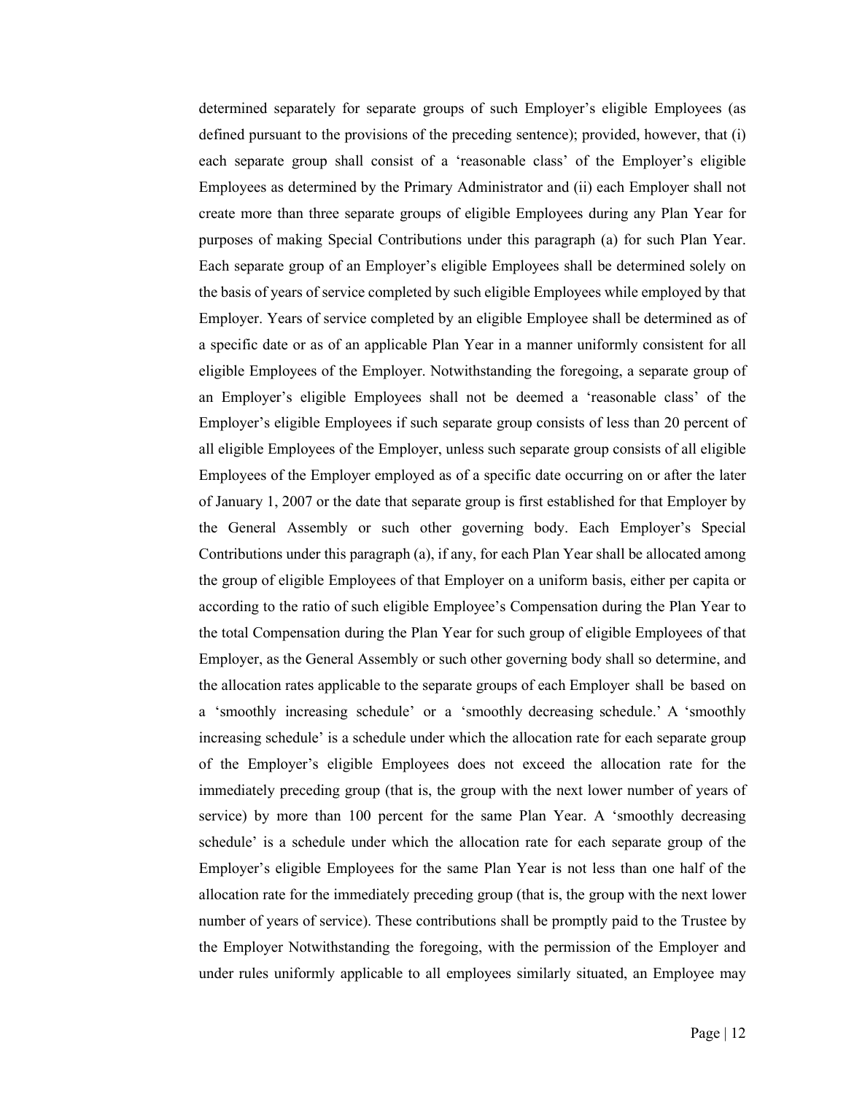determined separately for separate groups of such Employer's eligible Employees (as defined pursuant to the provisions of the preceding sentence); provided, however, that (i) each separate group shall consist of a 'reasonable class' of the Employer's eligible Employees as determined by the Primary Administrator and (ii) each Employer shall not create more than three separate groups of eligible Employees during any Plan Year for purposes of making Special Contributions under this paragraph (a) for such Plan Year. Each separate group of an Employer's eligible Employees shall be determined solely on the basis of years of service completed by such eligible Employees while employed by that Employer. Years of service completed by an eligible Employee shall be determined as of a specific date or as of an applicable Plan Year in a manner uniformly consistent for all eligible Employees of the Employer. Notwithstanding the foregoing, a separate group of an Employer's eligible Employees shall not be deemed a 'reasonable class' of the Employer's eligible Employees if such separate group consists of less than 20 percent of all eligible Employees of the Employer, unless such separate group consists of all eligible Employees of the Employer employed as of a specific date occurring on or after the later of January 1, 2007 or the date that separate group is first established for that Employer by the General Assembly or such other governing body. Each Employer's Special Contributions under this paragraph (a), if any, for each Plan Year shall be allocated among the group of eligible Employees of that Employer on a uniform basis, either per capita or according to the ratio of such eligible Employee's Compensation during the Plan Year to the total Compensation during the Plan Year for such group of eligible Employees of that Employer, as the General Assembly or such other governing body shall so determine, and the allocation rates applicable to the separate groups of each Employer shall be based on a 'smoothly increasing schedule' or a 'smoothly decreasing schedule.' A 'smoothly increasing schedule' is a schedule under which the allocation rate for each separate group of the Employer's eligible Employees does not exceed the allocation rate for the immediately preceding group (that is, the group with the next lower number of years of service) by more than 100 percent for the same Plan Year. A 'smoothly decreasing schedule' is a schedule under which the allocation rate for each separate group of the Employer's eligible Employees for the same Plan Year is not less than one half of the allocation rate for the immediately preceding group (that is, the group with the next lower number of years of service). These contributions shall be promptly paid to the Trustee by the Employer Notwithstanding the foregoing, with the permission of the Employer and under rules uniformly applicable to all employees similarly situated, an Employee may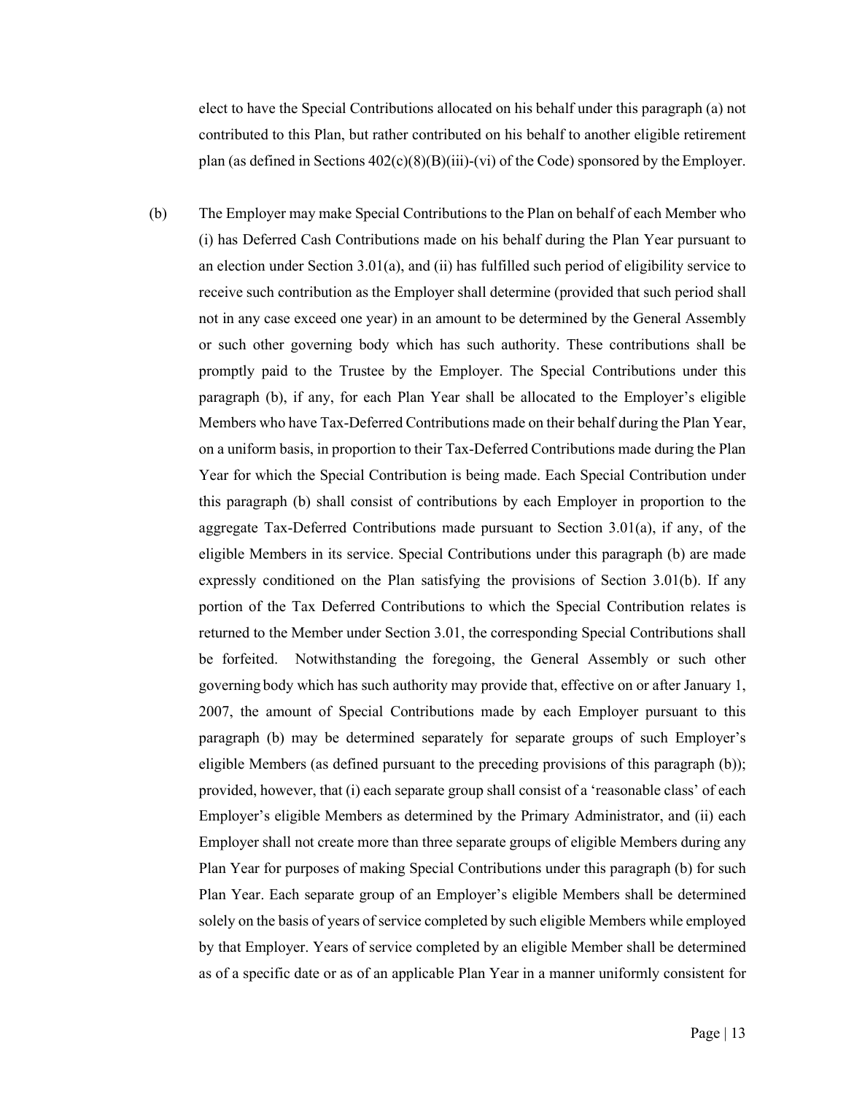elect to have the Special Contributions allocated on his behalf under this paragraph (a) not contributed to this Plan, but rather contributed on his behalf to another eligible retirement plan (as defined in Sections  $402(c)(8)(B)(iii)-(vi)$  of the Code) sponsored by the Employer.

(b) The Employer may make Special Contributions to the Plan on behalf of each Member who (i) has Deferred Cash Contributions made on his behalf during the Plan Year pursuant to an election under Section 3.01(a), and (ii) has fulfilled such period of eligibility service to receive such contribution as the Employer shall determine (provided that such period shall not in any case exceed one year) in an amount to be determined by the General Assembly or such other governing body which has such authority. These contributions shall be promptly paid to the Trustee by the Employer. The Special Contributions under this paragraph (b), if any, for each Plan Year shall be allocated to the Employer's eligible Members who have Tax-Deferred Contributions made on their behalf during the Plan Year, on a uniform basis, in proportion to their Tax-Deferred Contributions made during the Plan Year for which the Special Contribution is being made. Each Special Contribution under this paragraph (b) shall consist of contributions by each Employer in proportion to the aggregate Tax-Deferred Contributions made pursuant to Section 3.01(a), if any, of the eligible Members in its service. Special Contributions under this paragraph (b) are made expressly conditioned on the Plan satisfying the provisions of Section 3.01(b). If any portion of the Tax Deferred Contributions to which the Special Contribution relates is returned to the Member under Section 3.01, the corresponding Special Contributions shall be forfeited. Notwithstanding the foregoing, the General Assembly or such other governing body which has such authority may provide that, effective on or after January 1, 2007, the amount of Special Contributions made by each Employer pursuant to this paragraph (b) may be determined separately for separate groups of such Employer's eligible Members (as defined pursuant to the preceding provisions of this paragraph (b)); provided, however, that (i) each separate group shall consist of a 'reasonable class' of each Employer's eligible Members as determined by the Primary Administrator, and (ii) each Employer shall not create more than three separate groups of eligible Members during any Plan Year for purposes of making Special Contributions under this paragraph (b) for such Plan Year. Each separate group of an Employer's eligible Members shall be determined solely on the basis of years of service completed by such eligible Members while employed by that Employer. Years of service completed by an eligible Member shall be determined as of a specific date or as of an applicable Plan Year in a manner uniformly consistent for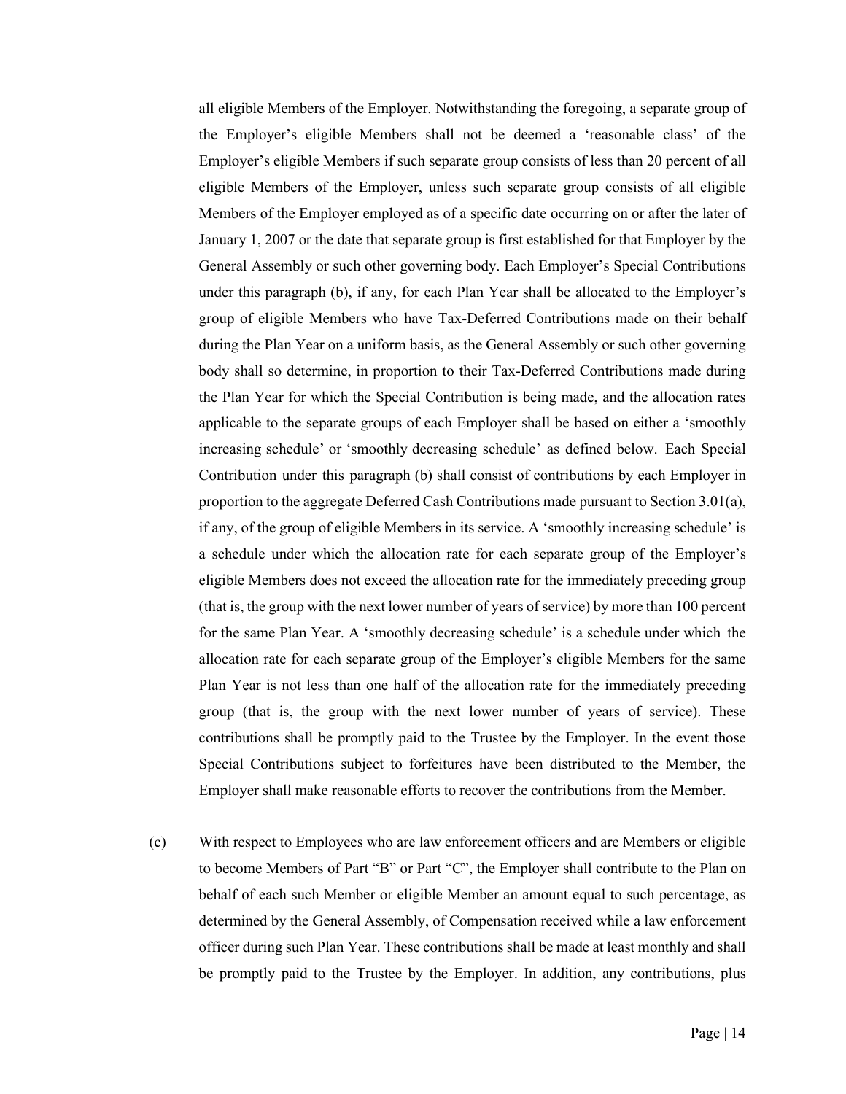all eligible Members of the Employer. Notwithstanding the foregoing, a separate group of the Employer's eligible Members shall not be deemed a 'reasonable class' of the Employer's eligible Members if such separate group consists of less than 20 percent of all eligible Members of the Employer, unless such separate group consists of all eligible Members of the Employer employed as of a specific date occurring on or after the later of January 1, 2007 or the date that separate group is first established for that Employer by the General Assembly or such other governing body. Each Employer's Special Contributions under this paragraph (b), if any, for each Plan Year shall be allocated to the Employer's group of eligible Members who have Tax-Deferred Contributions made on their behalf during the Plan Year on a uniform basis, as the General Assembly or such other governing body shall so determine, in proportion to their Tax-Deferred Contributions made during the Plan Year for which the Special Contribution is being made, and the allocation rates applicable to the separate groups of each Employer shall be based on either a 'smoothly increasing schedule' or 'smoothly decreasing schedule' as defined below. Each Special Contribution under this paragraph (b) shall consist of contributions by each Employer in proportion to the aggregate Deferred Cash Contributions made pursuant to Section 3.01(a), if any, of the group of eligible Members in its service. A 'smoothly increasing schedule' is a schedule under which the allocation rate for each separate group of the Employer's eligible Members does not exceed the allocation rate for the immediately preceding group (that is, the group with the next lower number of years of service) by more than 100 percent for the same Plan Year. A 'smoothly decreasing schedule' is a schedule under which the allocation rate for each separate group of the Employer's eligible Members for the same Plan Year is not less than one half of the allocation rate for the immediately preceding group (that is, the group with the next lower number of years of service). These contributions shall be promptly paid to the Trustee by the Employer. In the event those Special Contributions subject to forfeitures have been distributed to the Member, the Employer shall make reasonable efforts to recover the contributions from the Member.

(c) With respect to Employees who are law enforcement officers and are Members or eligible to become Members of Part "B" or Part "C", the Employer shall contribute to the Plan on behalf of each such Member or eligible Member an amount equal to such percentage, as determined by the General Assembly, of Compensation received while a law enforcement officer during such Plan Year. These contributions shall be made at least monthly and shall be promptly paid to the Trustee by the Employer. In addition, any contributions, plus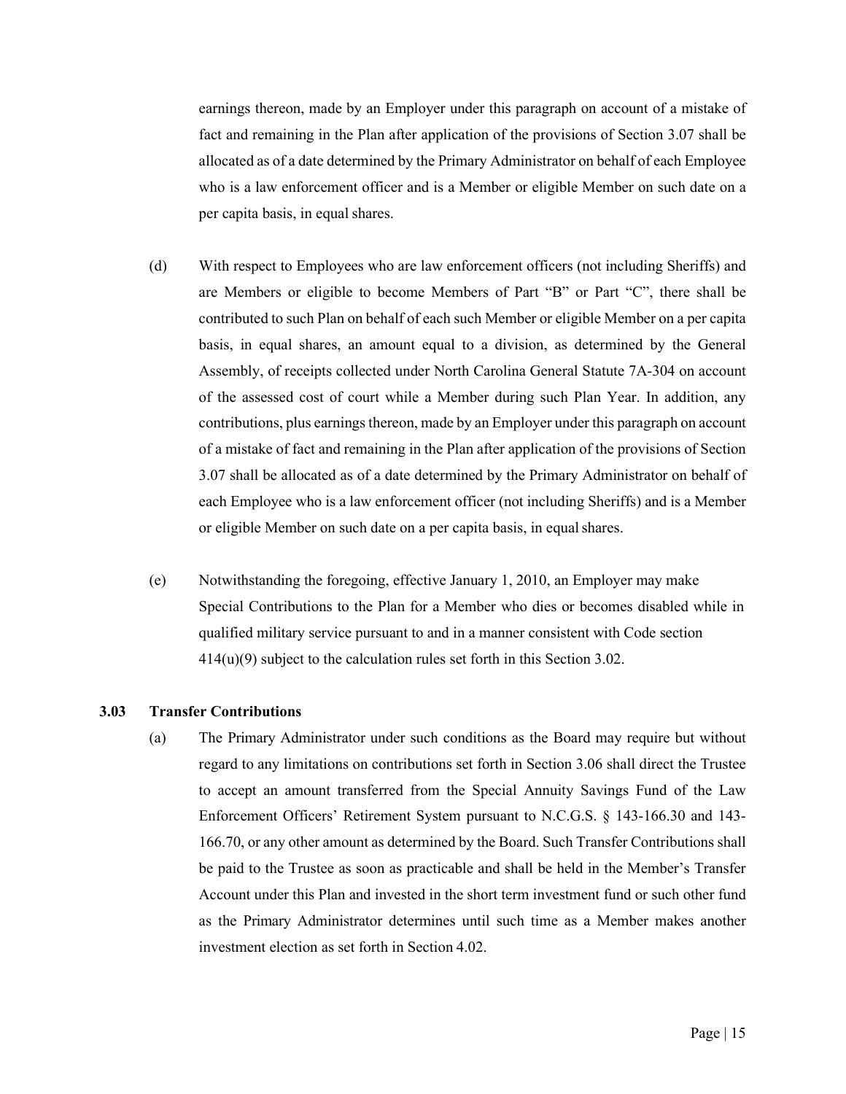earnings thereon, made by an Employer under this paragraph on account of a mistake of fact and remaining in the Plan after application of the provisions of Section 3.07 shall be allocated as of a date determined by the Primary Administrator on behalf of each Employee who is a law enforcement officer and is a Member or eligible Member on such date on a per capita basis, in equal shares.

- (d) With respect to Employees who are law enforcement officers (not including Sheriffs) and are Members or eligible to become Members of Part "B" or Part "C", there shall be contributed to such Plan on behalf of each such Member or eligible Member on a per capita basis, in equal shares, an amount equal to a division, as determined by the General Assembly, of receipts collected under North Carolina General Statute 7A-304 on account of the assessed cost of court while a Member during such Plan Year. In addition, any contributions, plus earnings thereon, made by an Employer under this paragraph on account of a mistake of fact and remaining in the Plan after application of the provisions of Section 3.07 shall be allocated as of a date determined by the Primary Administrator on behalf of each Employee who is a law enforcement officer (not including Sheriffs) and is a Member or eligible Member on such date on a per capita basis, in equal shares.
- (e) Notwithstanding the foregoing, effective January 1, 2010, an Employer may make Special Contributions to the Plan for a Member who dies or becomes disabled while in qualified military service pursuant to and in a manner consistent with Code section  $414(u)(9)$  subject to the calculation rules set forth in this Section 3.02.

#### <span id="page-21-0"></span>**3.03 Transfer Contributions**

(a) The Primary Administrator under such conditions as the Board may require but without regard to any limitations on contributions set forth in Section 3.06 shall direct the Trustee to accept an amount transferred from the Special Annuity Savings Fund of the Law Enforcement Officers' Retirement System pursuant to N.C.G.S. § 143-166.30 and 143- 166.70, or any other amount as determined by the Board. Such Transfer Contributions shall be paid to the Trustee as soon as practicable and shall be held in the Member's Transfer Account under this Plan and invested in the short term investment fund or such other fund as the Primary Administrator determines until such time as a Member makes another investment election as set forth in Section 4.02.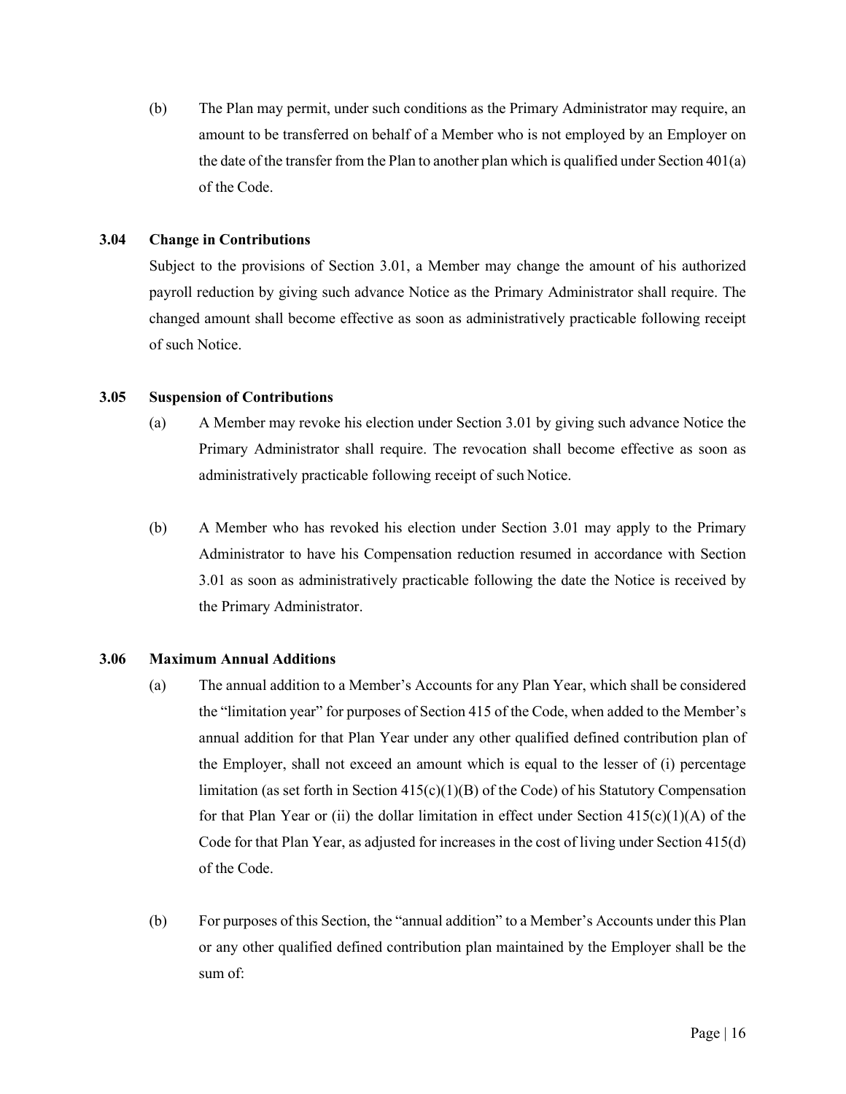(b) The Plan may permit, under such conditions as the Primary Administrator may require, an amount to be transferred on behalf of a Member who is not employed by an Employer on the date of the transfer from the Plan to another plan which is qualified under Section  $401(a)$ of the Code.

# <span id="page-22-0"></span>**3.04 Change in Contributions**

Subject to the provisions of Section 3.01, a Member may change the amount of his authorized payroll reduction by giving such advance Notice as the Primary Administrator shall require. The changed amount shall become effective as soon as administratively practicable following receipt of such Notice.

### <span id="page-22-1"></span>**3.05 Suspension of Contributions**

- (a) A Member may revoke his election under Section 3.01 by giving such advance Notice the Primary Administrator shall require. The revocation shall become effective as soon as administratively practicable following receipt of such Notice.
- (b) A Member who has revoked his election under Section 3.01 may apply to the Primary Administrator to have his Compensation reduction resumed in accordance with Section 3.01 as soon as administratively practicable following the date the Notice is received by the Primary Administrator.

### <span id="page-22-2"></span>**3.06 Maximum Annual Additions**

- (a) The annual addition to a Member's Accounts for any Plan Year, which shall be considered the "limitation year" for purposes of Section 415 of the Code, when added to the Member's annual addition for that Plan Year under any other qualified defined contribution plan of the Employer, shall not exceed an amount which is equal to the lesser of (i) percentage limitation (as set forth in Section 415(c)(1)(B) of the Code) of his Statutory Compensation for that Plan Year or (ii) the dollar limitation in effect under Section  $415(c)(1)(A)$  of the Code for that Plan Year, as adjusted for increases in the cost of living under Section 415(d) of the Code.
- (b) For purposes of this Section, the "annual addition" to a Member's Accounts under this Plan or any other qualified defined contribution plan maintained by the Employer shall be the sum of: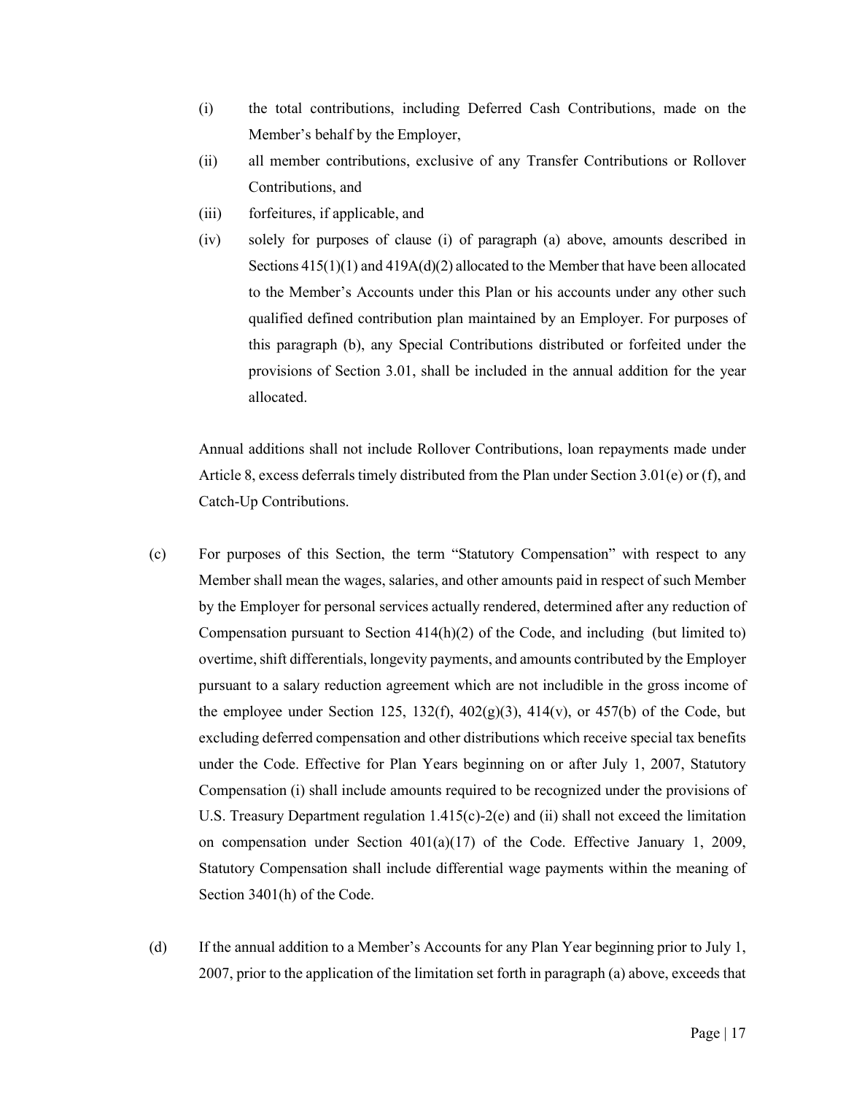- (i) the total contributions, including Deferred Cash Contributions, made on the Member's behalf by the Employer,
- (ii) all member contributions, exclusive of any Transfer Contributions or Rollover Contributions, and
- (iii) forfeitures, if applicable, and
- (iv) solely for purposes of clause (i) of paragraph (a) above, amounts described in Sections  $415(1)(1)$  and  $419A(d)(2)$  allocated to the Member that have been allocated to the Member's Accounts under this Plan or his accounts under any other such qualified defined contribution plan maintained by an Employer. For purposes of this paragraph (b), any Special Contributions distributed or forfeited under the provisions of Section 3.01, shall be included in the annual addition for the year allocated.

Annual additions shall not include Rollover Contributions, loan repayments made under Article 8, excess deferrals timely distributed from the Plan under Section 3.01(e) or (f), and Catch-Up Contributions.

- (c) For purposes of this Section, the term "Statutory Compensation" with respect to any Member shall mean the wages, salaries, and other amounts paid in respect of such Member by the Employer for personal services actually rendered, determined after any reduction of Compensation pursuant to Section  $414(h)(2)$  of the Code, and including (but limited to) overtime, shift differentials, longevity payments, and amounts contributed by the Employer pursuant to a salary reduction agreement which are not includible in the gross income of the employee under Section 125, 132(f),  $402(g)(3)$ ,  $414(v)$ , or  $457(b)$  of the Code, but excluding deferred compensation and other distributions which receive special tax benefits under the Code. Effective for Plan Years beginning on or after July 1, 2007, Statutory Compensation (i) shall include amounts required to be recognized under the provisions of U.S. Treasury Department regulation  $1.415(c)$ -2(e) and (ii) shall not exceed the limitation on compensation under Section  $401(a)(17)$  of the Code. Effective January 1, 2009, Statutory Compensation shall include differential wage payments within the meaning of Section 3401(h) of the Code.
- (d) If the annual addition to a Member's Accounts for any Plan Year beginning prior to July 1, 2007, prior to the application of the limitation set forth in paragraph (a) above, exceeds that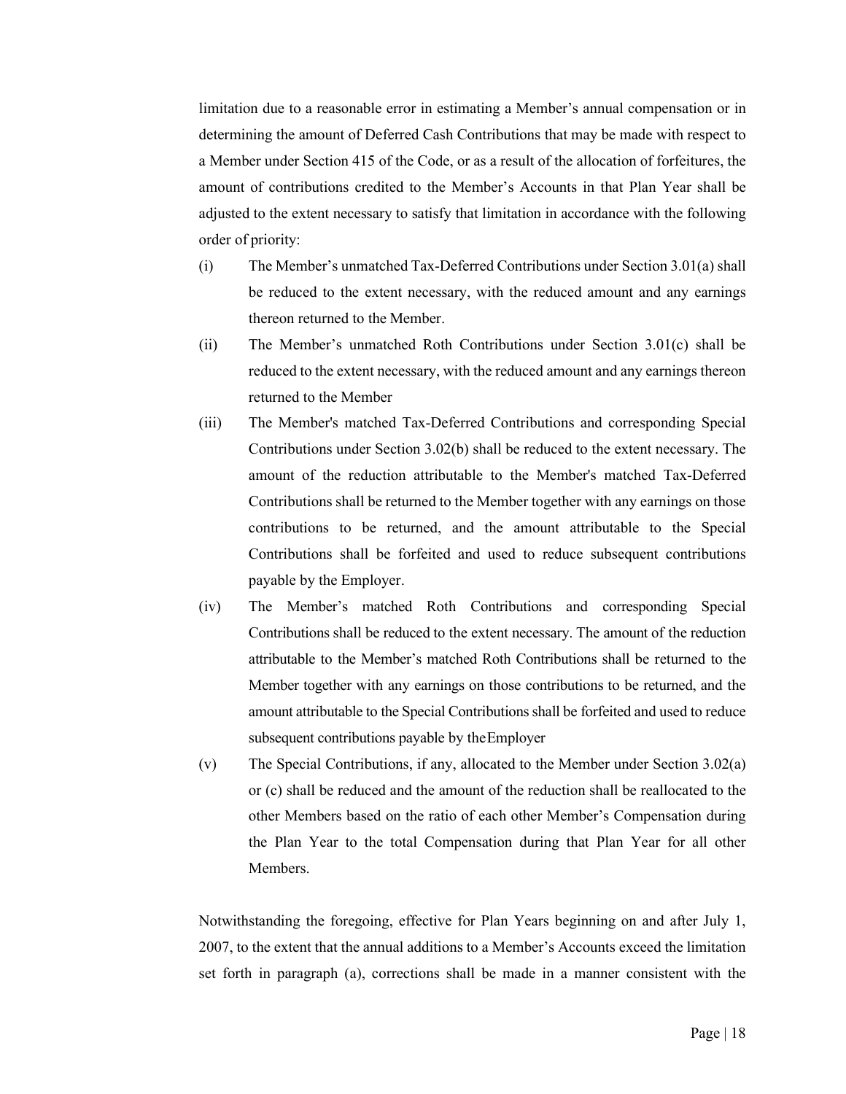limitation due to a reasonable error in estimating a Member's annual compensation or in determining the amount of Deferred Cash Contributions that may be made with respect to a Member under Section 415 of the Code, or as a result of the allocation of forfeitures, the amount of contributions credited to the Member's Accounts in that Plan Year shall be adjusted to the extent necessary to satisfy that limitation in accordance with the following order of priority:

- (i) The Member's unmatched Tax-Deferred Contributions under Section 3.01(a) shall be reduced to the extent necessary, with the reduced amount and any earnings thereon returned to the Member.
- (ii) The Member's unmatched Roth Contributions under Section 3.01(c) shall be reduced to the extent necessary, with the reduced amount and any earnings thereon returned to the Member
- (iii) The Member's matched Tax-Deferred Contributions and corresponding Special Contributions under Section 3.02(b) shall be reduced to the extent necessary. The amount of the reduction attributable to the Member's matched Tax-Deferred Contributions shall be returned to the Member together with any earnings on those contributions to be returned, and the amount attributable to the Special Contributions shall be forfeited and used to reduce subsequent contributions payable by the Employer.
- (iv) The Member's matched Roth Contributions and corresponding Special Contributions shall be reduced to the extent necessary. The amount of the reduction attributable to the Member's matched Roth Contributions shall be returned to the Member together with any earnings on those contributions to be returned, and the amount attributable to the Special Contributions shall be forfeited and used to reduce subsequent contributions payable by theEmployer
- (v) The Special Contributions, if any, allocated to the Member under Section 3.02(a) or (c) shall be reduced and the amount of the reduction shall be reallocated to the other Members based on the ratio of each other Member's Compensation during the Plan Year to the total Compensation during that Plan Year for all other Members.

Notwithstanding the foregoing, effective for Plan Years beginning on and after July 1, 2007, to the extent that the annual additions to a Member's Accounts exceed the limitation set forth in paragraph (a), corrections shall be made in a manner consistent with the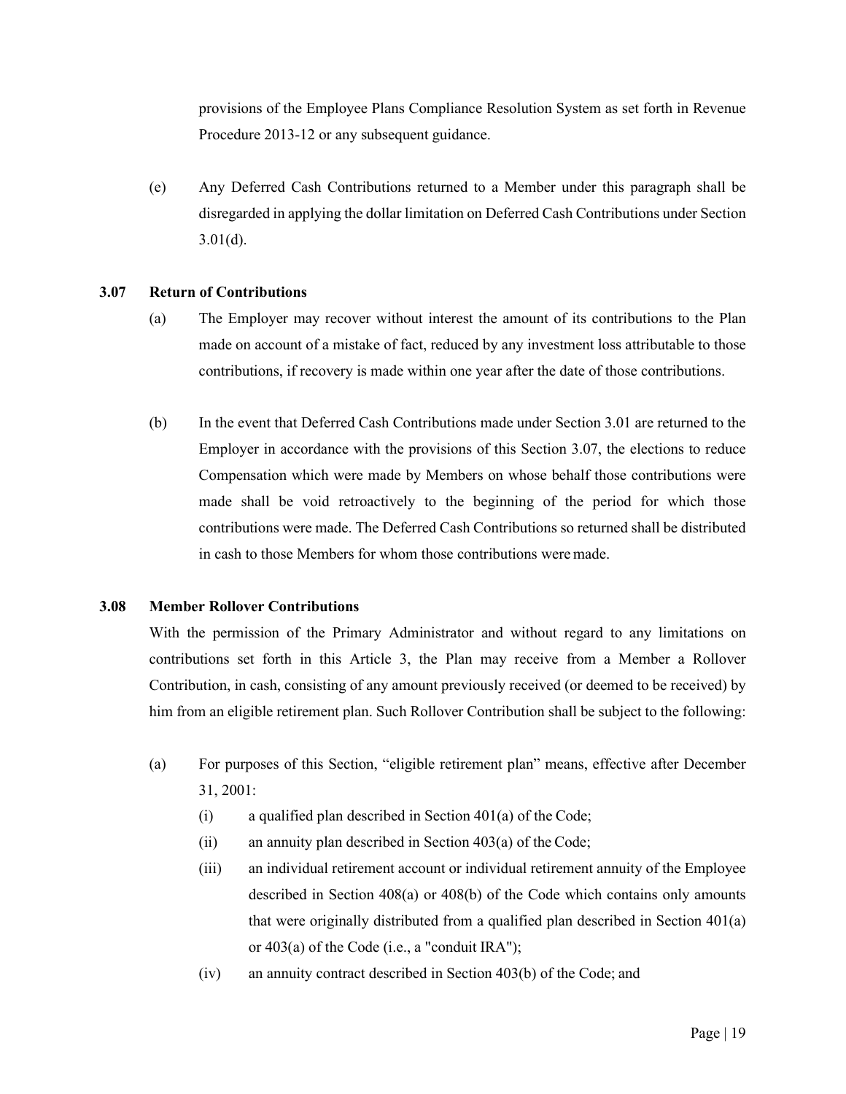provisions of the Employee Plans Compliance Resolution System as set forth in Revenue Procedure 2013-12 or any subsequent guidance.

(e) Any Deferred Cash Contributions returned to a Member under this paragraph shall be disregarded in applying the dollar limitation on Deferred Cash Contributions under Section  $3.01(d)$ .

### <span id="page-25-0"></span>**3.07 Return of Contributions**

- (a) The Employer may recover without interest the amount of its contributions to the Plan made on account of a mistake of fact, reduced by any investment loss attributable to those contributions, if recovery is made within one year after the date of those contributions.
- (b) In the event that Deferred Cash Contributions made under Section 3.01 are returned to the Employer in accordance with the provisions of this Section 3.07, the elections to reduce Compensation which were made by Members on whose behalf those contributions were made shall be void retroactively to the beginning of the period for which those contributions were made. The Deferred Cash Contributions so returned shall be distributed in cash to those Members for whom those contributions weremade.

### <span id="page-25-1"></span>**3.08 Member Rollover Contributions**

With the permission of the Primary Administrator and without regard to any limitations on contributions set forth in this Article 3, the Plan may receive from a Member a Rollover Contribution, in cash, consisting of any amount previously received (or deemed to be received) by him from an eligible retirement plan. Such Rollover Contribution shall be subject to the following:

- (a) For purposes of this Section, "eligible retirement plan" means, effective after December 31, 2001:
	- (i) a qualified plan described in Section  $401(a)$  of the Code;
	- (ii) an annuity plan described in Section 403(a) of the Code;
	- (iii) an individual retirement account or individual retirement annuity of the Employee described in Section 408(a) or 408(b) of the Code which contains only amounts that were originally distributed from a qualified plan described in Section 401(a) or 403(a) of the Code (i.e., a "conduit IRA");
	- (iv) an annuity contract described in Section 403(b) of the Code; and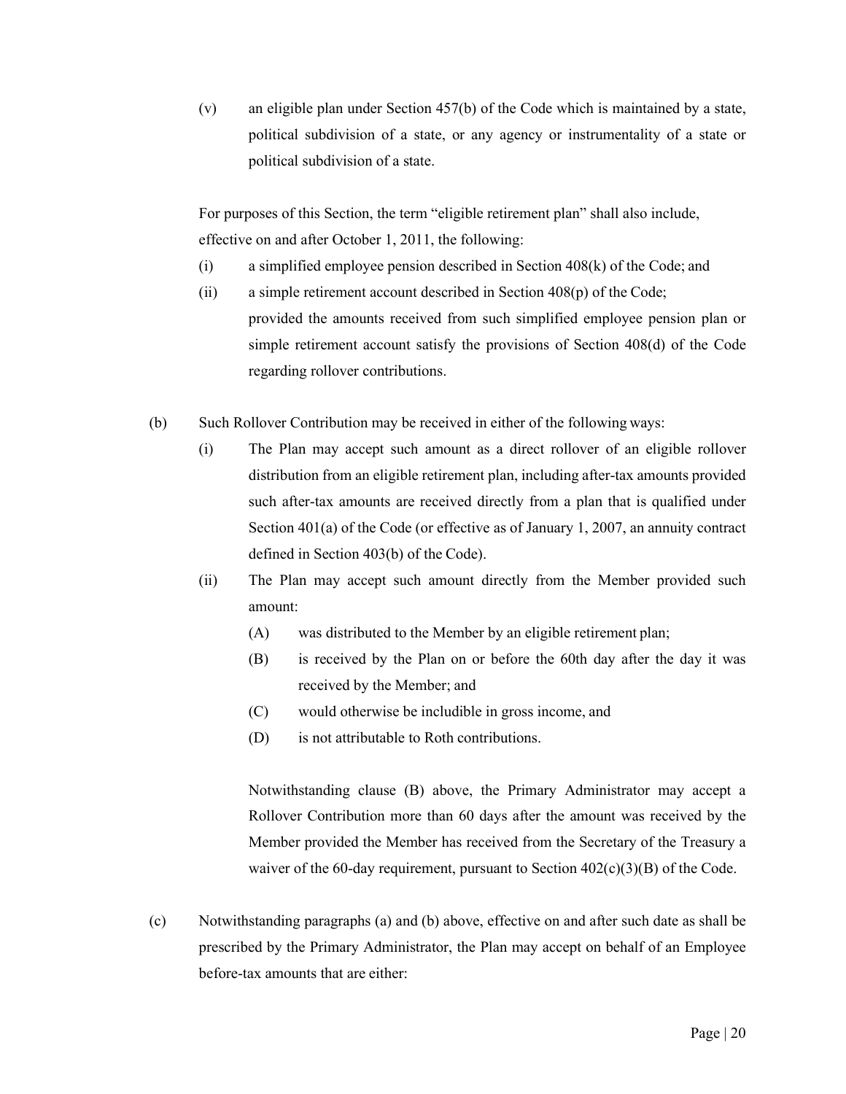(v) an eligible plan under Section 457(b) of the Code which is maintained by a state, political subdivision of a state, or any agency or instrumentality of a state or political subdivision of a state.

For purposes of this Section, the term "eligible retirement plan" shall also include, effective on and after October 1, 2011, the following:

- (i) a simplified employee pension described in Section 408(k) of the Code; and
- (ii) a simple retirement account described in Section 408(p) of the Code; provided the amounts received from such simplified employee pension plan or simple retirement account satisfy the provisions of Section 408(d) of the Code regarding rollover contributions.
- (b) Such Rollover Contribution may be received in either of the following ways:
	- (i) The Plan may accept such amount as a direct rollover of an eligible rollover distribution from an eligible retirement plan, including after-tax amounts provided such after-tax amounts are received directly from a plan that is qualified under Section 401(a) of the Code (or effective as of January 1, 2007, an annuity contract defined in Section 403(b) of the Code).
	- (ii) The Plan may accept such amount directly from the Member provided such amount:
		- (A) was distributed to the Member by an eligible retirement plan;
		- (B) is received by the Plan on or before the 60th day after the day it was received by the Member; and
		- (C) would otherwise be includible in gross income, and
		- (D) is not attributable to Roth contributions.

Notwithstanding clause (B) above, the Primary Administrator may accept a Rollover Contribution more than 60 days after the amount was received by the Member provided the Member has received from the Secretary of the Treasury a waiver of the 60-day requirement, pursuant to Section  $402(c)(3)(B)$  of the Code.

(c) Notwithstanding paragraphs (a) and (b) above, effective on and after such date as shall be prescribed by the Primary Administrator, the Plan may accept on behalf of an Employee before-tax amounts that are either: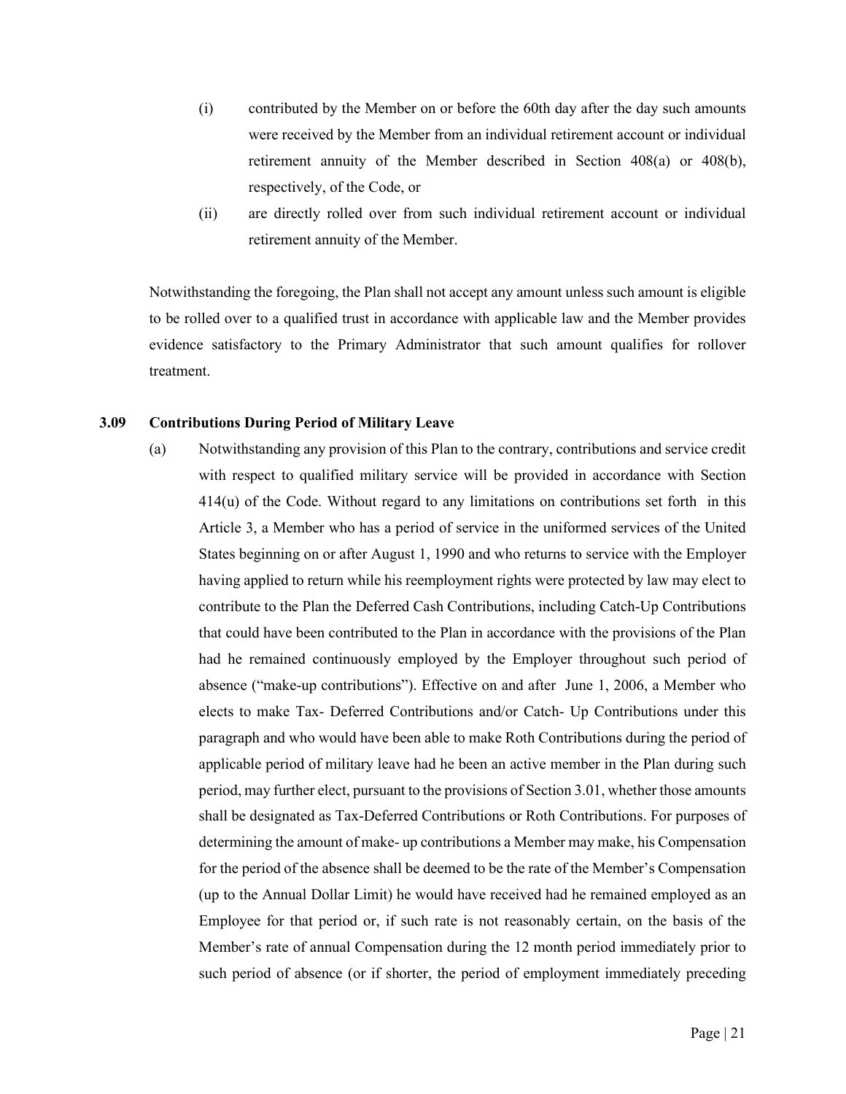- (i) contributed by the Member on or before the 60th day after the day such amounts were received by the Member from an individual retirement account or individual retirement annuity of the Member described in Section 408(a) or 408(b), respectively, of the Code, or
- (ii) are directly rolled over from such individual retirement account or individual retirement annuity of the Member.

Notwithstanding the foregoing, the Plan shall not accept any amount unless such amount is eligible to be rolled over to a qualified trust in accordance with applicable law and the Member provides evidence satisfactory to the Primary Administrator that such amount qualifies for rollover treatment.

# <span id="page-27-0"></span>**3.09 Contributions During Period of Military Leave**

(a) Notwithstanding any provision of this Plan to the contrary, contributions and service credit with respect to qualified military service will be provided in accordance with Section 414(u) of the Code. Without regard to any limitations on contributions set forth in this Article 3, a Member who has a period of service in the uniformed services of the United States beginning on or after August 1, 1990 and who returns to service with the Employer having applied to return while his reemployment rights were protected by law may elect to contribute to the Plan the Deferred Cash Contributions, including Catch-Up Contributions that could have been contributed to the Plan in accordance with the provisions of the Plan had he remained continuously employed by the Employer throughout such period of absence ("make-up contributions"). Effective on and after June 1, 2006, a Member who elects to make Tax- Deferred Contributions and/or Catch- Up Contributions under this paragraph and who would have been able to make Roth Contributions during the period of applicable period of military leave had he been an active member in the Plan during such period, may further elect, pursuant to the provisions of Section 3.01, whether those amounts shall be designated as Tax-Deferred Contributions or Roth Contributions. For purposes of determining the amount of make- up contributions a Member may make, his Compensation for the period of the absence shall be deemed to be the rate of the Member's Compensation (up to the Annual Dollar Limit) he would have received had he remained employed as an Employee for that period or, if such rate is not reasonably certain, on the basis of the Member's rate of annual Compensation during the 12 month period immediately prior to such period of absence (or if shorter, the period of employment immediately preceding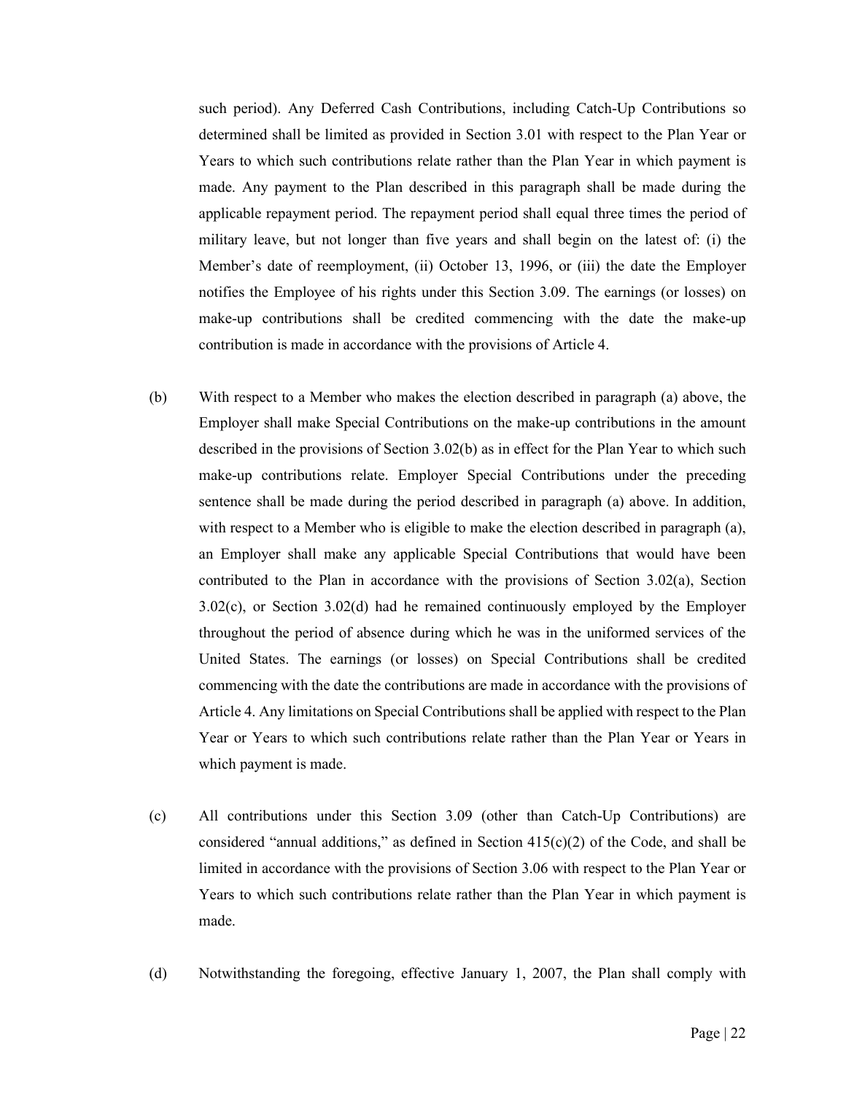such period). Any Deferred Cash Contributions, including Catch-Up Contributions so determined shall be limited as provided in Section 3.01 with respect to the Plan Year or Years to which such contributions relate rather than the Plan Year in which payment is made. Any payment to the Plan described in this paragraph shall be made during the applicable repayment period. The repayment period shall equal three times the period of military leave, but not longer than five years and shall begin on the latest of: (i) the Member's date of reemployment, (ii) October 13, 1996, or (iii) the date the Employer notifies the Employee of his rights under this Section 3.09. The earnings (or losses) on make-up contributions shall be credited commencing with the date the make-up contribution is made in accordance with the provisions of Article 4.

- (b) With respect to a Member who makes the election described in paragraph (a) above, the Employer shall make Special Contributions on the make-up contributions in the amount described in the provisions of Section 3.02(b) as in effect for the Plan Year to which such make-up contributions relate. Employer Special Contributions under the preceding sentence shall be made during the period described in paragraph (a) above. In addition, with respect to a Member who is eligible to make the election described in paragraph (a), an Employer shall make any applicable Special Contributions that would have been contributed to the Plan in accordance with the provisions of Section 3.02(a), Section 3.02(c), or Section 3.02(d) had he remained continuously employed by the Employer throughout the period of absence during which he was in the uniformed services of the United States. The earnings (or losses) on Special Contributions shall be credited commencing with the date the contributions are made in accordance with the provisions of Article 4. Any limitations on Special Contributions shall be applied with respect to the Plan Year or Years to which such contributions relate rather than the Plan Year or Years in which payment is made.
- (c) All contributions under this Section 3.09 (other than Catch-Up Contributions) are considered "annual additions," as defined in Section  $415(c)(2)$  of the Code, and shall be limited in accordance with the provisions of Section 3.06 with respect to the Plan Year or Years to which such contributions relate rather than the Plan Year in which payment is made.
- (d) Notwithstanding the foregoing, effective January 1, 2007, the Plan shall comply with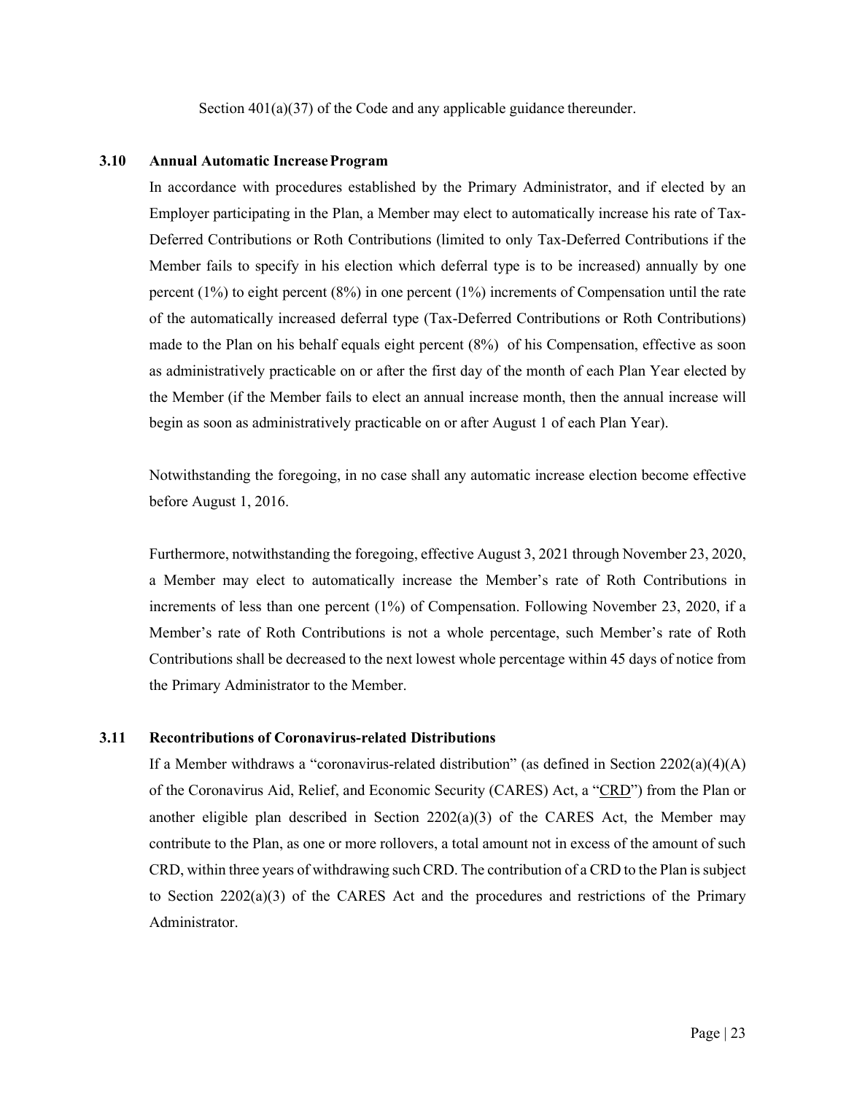Section  $401(a)(37)$  of the Code and any applicable guidance thereunder.

## <span id="page-29-0"></span>**3.10 Annual Automatic IncreaseProgram**

In accordance with procedures established by the Primary Administrator, and if elected by an Employer participating in the Plan, a Member may elect to automatically increase his rate of Tax-Deferred Contributions or Roth Contributions (limited to only Tax-Deferred Contributions if the Member fails to specify in his election which deferral type is to be increased) annually by one percent (1%) to eight percent (8%) in one percent (1%) increments of Compensation until the rate of the automatically increased deferral type (Tax-Deferred Contributions or Roth Contributions) made to the Plan on his behalf equals eight percent (8%) of his Compensation, effective as soon as administratively practicable on or after the first day of the month of each Plan Year elected by the Member (if the Member fails to elect an annual increase month, then the annual increase will begin as soon as administratively practicable on or after August 1 of each Plan Year).

Notwithstanding the foregoing, in no case shall any automatic increase election become effective before August 1, 2016.

Furthermore, notwithstanding the foregoing, effective August 3, 2021 through November 23, 2020, a Member may elect to automatically increase the Member's rate of Roth Contributions in increments of less than one percent (1%) of Compensation. Following November 23, 2020, if a Member's rate of Roth Contributions is not a whole percentage, such Member's rate of Roth Contributions shall be decreased to the next lowest whole percentage within 45 days of notice from the Primary Administrator to the Member.

# **3.11 Recontributions of Coronavirus-related Distributions**

If a Member withdraws a "coronavirus-related distribution" (as defined in Section 2202(a)(4)(A) of the Coronavirus Aid, Relief, and Economic Security (CARES) Act, a "CRD") from the Plan or another eligible plan described in Section  $2202(a)(3)$  of the CARES Act, the Member may contribute to the Plan, as one or more rollovers, a total amount not in excess of the amount of such CRD, within three years of withdrawing such CRD. The contribution of a CRD to the Plan is subject to Section  $2202(a)(3)$  of the CARES Act and the procedures and restrictions of the Primary Administrator.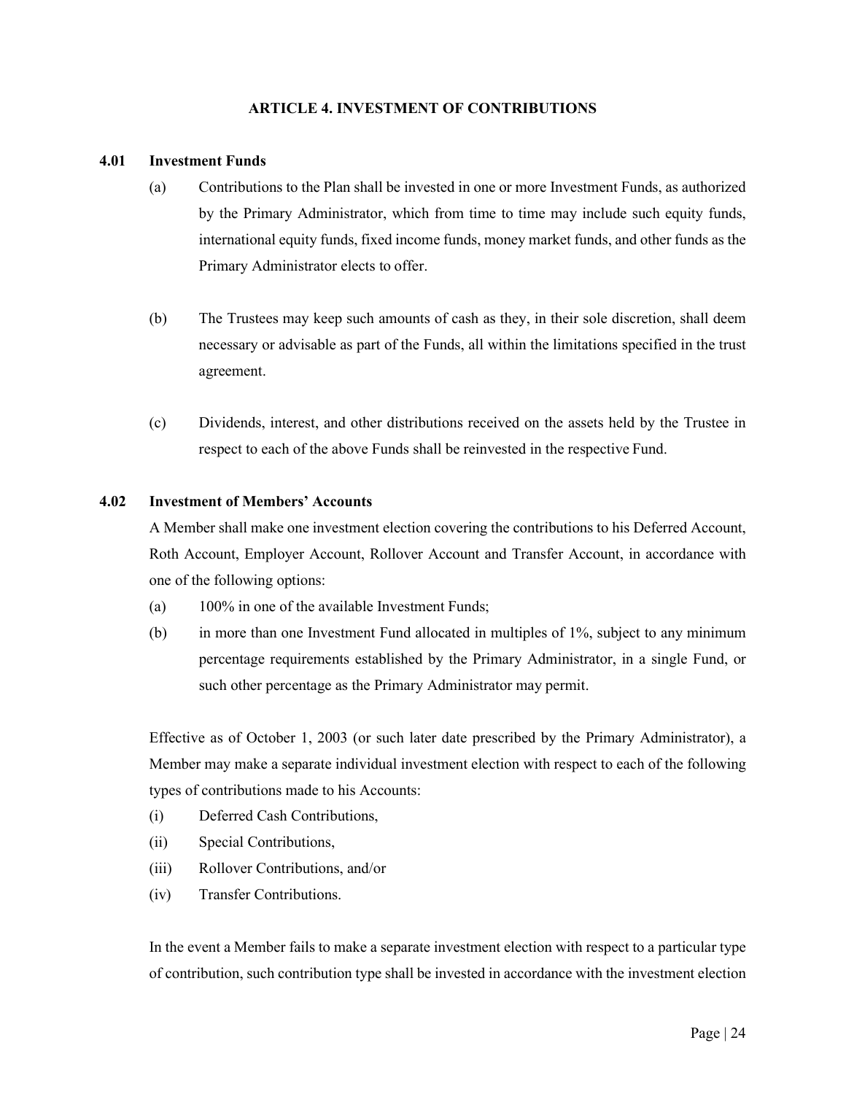# **ARTICLE 4. INVESTMENT OF CONTRIBUTIONS**

# <span id="page-30-1"></span><span id="page-30-0"></span>**4.01 Investment Funds**

- (a) Contributions to the Plan shall be invested in one or more Investment Funds, as authorized by the Primary Administrator, which from time to time may include such equity funds, international equity funds, fixed income funds, money market funds, and other funds as the Primary Administrator elects to offer.
- (b) The Trustees may keep such amounts of cash as they, in their sole discretion, shall deem necessary or advisable as part of the Funds, all within the limitations specified in the trust agreement.
- (c) Dividends, interest, and other distributions received on the assets held by the Trustee in respect to each of the above Funds shall be reinvested in the respective Fund.

# <span id="page-30-2"></span>**4.02 Investment of Members' Accounts**

A Member shall make one investment election covering the contributions to his Deferred Account, Roth Account, Employer Account, Rollover Account and Transfer Account, in accordance with one of the following options:

- (a) 100% in one of the available Investment Funds;
- (b) in more than one Investment Fund allocated in multiples of 1%, subject to any minimum percentage requirements established by the Primary Administrator, in a single Fund, or such other percentage as the Primary Administrator may permit.

Effective as of October 1, 2003 (or such later date prescribed by the Primary Administrator), a Member may make a separate individual investment election with respect to each of the following types of contributions made to his Accounts:

- (i) Deferred Cash Contributions,
- (ii) Special Contributions,
- (iii) Rollover Contributions, and/or
- (iv) Transfer Contributions.

In the event a Member fails to make a separate investment election with respect to a particular type of contribution, such contribution type shall be invested in accordance with the investment election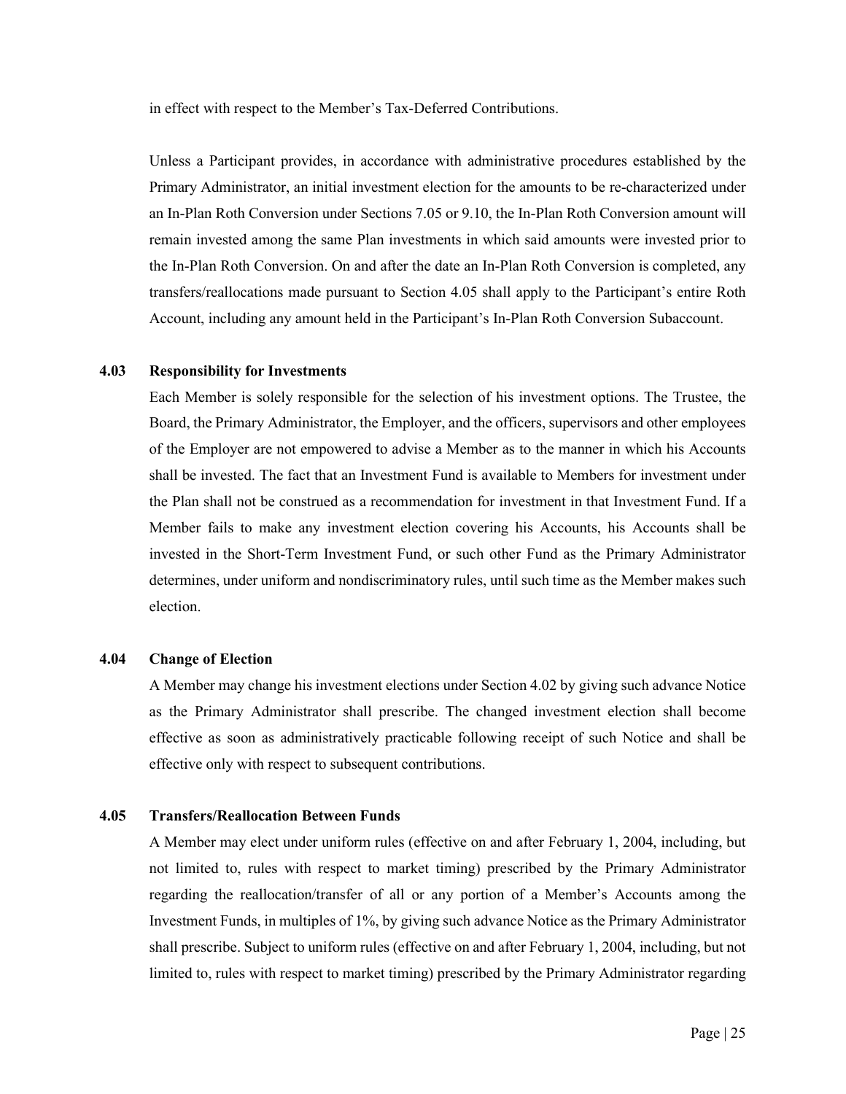in effect with respect to the Member's Tax-Deferred Contributions.

Unless a Participant provides, in accordance with administrative procedures established by the Primary Administrator, an initial investment election for the amounts to be re-characterized under an In-Plan Roth Conversion under Sections 7.05 or 9.10, the In-Plan Roth Conversion amount will remain invested among the same Plan investments in which said amounts were invested prior to the In-Plan Roth Conversion. On and after the date an In-Plan Roth Conversion is completed, any transfers/reallocations made pursuant to Section 4.05 shall apply to the Participant's entire Roth Account, including any amount held in the Participant's In-Plan Roth Conversion Subaccount.

#### <span id="page-31-0"></span>**4.03 Responsibility for Investments**

Each Member is solely responsible for the selection of his investment options. The Trustee, the Board, the Primary Administrator, the Employer, and the officers, supervisors and other employees of the Employer are not empowered to advise a Member as to the manner in which his Accounts shall be invested. The fact that an Investment Fund is available to Members for investment under the Plan shall not be construed as a recommendation for investment in that Investment Fund. If a Member fails to make any investment election covering his Accounts, his Accounts shall be invested in the Short-Term Investment Fund, or such other Fund as the Primary Administrator determines, under uniform and nondiscriminatory rules, until such time as the Member makes such election.

#### <span id="page-31-1"></span>**4.04 Change of Election**

A Member may change his investment elections under Section 4.02 by giving such advance Notice as the Primary Administrator shall prescribe. The changed investment election shall become effective as soon as administratively practicable following receipt of such Notice and shall be effective only with respect to subsequent contributions.

#### <span id="page-31-2"></span>**4.05 Transfers/Reallocation Between Funds**

A Member may elect under uniform rules (effective on and after February 1, 2004, including, but not limited to, rules with respect to market timing) prescribed by the Primary Administrator regarding the reallocation/transfer of all or any portion of a Member's Accounts among the Investment Funds, in multiples of 1%, by giving such advance Notice as the Primary Administrator shall prescribe. Subject to uniform rules (effective on and after February 1, 2004, including, but not limited to, rules with respect to market timing) prescribed by the Primary Administrator regarding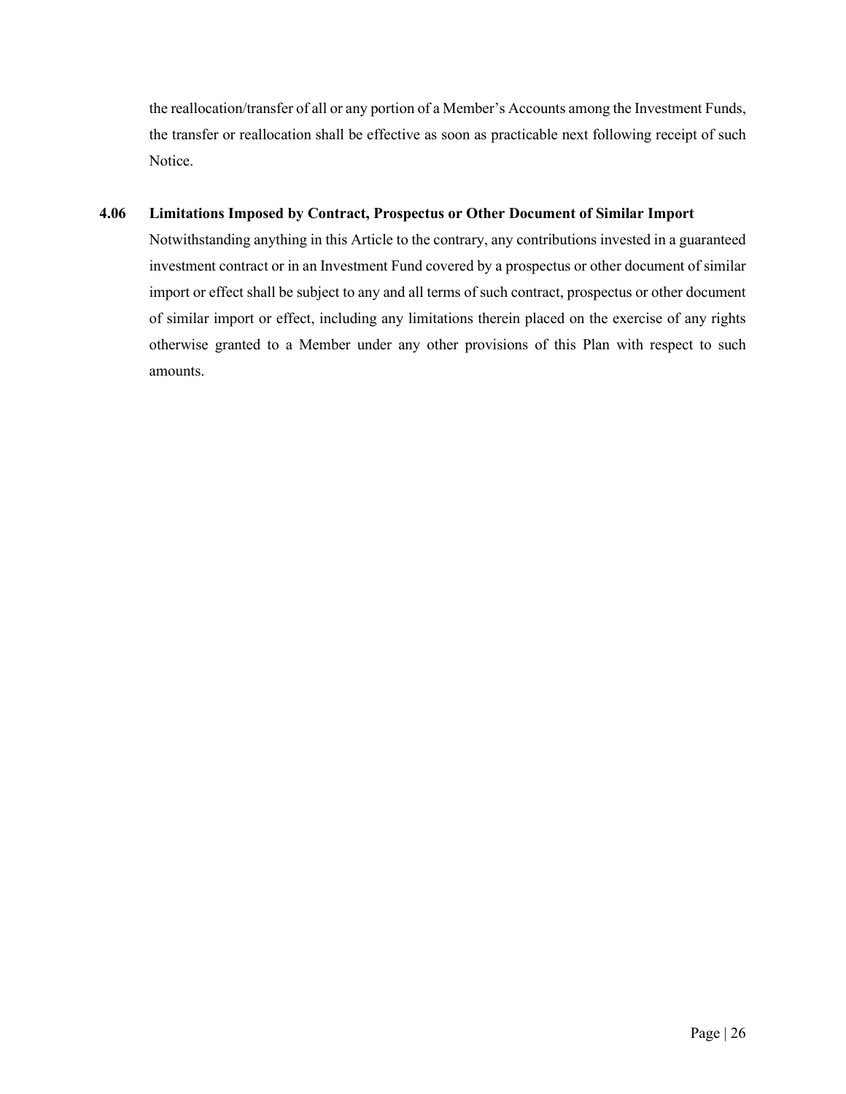the reallocation/transfer of all or any portion of a Member's Accounts among the Investment Funds, the transfer or reallocation shall be effective as soon as practicable next following receipt of such Notice.

# **4.06 Limitations Imposed by Contract, Prospectus or Other Document of Similar Import**

Notwithstanding anything in this Article to the contrary, any contributions invested in a guaranteed investment contract or in an Investment Fund covered by a prospectus or other document of similar import or effect shall be subject to any and all terms of such contract, prospectus or other document of similar import or effect, including any limitations therein placed on the exercise of any rights otherwise granted to a Member under any other provisions of this Plan with respect to such amounts.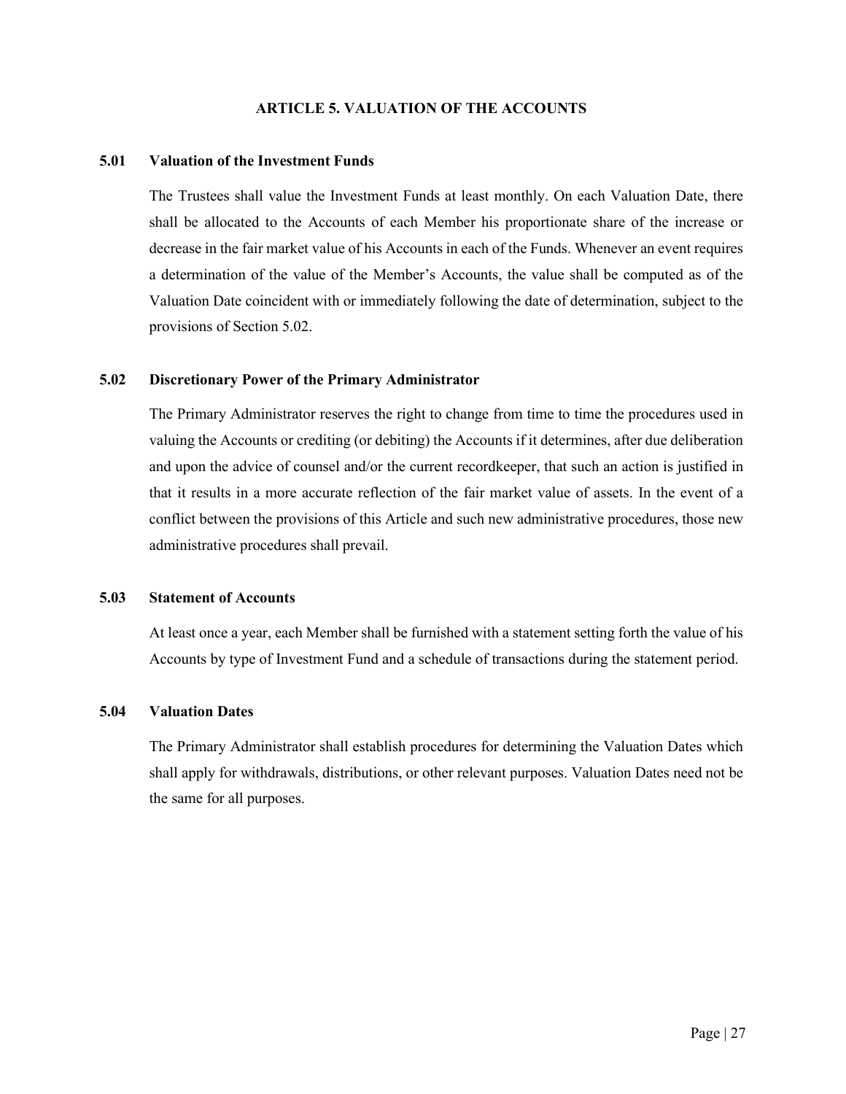## **ARTICLE 5. VALUATION OF THE ACCOUNTS**

#### <span id="page-33-1"></span><span id="page-33-0"></span>**5.01 Valuation of the Investment Funds**

The Trustees shall value the Investment Funds at least monthly. On each Valuation Date, there shall be allocated to the Accounts of each Member his proportionate share of the increase or decrease in the fair market value of his Accounts in each of the Funds. Whenever an event requires a determination of the value of the Member's Accounts, the value shall be computed as of the Valuation Date coincident with or immediately following the date of determination, subject to the provisions of Section 5.02.

# <span id="page-33-2"></span>**5.02 Discretionary Power of the Primary Administrator**

The Primary Administrator reserves the right to change from time to time the procedures used in valuing the Accounts or crediting (or debiting) the Accounts if it determines, after due deliberation and upon the advice of counsel and/or the current recordkeeper, that such an action is justified in that it results in a more accurate reflection of the fair market value of assets. In the event of a conflict between the provisions of this Article and such new administrative procedures, those new administrative procedures shall prevail.

#### <span id="page-33-3"></span>**5.03 Statement of Accounts**

At least once a year, each Member shall be furnished with a statement setting forth the value of his Accounts by type of Investment Fund and a schedule of transactions during the statement period.

#### <span id="page-33-4"></span>**5.04 Valuation Dates**

The Primary Administrator shall establish procedures for determining the Valuation Dates which shall apply for withdrawals, distributions, or other relevant purposes. Valuation Dates need not be the same for all purposes.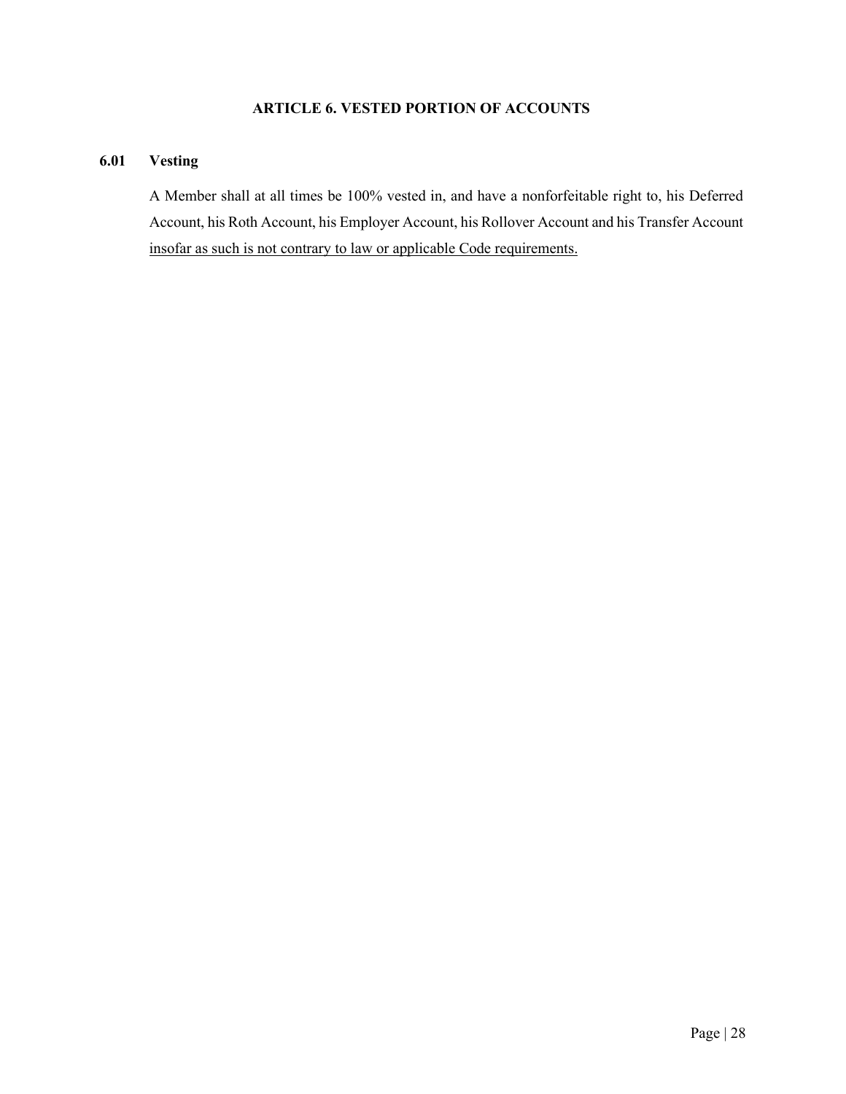# **ARTICLE 6. VESTED PORTION OF ACCOUNTS**

# <span id="page-34-1"></span><span id="page-34-0"></span>**6.01 Vesting**

A Member shall at all times be 100% vested in, and have a nonforfeitable right to, his Deferred Account, his Roth Account, his Employer Account, his Rollover Account and his Transfer Account insofar as such is not contrary to law or applicable Code requirements.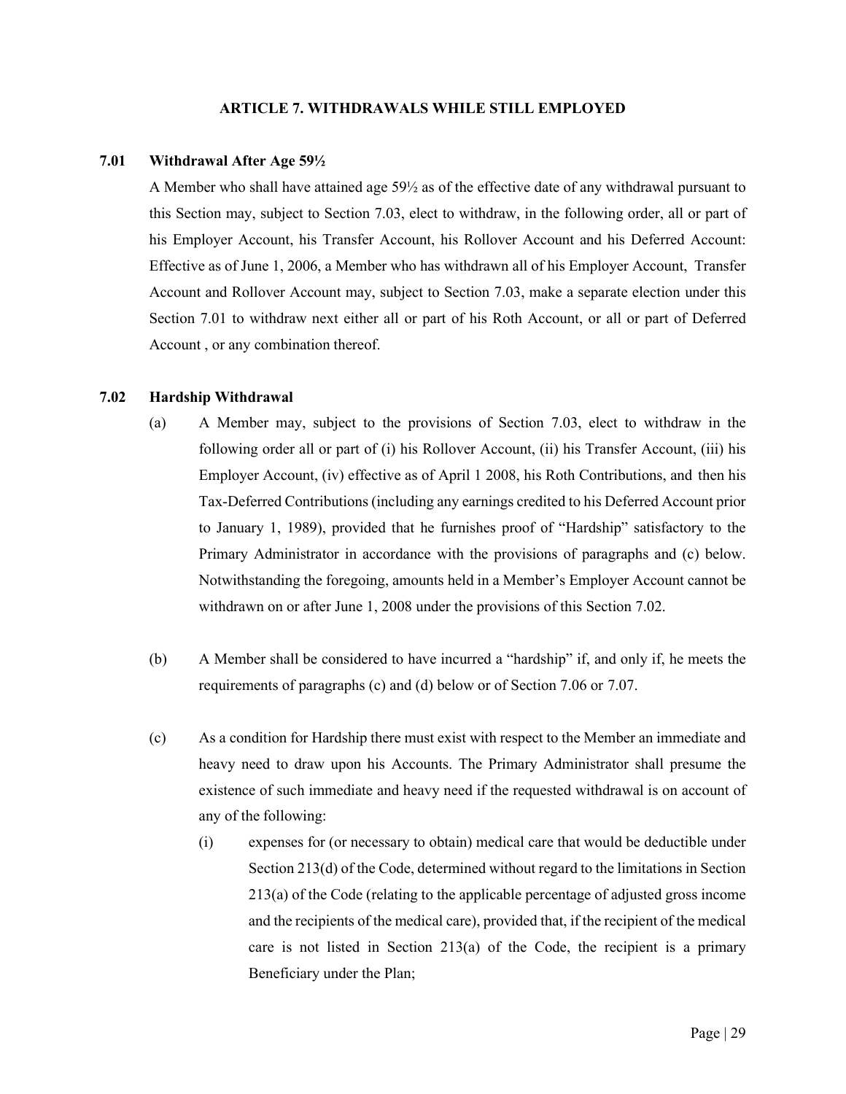#### **ARTICLE 7. WITHDRAWALS WHILE STILL EMPLOYED**

## <span id="page-35-1"></span><span id="page-35-0"></span>**7.01 Withdrawal After Age 59½**

A Member who shall have attained age 59½ as of the effective date of any withdrawal pursuant to this Section may, subject to Section 7.03, elect to withdraw, in the following order, all or part of his Employer Account, his Transfer Account, his Rollover Account and his Deferred Account: Effective as of June 1, 2006, a Member who has withdrawn all of his Employer Account, Transfer Account and Rollover Account may, subject to Section 7.03, make a separate election under this Section 7.01 to withdraw next either all or part of his Roth Account, or all or part of Deferred Account , or any combination thereof.

# <span id="page-35-2"></span>**7.02 Hardship Withdrawal**

- (a) A Member may, subject to the provisions of Section 7.03, elect to withdraw in the following order all or part of (i) his Rollover Account, (ii) his Transfer Account, (iii) his Employer Account, (iv) effective as of April 1 2008, his Roth Contributions, and then his Tax-Deferred Contributions (including any earnings credited to his Deferred Account prior to January 1, 1989), provided that he furnishes proof of "Hardship" satisfactory to the Primary Administrator in accordance with the provisions of paragraphs and (c) below. Notwithstanding the foregoing, amounts held in a Member's Employer Account cannot be withdrawn on or after June 1, 2008 under the provisions of this Section 7.02.
- (b) A Member shall be considered to have incurred a "hardship" if, and only if, he meets the requirements of paragraphs (c) and (d) below or of Section 7.06 or 7.07.
- (c) As a condition for Hardship there must exist with respect to the Member an immediate and heavy need to draw upon his Accounts. The Primary Administrator shall presume the existence of such immediate and heavy need if the requested withdrawal is on account of any of the following:
	- (i) expenses for (or necessary to obtain) medical care that would be deductible under Section 213(d) of the Code, determined without regard to the limitations in Section 213(a) of the Code (relating to the applicable percentage of adjusted gross income and the recipients of the medical care), provided that, if the recipient of the medical care is not listed in Section 213(a) of the Code, the recipient is a primary Beneficiary under the Plan;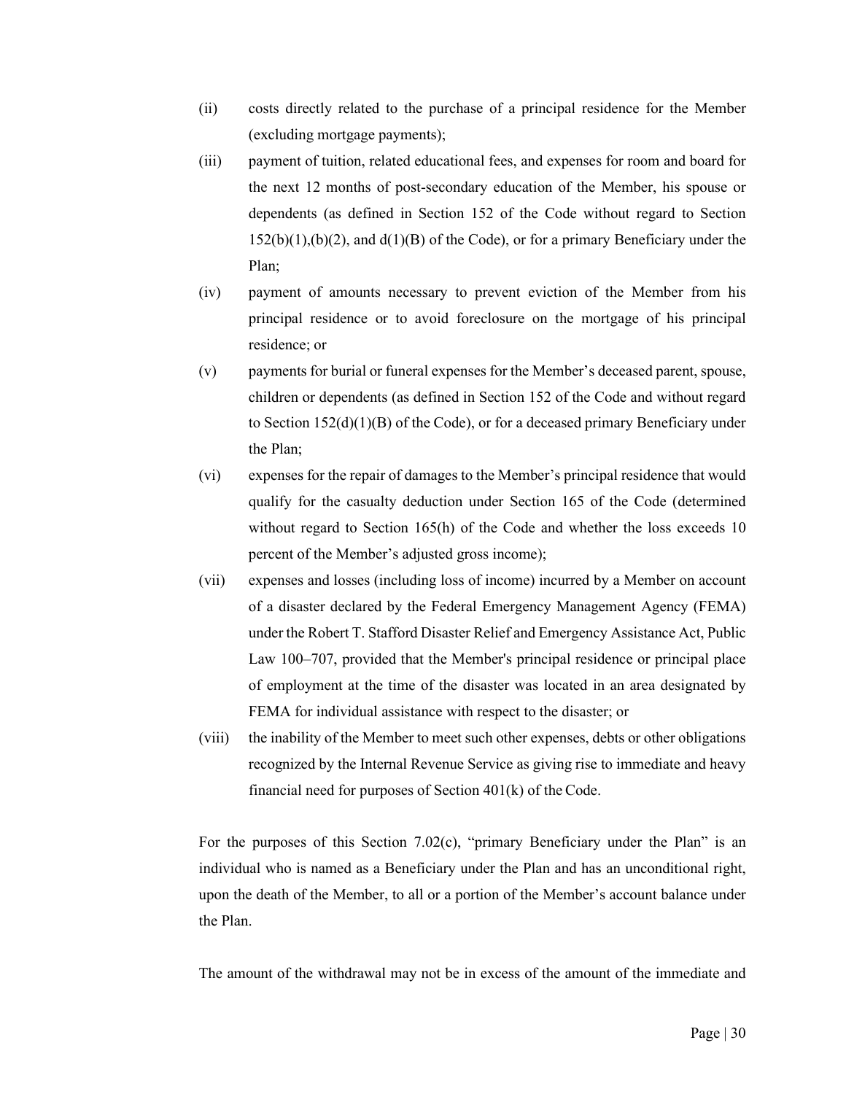- (ii) costs directly related to the purchase of a principal residence for the Member (excluding mortgage payments);
- (iii) payment of tuition, related educational fees, and expenses for room and board for the next 12 months of post-secondary education of the Member, his spouse or dependents (as defined in Section 152 of the Code without regard to Section  $152(b)(1),(b)(2)$ , and  $d(1)(B)$  of the Code), or for a primary Beneficiary under the Plan;
- (iv) payment of amounts necessary to prevent eviction of the Member from his principal residence or to avoid foreclosure on the mortgage of his principal residence; or
- (v) payments for burial or funeral expenses for the Member's deceased parent, spouse, children or dependents (as defined in Section 152 of the Code and without regard to Section  $152(d)(1)(B)$  of the Code), or for a deceased primary Beneficiary under the Plan;
- (vi) expenses for the repair of damages to the Member's principal residence that would qualify for the casualty deduction under Section 165 of the Code (determined without regard to Section 165(h) of the Code and whether the loss exceeds 10 percent of the Member's adjusted gross income);
- (vii) expenses and losses (including loss of income) incurred by a Member on account of a disaster declared by the Federal Emergency Management Agency (FEMA) under the Robert T. Stafford Disaster Relief and Emergency Assistance Act, Public Law 100–707, provided that the Member's principal residence or principal place of employment at the time of the disaster was located in an area designated by FEMA for individual assistance with respect to the disaster; or
- (viii) the inability of the Member to meet such other expenses, debts or other obligations recognized by the Internal Revenue Service as giving rise to immediate and heavy financial need for purposes of Section 401(k) of the Code.

For the purposes of this Section  $7.02(c)$ , "primary Beneficiary under the Plan" is an individual who is named as a Beneficiary under the Plan and has an unconditional right, upon the death of the Member, to all or a portion of the Member's account balance under the Plan.

The amount of the withdrawal may not be in excess of the amount of the immediate and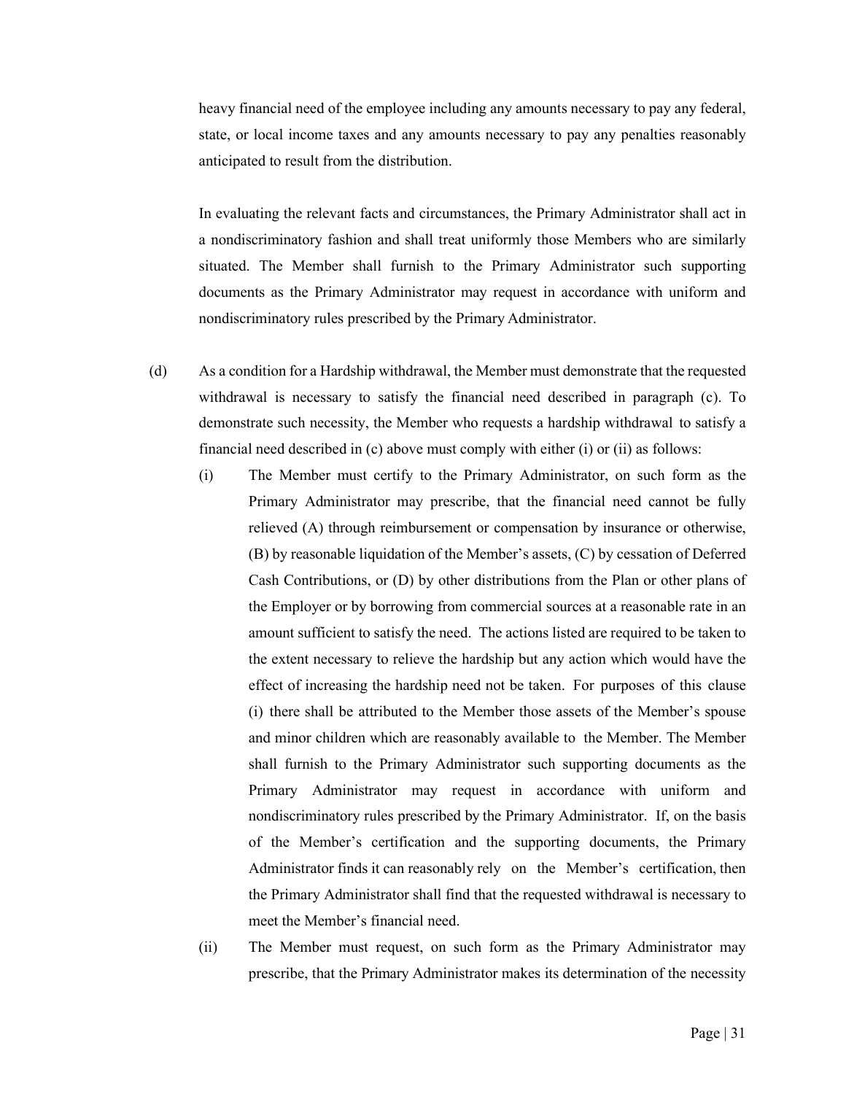heavy financial need of the employee including any amounts necessary to pay any federal, state, or local income taxes and any amounts necessary to pay any penalties reasonably anticipated to result from the distribution.

In evaluating the relevant facts and circumstances, the Primary Administrator shall act in a nondiscriminatory fashion and shall treat uniformly those Members who are similarly situated. The Member shall furnish to the Primary Administrator such supporting documents as the Primary Administrator may request in accordance with uniform and nondiscriminatory rules prescribed by the Primary Administrator.

- (d) As a condition for a Hardship withdrawal, the Member must demonstrate that the requested withdrawal is necessary to satisfy the financial need described in paragraph (c). To demonstrate such necessity, the Member who requests a hardship withdrawal to satisfy a financial need described in (c) above must comply with either (i) or (ii) as follows:
	- (i) The Member must certify to the Primary Administrator, on such form as the Primary Administrator may prescribe, that the financial need cannot be fully relieved (A) through reimbursement or compensation by insurance or otherwise, (B) by reasonable liquidation of the Member's assets, (C) by cessation of Deferred Cash Contributions, or (D) by other distributions from the Plan or other plans of the Employer or by borrowing from commercial sources at a reasonable rate in an amount sufficient to satisfy the need. The actions listed are required to be taken to the extent necessary to relieve the hardship but any action which would have the effect of increasing the hardship need not be taken. For purposes of this clause (i) there shall be attributed to the Member those assets of the Member's spouse and minor children which are reasonably available to the Member. The Member shall furnish to the Primary Administrator such supporting documents as the Primary Administrator may request in accordance with uniform and nondiscriminatory rules prescribed by the Primary Administrator. If, on the basis of the Member's certification and the supporting documents, the Primary Administrator finds it can reasonably rely on the Member's certification, then the Primary Administrator shall find that the requested withdrawal is necessary to meet the Member's financial need.
	- (ii) The Member must request, on such form as the Primary Administrator may prescribe, that the Primary Administrator makes its determination of the necessity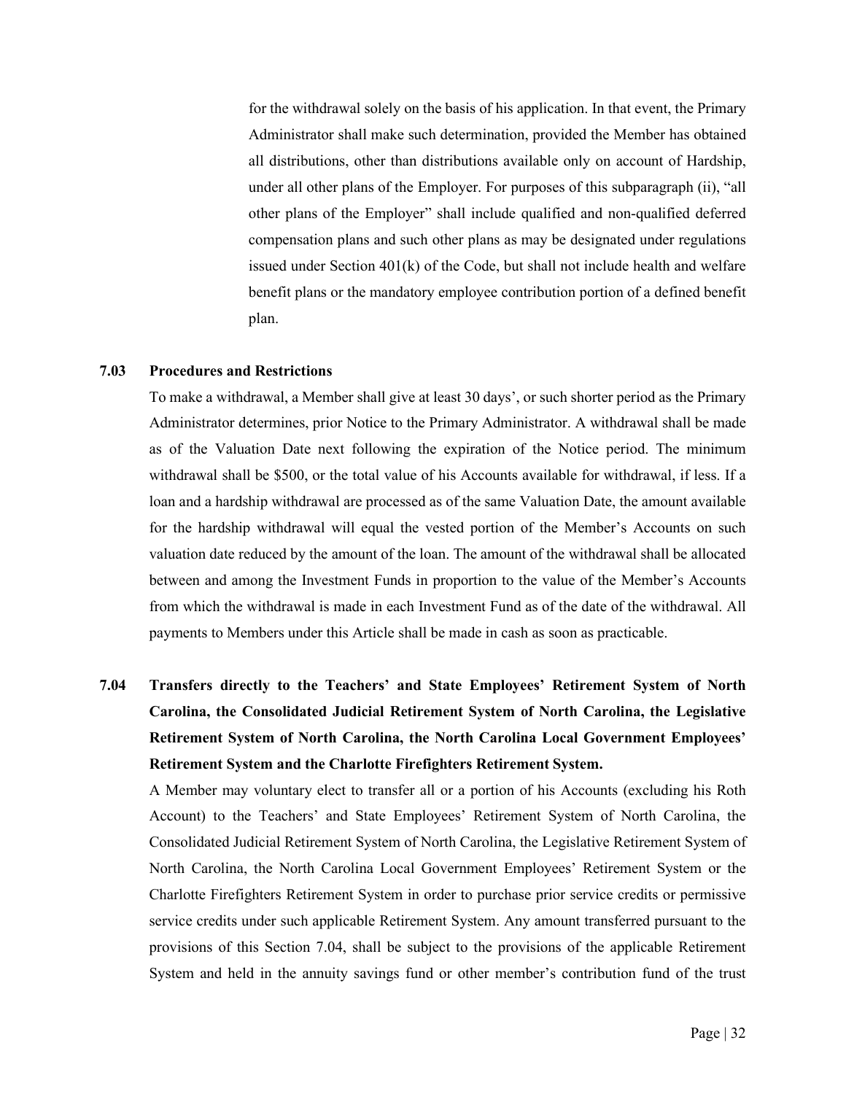for the withdrawal solely on the basis of his application. In that event, the Primary Administrator shall make such determination, provided the Member has obtained all distributions, other than distributions available only on account of Hardship, under all other plans of the Employer. For purposes of this subparagraph (ii), "all other plans of the Employer" shall include qualified and non-qualified deferred compensation plans and such other plans as may be designated under regulations issued under Section 401(k) of the Code, but shall not include health and welfare benefit plans or the mandatory employee contribution portion of a defined benefit plan.

#### <span id="page-38-0"></span>**7.03 Procedures and Restrictions**

To make a withdrawal, a Member shall give at least 30 days', or such shorter period as the Primary Administrator determines, prior Notice to the Primary Administrator. A withdrawal shall be made as of the Valuation Date next following the expiration of the Notice period. The minimum withdrawal shall be \$500, or the total value of his Accounts available for withdrawal, if less. If a loan and a hardship withdrawal are processed as of the same Valuation Date, the amount available for the hardship withdrawal will equal the vested portion of the Member's Accounts on such valuation date reduced by the amount of the loan. The amount of the withdrawal shall be allocated between and among the Investment Funds in proportion to the value of the Member's Accounts from which the withdrawal is made in each Investment Fund as of the date of the withdrawal. All payments to Members under this Article shall be made in cash as soon as practicable.

<span id="page-38-1"></span>**7.04 Transfers directly to the Teachers' and State Employees' Retirement System of North Carolina, the Consolidated Judicial Retirement System of North Carolina, the Legislative Retirement System of North Carolina, the North Carolina Local Government Employees' Retirement System and the Charlotte Firefighters Retirement System.**

A Member may voluntary elect to transfer all or a portion of his Accounts (excluding his Roth Account) to the Teachers' and State Employees' Retirement System of North Carolina, the Consolidated Judicial Retirement System of North Carolina, the Legislative Retirement System of North Carolina, the North Carolina Local Government Employees' Retirement System or the Charlotte Firefighters Retirement System in order to purchase prior service credits or permissive service credits under such applicable Retirement System. Any amount transferred pursuant to the provisions of this Section 7.04, shall be subject to the provisions of the applicable Retirement System and held in the annuity savings fund or other member's contribution fund of the trust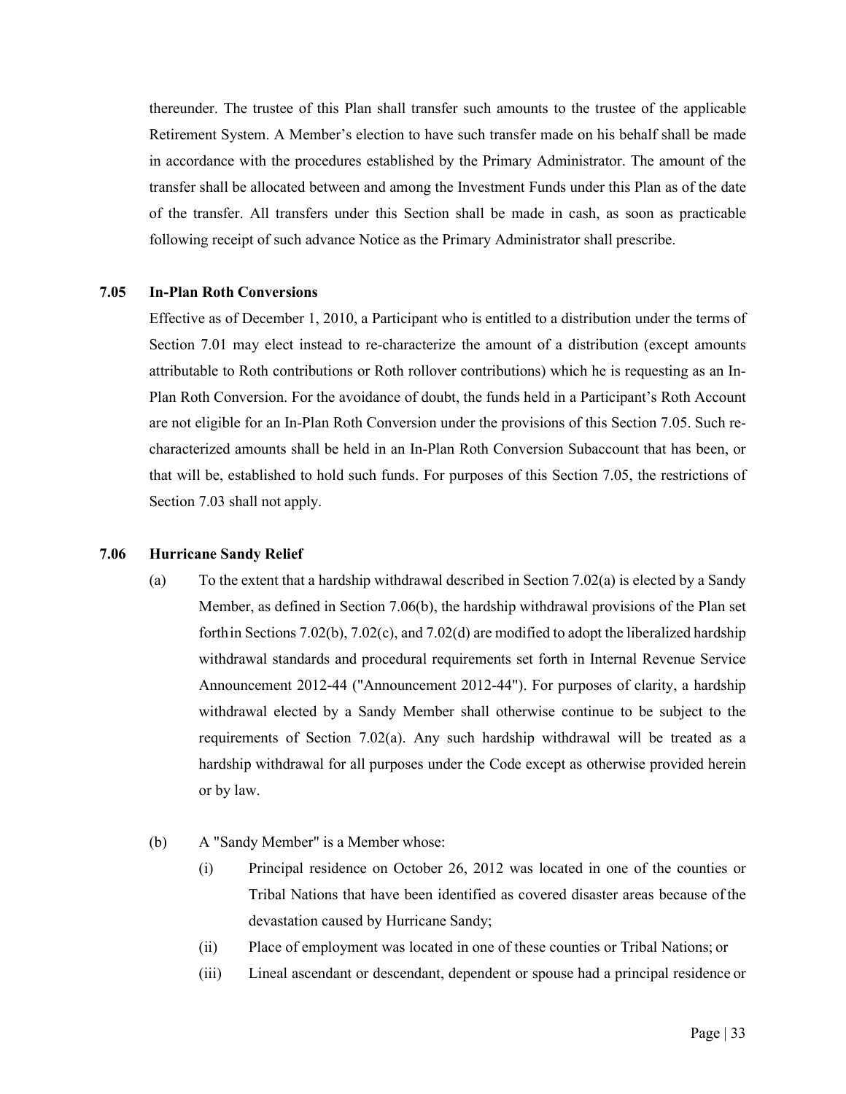thereunder. The trustee of this Plan shall transfer such amounts to the trustee of the applicable Retirement System. A Member's election to have such transfer made on his behalf shall be made in accordance with the procedures established by the Primary Administrator. The amount of the transfer shall be allocated between and among the Investment Funds under this Plan as of the date of the transfer. All transfers under this Section shall be made in cash, as soon as practicable following receipt of such advance Notice as the Primary Administrator shall prescribe.

### <span id="page-39-0"></span>**7.05 In-Plan Roth Conversions**

Effective as of December 1, 2010, a Participant who is entitled to a distribution under the terms of Section 7.01 may elect instead to re-characterize the amount of a distribution (except amounts attributable to Roth contributions or Roth rollover contributions) which he is requesting as an In-Plan Roth Conversion. For the avoidance of doubt, the funds held in a Participant's Roth Account are not eligible for an In-Plan Roth Conversion under the provisions of this Section 7.05. Such recharacterized amounts shall be held in an In-Plan Roth Conversion Subaccount that has been, or that will be, established to hold such funds. For purposes of this Section 7.05, the restrictions of Section 7.03 shall not apply.

# <span id="page-39-1"></span>**7.06 Hurricane Sandy Relief**

- (a) To the extent that a hardship withdrawal described in Section 7.02(a) is elected by a Sandy Member, as defined in Section 7.06(b), the hardship withdrawal provisions of the Plan set forth in Sections 7.02(b), 7.02(c), and 7.02(d) are modified to adopt the liberalized hardship withdrawal standards and procedural requirements set forth in Internal Revenue Service Announcement 2012-44 ("Announcement 2012-44"). For purposes of clarity, a hardship withdrawal elected by a Sandy Member shall otherwise continue to be subject to the requirements of Section 7.02(a). Any such hardship withdrawal will be treated as a hardship withdrawal for all purposes under the Code except as otherwise provided herein or by law.
- (b) A "Sandy Member" is a Member whose:
	- (i) Principal residence on October 26, 2012 was located in one of the counties or Tribal Nations that have been identified as covered disaster areas because of the devastation caused by Hurricane Sandy;
	- (ii) Place of employment was located in one of these counties or Tribal Nations; or
	- (iii) Lineal ascendant or descendant, dependent or spouse had a principal residence or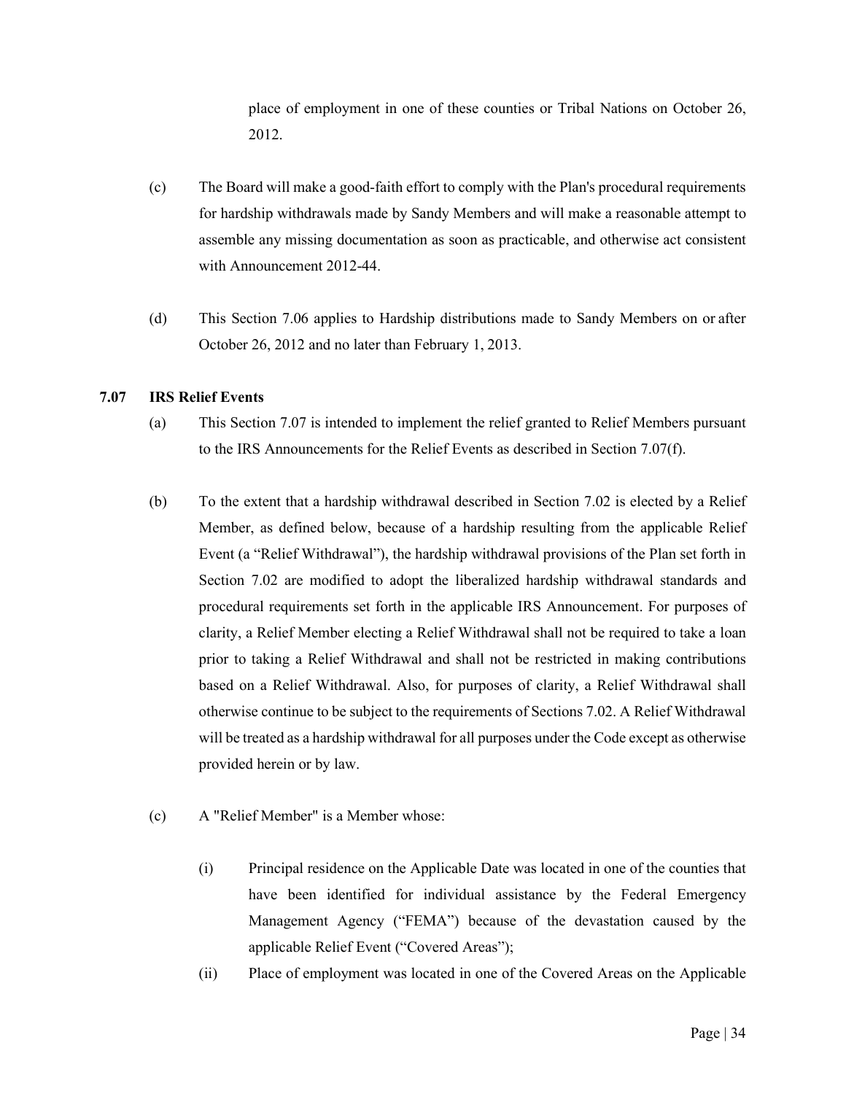place of employment in one of these counties or Tribal Nations on October 26, 2012.

- (c) The Board will make a good-faith effort to comply with the Plan's procedural requirements for hardship withdrawals made by Sandy Members and will make a reasonable attempt to assemble any missing documentation as soon as practicable, and otherwise act consistent with Announcement 2012-44.
- (d) This Section 7.06 applies to Hardship distributions made to Sandy Members on or after October 26, 2012 and no later than February 1, 2013.

# <span id="page-40-0"></span>**7.07 IRS Relief Events**

- (a) This Section 7.07 is intended to implement the relief granted to Relief Members pursuant to the IRS Announcements for the Relief Events as described in Section 7.07(f).
- (b) To the extent that a hardship withdrawal described in Section 7.02 is elected by a Relief Member, as defined below, because of a hardship resulting from the applicable Relief Event (a "Relief Withdrawal"), the hardship withdrawal provisions of the Plan set forth in Section 7.02 are modified to adopt the liberalized hardship withdrawal standards and procedural requirements set forth in the applicable IRS Announcement. For purposes of clarity, a Relief Member electing a Relief Withdrawal shall not be required to take a loan prior to taking a Relief Withdrawal and shall not be restricted in making contributions based on a Relief Withdrawal. Also, for purposes of clarity, a Relief Withdrawal shall otherwise continue to be subject to the requirements of Sections 7.02. A Relief Withdrawal will be treated as a hardship withdrawal for all purposes under the Code except as otherwise provided herein or by law.
- (c) A "Relief Member" is a Member whose:
	- (i) Principal residence on the Applicable Date was located in one of the counties that have been identified for individual assistance by the Federal Emergency Management Agency ("FEMA") because of the devastation caused by the applicable Relief Event ("Covered Areas");
	- (ii) Place of employment was located in one of the Covered Areas on the Applicable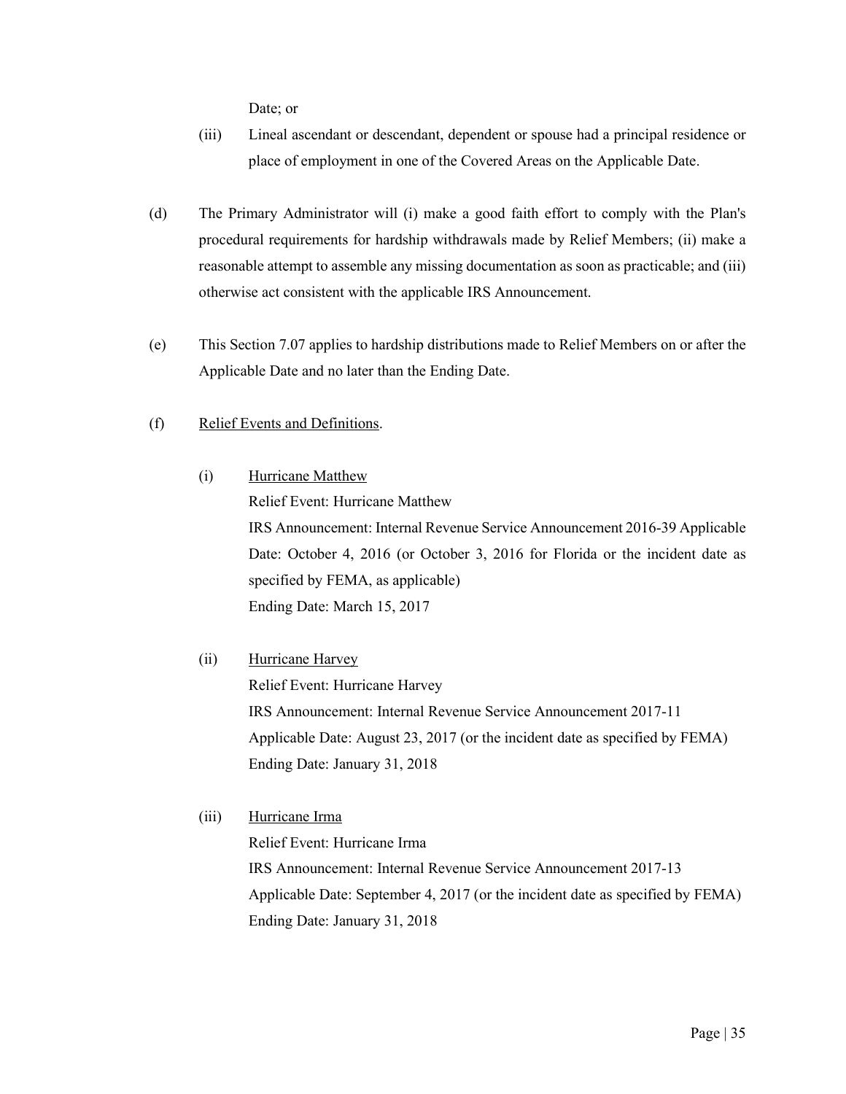Date; or

- (iii) Lineal ascendant or descendant, dependent or spouse had a principal residence or place of employment in one of the Covered Areas on the Applicable Date.
- (d) The Primary Administrator will (i) make a good faith effort to comply with the Plan's procedural requirements for hardship withdrawals made by Relief Members; (ii) make a reasonable attempt to assemble any missing documentation as soon as practicable; and (iii) otherwise act consistent with the applicable IRS Announcement.
- (e) This Section 7.07 applies to hardship distributions made to Relief Members on or after the Applicable Date and no later than the Ending Date.
- (f) Relief Events and Definitions.
	- (i) Hurricane Matthew

Relief Event: Hurricane Matthew IRS Announcement: Internal Revenue Service Announcement 2016-39 Applicable Date: October 4, 2016 (or October 3, 2016 for Florida or the incident date as specified by FEMA, as applicable) Ending Date: March 15, 2017

(ii) Hurricane Harvey

Relief Event: Hurricane Harvey IRS Announcement: Internal Revenue Service Announcement 2017-11 Applicable Date: August 23, 2017 (or the incident date as specified by FEMA) Ending Date: January 31, 2018

(iii) Hurricane Irma Relief Event: Hurricane Irma IRS Announcement: Internal Revenue Service Announcement 2017-13 Applicable Date: September 4, 2017 (or the incident date as specified by FEMA) Ending Date: January 31, 2018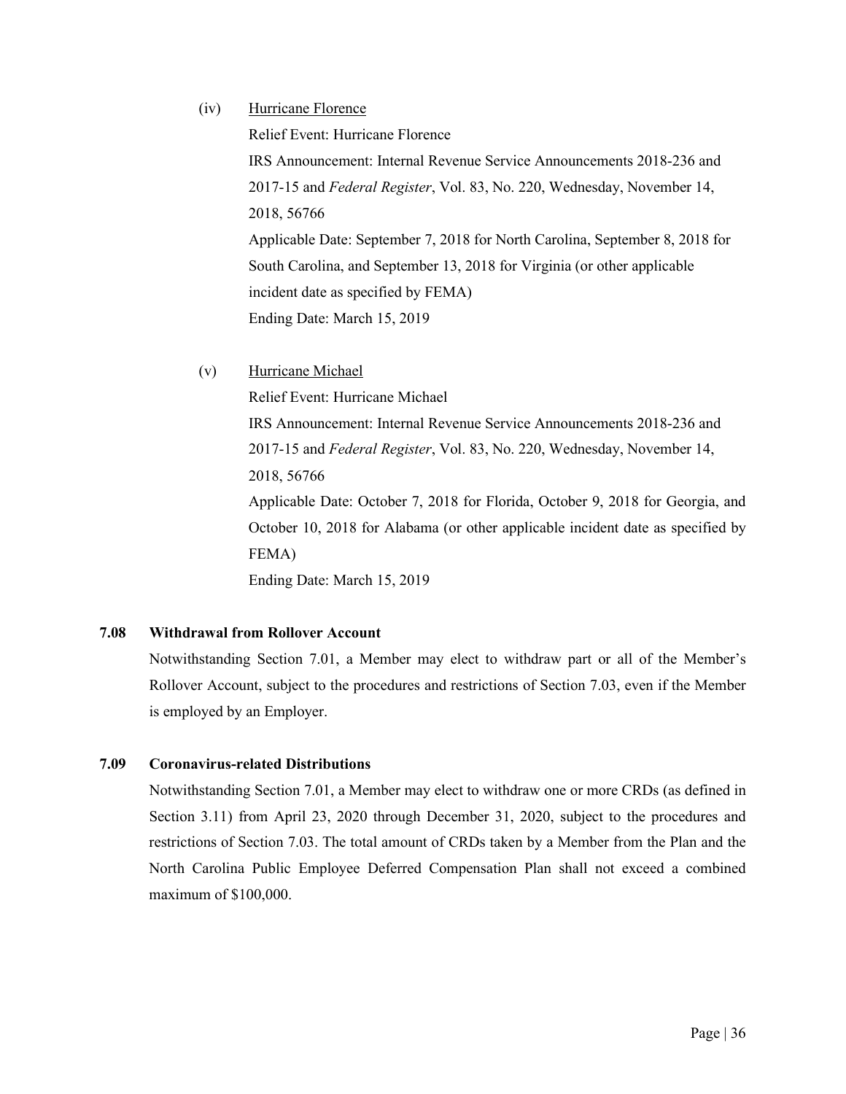# (iv) Hurricane Florence

Relief Event: Hurricane Florence

IRS Announcement: Internal Revenue Service Announcements 2018-236 and 2017-15 and *Federal Register*, Vol. 83, No. 220, Wednesday, November 14, 2018, 56766 Applicable Date: September 7, 2018 for North Carolina, September 8, 2018 for South Carolina, and September 13, 2018 for Virginia (or other applicable incident date as specified by FEMA) Ending Date: March 15, 2019

(v) Hurricane Michael

Relief Event: Hurricane Michael

IRS Announcement: Internal Revenue Service Announcements 2018-236 and 2017-15 and *Federal Register*, Vol. 83, No. 220, Wednesday, November 14, 2018, 56766 Applicable Date: October 7, 2018 for Florida, October 9, 2018 for Georgia, and October 10, 2018 for Alabama (or other applicable incident date as specified by FEMA) Ending Date: March 15, 2019

# **7.08 Withdrawal from Rollover Account**

Notwithstanding Section 7.01, a Member may elect to withdraw part or all of the Member's Rollover Account, subject to the procedures and restrictions of Section 7.03, even if the Member is employed by an Employer.

# **7.09 Coronavirus-related Distributions**

Notwithstanding Section 7.01, a Member may elect to withdraw one or more CRDs (as defined in Section 3.11) from April 23, 2020 through December 31, 2020, subject to the procedures and restrictions of Section 7.03. The total amount of CRDs taken by a Member from the Plan and the North Carolina Public Employee Deferred Compensation Plan shall not exceed a combined maximum of \$100,000.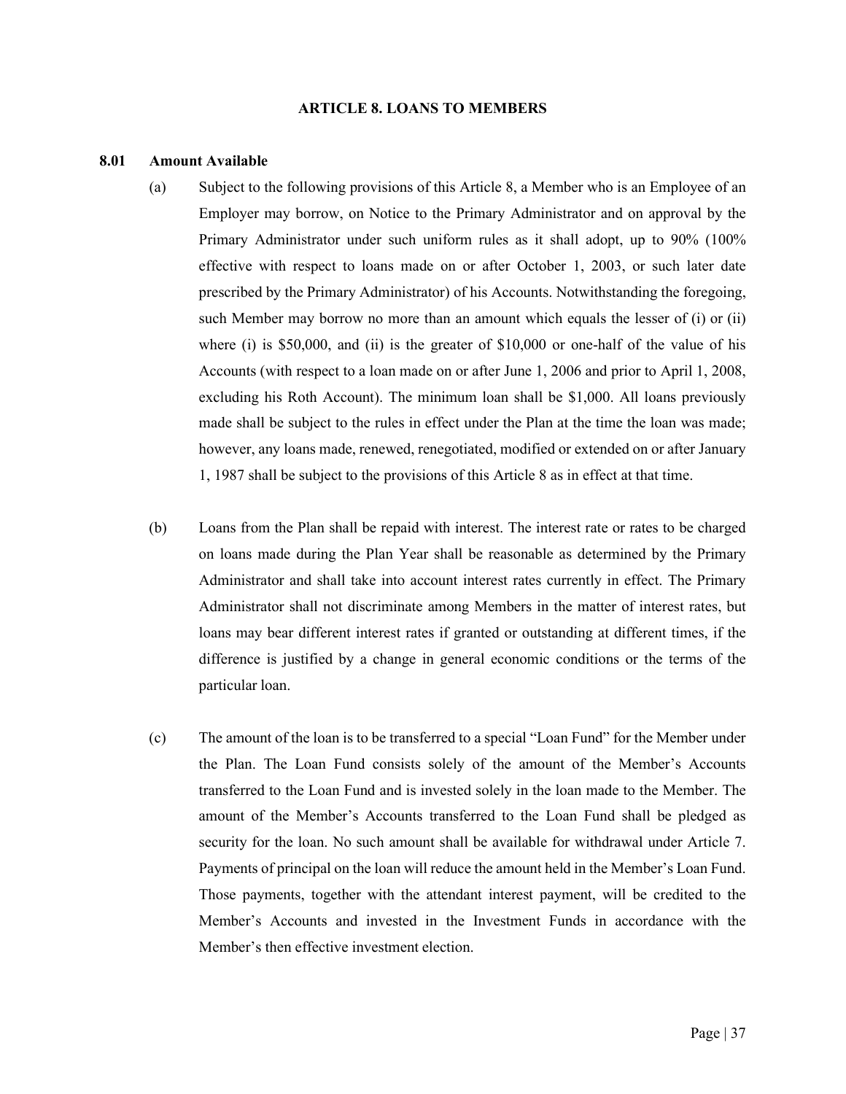#### **ARTICLE 8. LOANS TO MEMBERS**

#### <span id="page-43-1"></span><span id="page-43-0"></span>**8.01 Amount Available**

- (a) Subject to the following provisions of this Article 8, a Member who is an Employee of an Employer may borrow, on Notice to the Primary Administrator and on approval by the Primary Administrator under such uniform rules as it shall adopt, up to 90% (100% effective with respect to loans made on or after October 1, 2003, or such later date prescribed by the Primary Administrator) of his Accounts. Notwithstanding the foregoing, such Member may borrow no more than an amount which equals the lesser of (i) or (ii) where (i) is \$50,000, and (ii) is the greater of  $$10,000$  or one-half of the value of his Accounts (with respect to a loan made on or after June 1, 2006 and prior to April 1, 2008, excluding his Roth Account). The minimum loan shall be \$1,000. All loans previously made shall be subject to the rules in effect under the Plan at the time the loan was made; however, any loans made, renewed, renegotiated, modified or extended on or after January 1, 1987 shall be subject to the provisions of this Article 8 as in effect at that time.
- (b) Loans from the Plan shall be repaid with interest. The interest rate or rates to be charged on loans made during the Plan Year shall be reasonable as determined by the Primary Administrator and shall take into account interest rates currently in effect. The Primary Administrator shall not discriminate among Members in the matter of interest rates, but loans may bear different interest rates if granted or outstanding at different times, if the difference is justified by a change in general economic conditions or the terms of the particular loan.
- <span id="page-43-2"></span>(c) The amount of the loan is to be transferred to a special "Loan Fund" for the Member under the Plan. The Loan Fund consists solely of the amount of the Member's Accounts transferred to the Loan Fund and is invested solely in the loan made to the Member. The amount of the Member's Accounts transferred to the Loan Fund shall be pledged as security for the loan. No such amount shall be available for withdrawal under Article 7. Payments of principal on the loan will reduce the amount held in the Member's Loan Fund. Those payments, together with the attendant interest payment, will be credited to the Member's Accounts and invested in the Investment Funds in accordance with the Member's then effective investment election.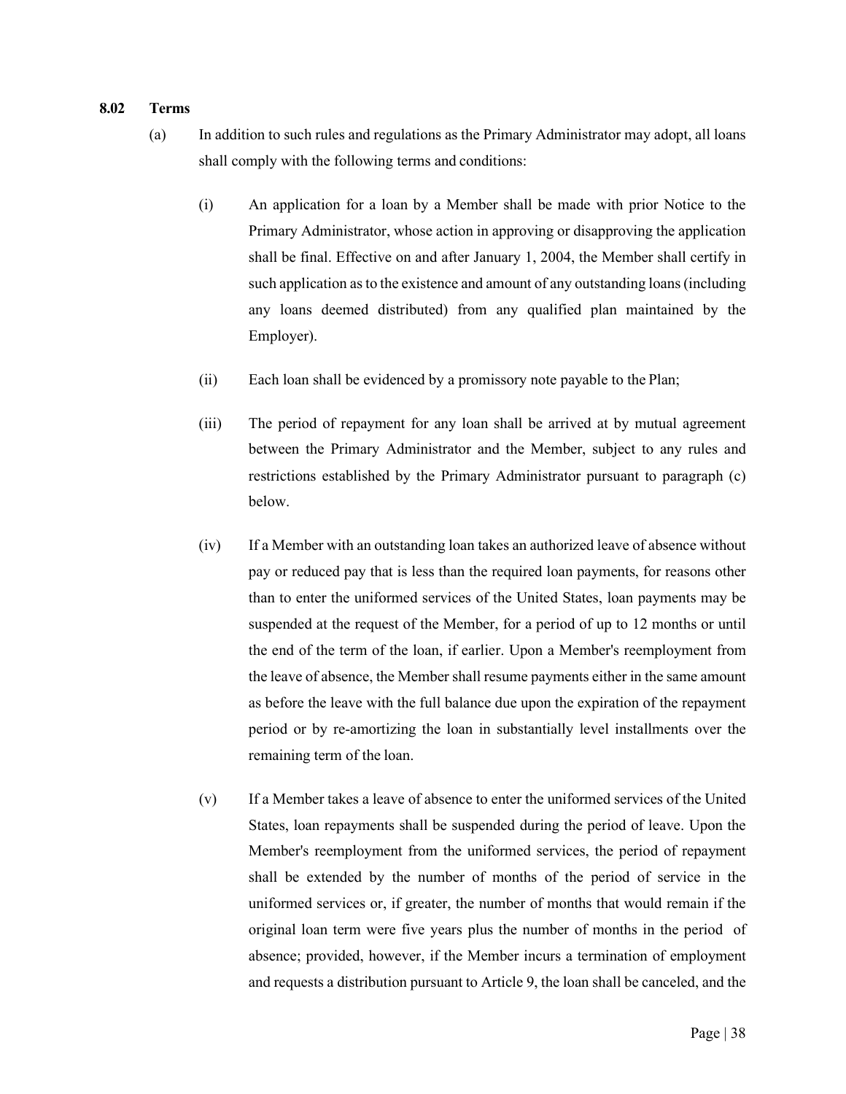#### **8.02 Terms**

- (a) In addition to such rules and regulations as the Primary Administrator may adopt, all loans shall comply with the following terms and conditions:
	- (i) An application for a loan by a Member shall be made with prior Notice to the Primary Administrator, whose action in approving or disapproving the application shall be final. Effective on and after January 1, 2004, the Member shall certify in such application as to the existence and amount of any outstanding loans (including any loans deemed distributed) from any qualified plan maintained by the Employer).
	- (ii) Each loan shall be evidenced by a promissory note payable to the Plan;
	- (iii) The period of repayment for any loan shall be arrived at by mutual agreement between the Primary Administrator and the Member, subject to any rules and restrictions established by the Primary Administrator pursuant to paragraph (c) below.
	- (iv) If a Member with an outstanding loan takes an authorized leave of absence without pay or reduced pay that is less than the required loan payments, for reasons other than to enter the uniformed services of the United States, loan payments may be suspended at the request of the Member, for a period of up to 12 months or until the end of the term of the loan, if earlier. Upon a Member's reemployment from the leave of absence, the Member shall resume payments either in the same amount as before the leave with the full balance due upon the expiration of the repayment period or by re-amortizing the loan in substantially level installments over the remaining term of the loan.
	- (v) If a Member takes a leave of absence to enter the uniformed services of the United States, loan repayments shall be suspended during the period of leave. Upon the Member's reemployment from the uniformed services, the period of repayment shall be extended by the number of months of the period of service in the uniformed services or, if greater, the number of months that would remain if the original loan term were five years plus the number of months in the period of absence; provided, however, if the Member incurs a termination of employment and requests a distribution pursuant to Article 9, the loan shall be canceled, and the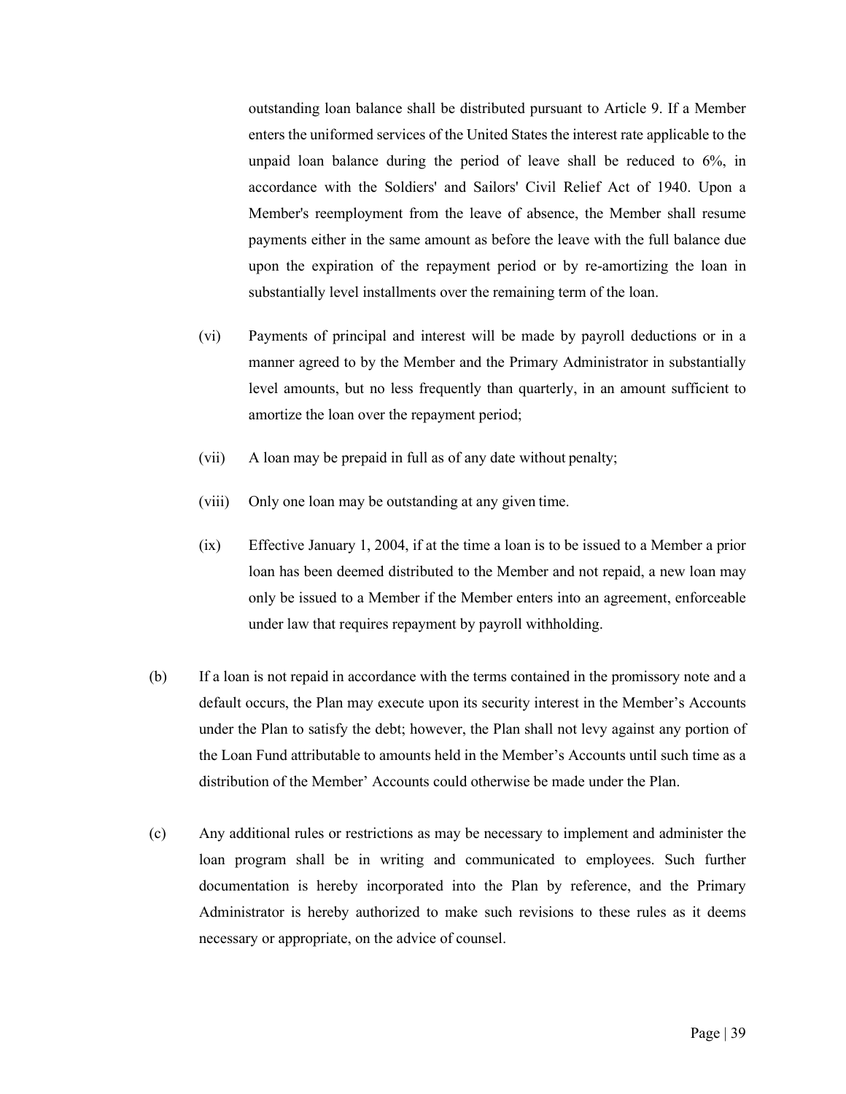outstanding loan balance shall be distributed pursuant to Article 9. If a Member enters the uniformed services of the United States the interest rate applicable to the unpaid loan balance during the period of leave shall be reduced to 6%, in accordance with the Soldiers' and Sailors' Civil Relief Act of 1940. Upon a Member's reemployment from the leave of absence, the Member shall resume payments either in the same amount as before the leave with the full balance due upon the expiration of the repayment period or by re-amortizing the loan in substantially level installments over the remaining term of the loan.

- (vi) Payments of principal and interest will be made by payroll deductions or in a manner agreed to by the Member and the Primary Administrator in substantially level amounts, but no less frequently than quarterly, in an amount sufficient to amortize the loan over the repayment period;
- (vii) A loan may be prepaid in full as of any date without penalty;
- (viii) Only one loan may be outstanding at any given time.
- (ix) Effective January 1, 2004, if at the time a loan is to be issued to a Member a prior loan has been deemed distributed to the Member and not repaid, a new loan may only be issued to a Member if the Member enters into an agreement, enforceable under law that requires repayment by payroll withholding.
- (b) If a loan is not repaid in accordance with the terms contained in the promissory note and a default occurs, the Plan may execute upon its security interest in the Member's Accounts under the Plan to satisfy the debt; however, the Plan shall not levy against any portion of the Loan Fund attributable to amounts held in the Member's Accounts until such time as a distribution of the Member' Accounts could otherwise be made under the Plan.
- (c) Any additional rules or restrictions as may be necessary to implement and administer the loan program shall be in writing and communicated to employees. Such further documentation is hereby incorporated into the Plan by reference, and the Primary Administrator is hereby authorized to make such revisions to these rules as it deems necessary or appropriate, on the advice of counsel.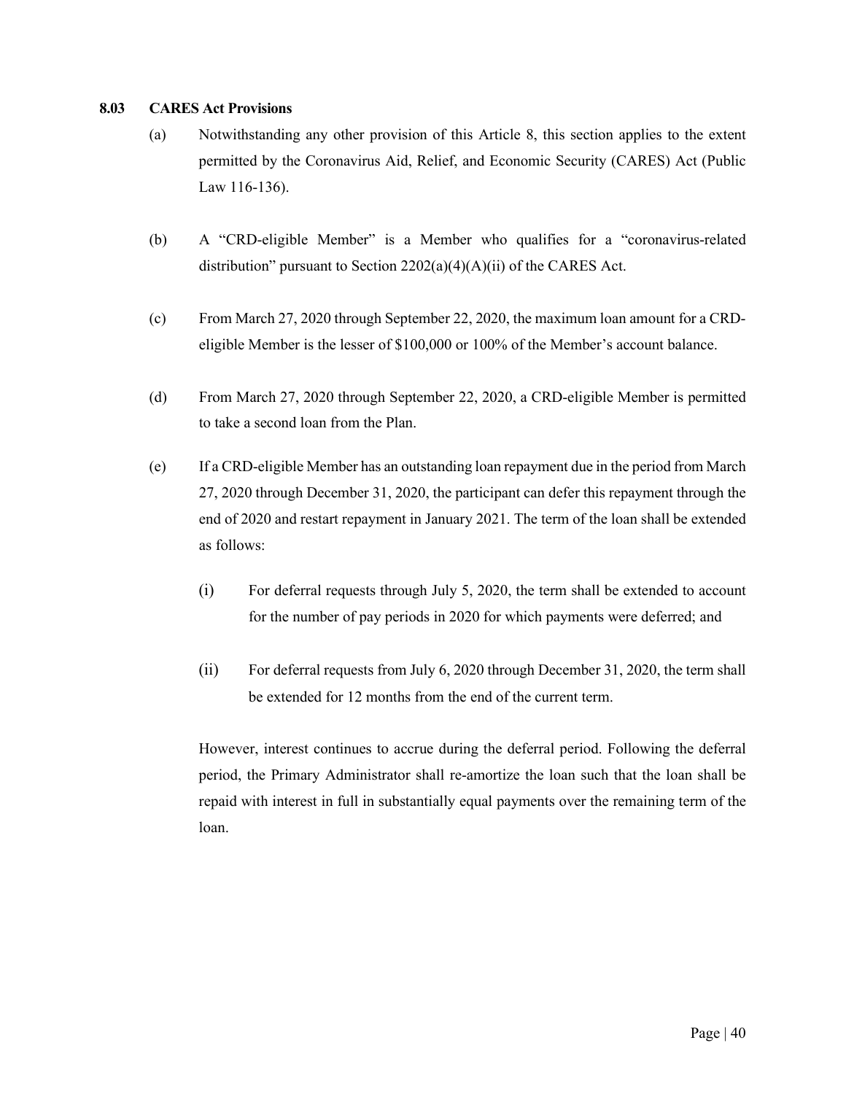## **8.03 CARES Act Provisions**

- (a) Notwithstanding any other provision of this Article 8, this section applies to the extent permitted by the Coronavirus Aid, Relief, and Economic Security (CARES) Act (Public Law 116-136).
- (b) A "CRD-eligible Member" is a Member who qualifies for a "coronavirus-related distribution" pursuant to Section 2202(a)(4)(A)(ii) of the CARES Act.
- (c) From March 27, 2020 through September 22, 2020, the maximum loan amount for a CRDeligible Member is the lesser of \$100,000 or 100% of the Member's account balance.
- (d) From March 27, 2020 through September 22, 2020, a CRD-eligible Member is permitted to take a second loan from the Plan.
- (e) If a CRD-eligible Member has an outstanding loan repayment due in the period from March 27, 2020 through December 31, 2020, the participant can defer this repayment through the end of 2020 and restart repayment in January 2021. The term of the loan shall be extended as follows:
	- (i) For deferral requests through July 5, 2020, the term shall be extended to account for the number of pay periods in 2020 for which payments were deferred; and
	- (ii) For deferral requests from July 6, 2020 through December 31, 2020, the term shall be extended for 12 months from the end of the current term.

However, interest continues to accrue during the deferral period. Following the deferral period, the Primary Administrator shall re-amortize the loan such that the loan shall be repaid with interest in full in substantially equal payments over the remaining term of the loan.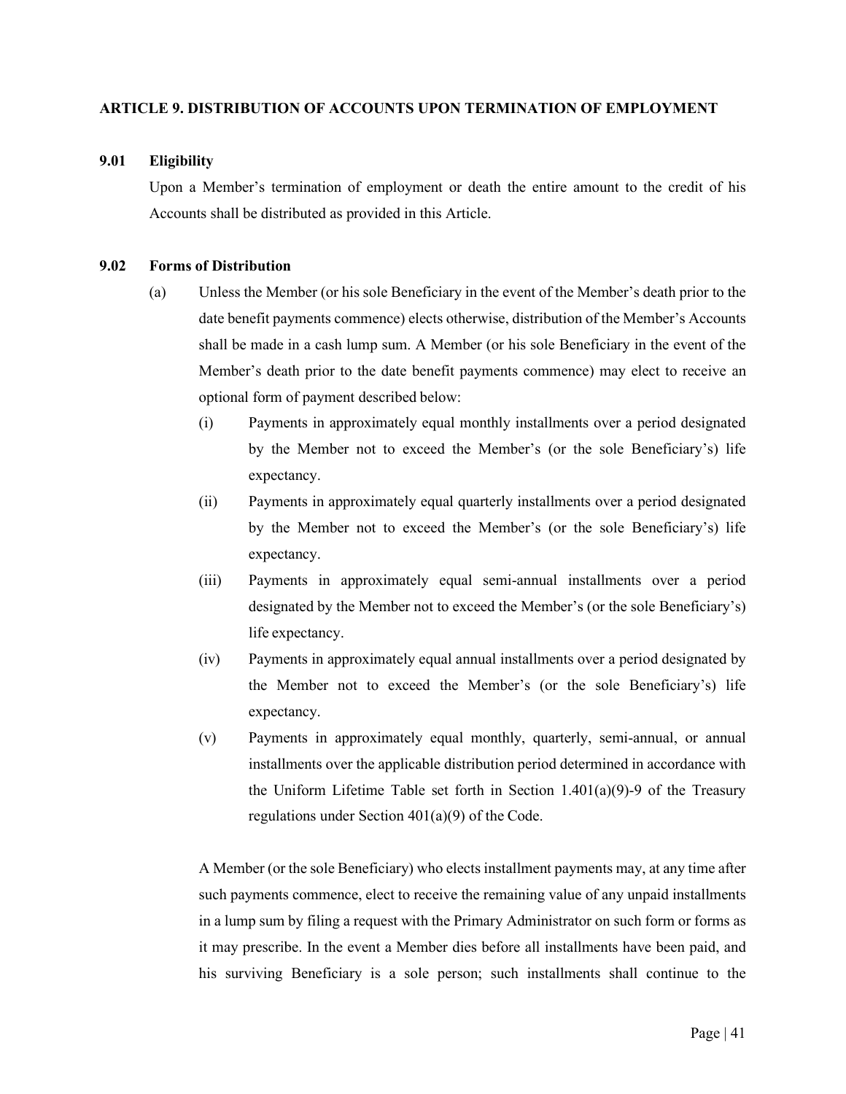# <span id="page-47-0"></span>**ARTICLE 9. DISTRIBUTION OF ACCOUNTS UPON TERMINATION OF EMPLOYMENT**

# <span id="page-47-1"></span>**9.01 Eligibility**

Upon a Member's termination of employment or death the entire amount to the credit of his Accounts shall be distributed as provided in this Article.

# <span id="page-47-2"></span>**9.02 Forms of Distribution**

- (a) Unless the Member (or his sole Beneficiary in the event of the Member's death prior to the date benefit payments commence) elects otherwise, distribution of the Member's Accounts shall be made in a cash lump sum. A Member (or his sole Beneficiary in the event of the Member's death prior to the date benefit payments commence) may elect to receive an optional form of payment described below:
	- (i) Payments in approximately equal monthly installments over a period designated by the Member not to exceed the Member's (or the sole Beneficiary's) life expectancy.
	- (ii) Payments in approximately equal quarterly installments over a period designated by the Member not to exceed the Member's (or the sole Beneficiary's) life expectancy.
	- (iii) Payments in approximately equal semi-annual installments over a period designated by the Member not to exceed the Member's (or the sole Beneficiary's) life expectancy.
	- (iv) Payments in approximately equal annual installments over a period designated by the Member not to exceed the Member's (or the sole Beneficiary's) life expectancy.
	- (v) Payments in approximately equal monthly, quarterly, semi-annual, or annual installments over the applicable distribution period determined in accordance with the Uniform Lifetime Table set forth in Section  $1.401(a)(9)$ -9 of the Treasury regulations under Section  $401(a)(9)$  of the Code.

A Member (or the sole Beneficiary) who elects installment payments may, at any time after such payments commence, elect to receive the remaining value of any unpaid installments in a lump sum by filing a request with the Primary Administrator on such form or forms as it may prescribe. In the event a Member dies before all installments have been paid, and his surviving Beneficiary is a sole person; such installments shall continue to the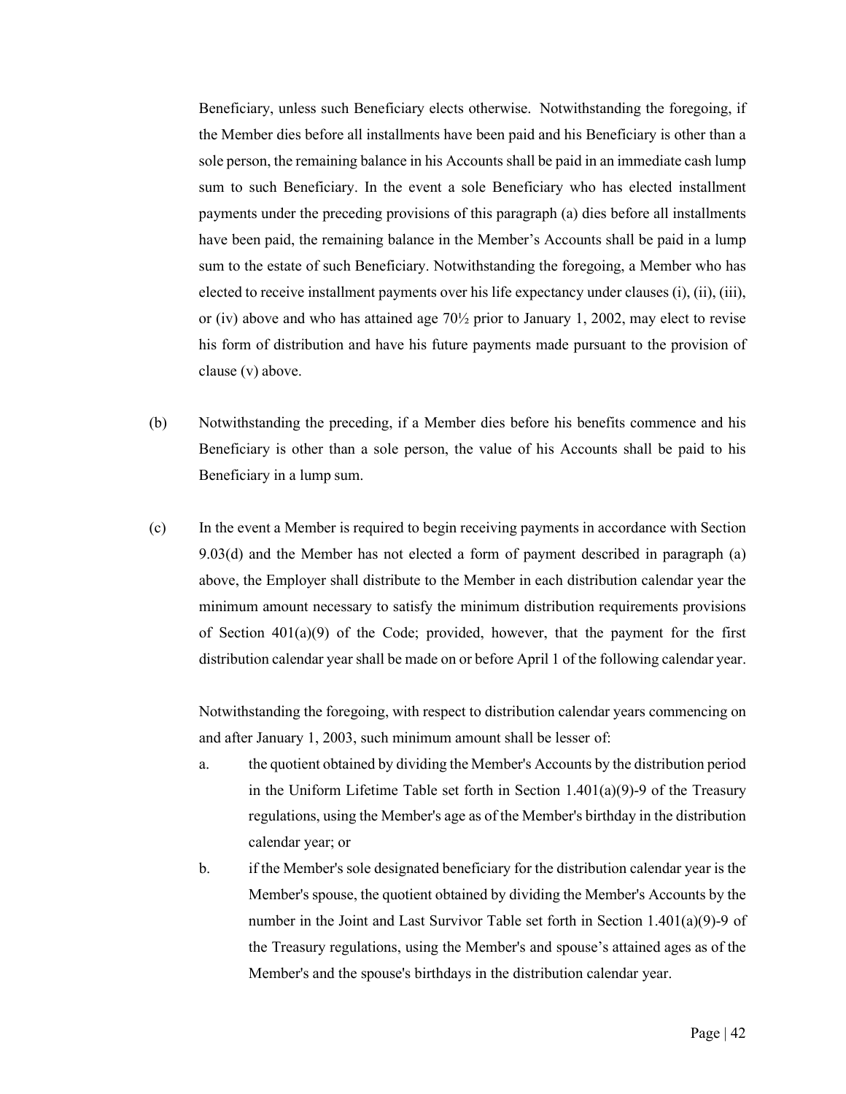Beneficiary, unless such Beneficiary elects otherwise. Notwithstanding the foregoing, if the Member dies before all installments have been paid and his Beneficiary is other than a sole person, the remaining balance in his Accounts shall be paid in an immediate cash lump sum to such Beneficiary. In the event a sole Beneficiary who has elected installment payments under the preceding provisions of this paragraph (a) dies before all installments have been paid, the remaining balance in the Member's Accounts shall be paid in a lump sum to the estate of such Beneficiary. Notwithstanding the foregoing, a Member who has elected to receive installment payments over his life expectancy under clauses (i), (ii), (iii), or (iv) above and who has attained age  $70\frac{1}{2}$  prior to January 1, 2002, may elect to revise his form of distribution and have his future payments made pursuant to the provision of clause (v) above.

- (b) Notwithstanding the preceding, if a Member dies before his benefits commence and his Beneficiary is other than a sole person, the value of his Accounts shall be paid to his Beneficiary in a lump sum.
- (c) In the event a Member is required to begin receiving payments in accordance with Section 9.03(d) and the Member has not elected a form of payment described in paragraph (a) above, the Employer shall distribute to the Member in each distribution calendar year the minimum amount necessary to satisfy the minimum distribution requirements provisions of Section  $401(a)(9)$  of the Code; provided, however, that the payment for the first distribution calendar year shall be made on or before April 1 of the following calendar year.

Notwithstanding the foregoing, with respect to distribution calendar years commencing on and after January 1, 2003, such minimum amount shall be lesser of:

- a. the quotient obtained by dividing the Member's Accounts by the distribution period in the Uniform Lifetime Table set forth in Section 1.401(a)(9)-9 of the Treasury regulations, using the Member's age as of the Member's birthday in the distribution calendar year; or
- b. if the Member's sole designated beneficiary for the distribution calendar year is the Member's spouse, the quotient obtained by dividing the Member's Accounts by the number in the Joint and Last Survivor Table set forth in Section 1.401(a)(9)-9 of the Treasury regulations, using the Member's and spouse's attained ages as of the Member's and the spouse's birthdays in the distribution calendar year.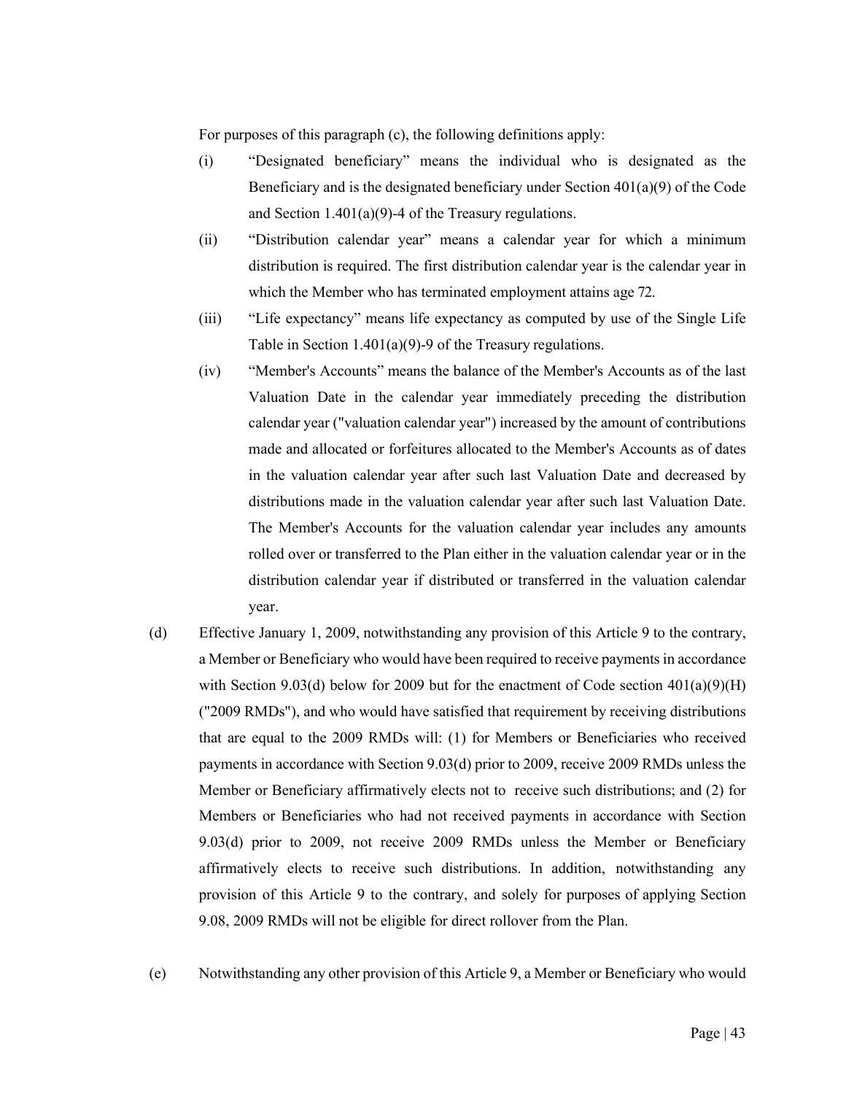For purposes of this paragraph (c), the following definitions apply:

- (i) "Designated beneficiary" means the individual who is designated as the Beneficiary and is the designated beneficiary under Section  $401(a)(9)$  of the Code and Section 1.401(a)(9)-4 of the Treasury regulations.
- (ii) "Distribution calendar year" means a calendar year for which a minimum distribution is required. The first distribution calendar year is the calendar year in which the Member who has terminated employment attains age 72.
- (iii) "Life expectancy" means life expectancy as computed by use of the Single Life Table in Section 1.401(a)(9)-9 of the Treasury regulations.
- (iv) "Member's Accounts" means the balance of the Member's Accounts as of the last Valuation Date in the calendar year immediately preceding the distribution calendar year ("valuation calendar year") increased by the amount of contributions made and allocated or forfeitures allocated to the Member's Accounts as of dates in the valuation calendar year after such last Valuation Date and decreased by distributions made in the valuation calendar year after such last Valuation Date. The Member's Accounts for the valuation calendar year includes any amounts rolled over or transferred to the Plan either in the valuation calendar year or in the distribution calendar year if distributed or transferred in the valuation calendar year.
- (d) Effective January 1, 2009, notwithstanding any provision of this Article 9 to the contrary, a Member or Beneficiary who would have been required to receive payments in accordance with Section 9.03(d) below for 2009 but for the enactment of Code section  $401(a)(9)(H)$ ("2009 RMDs"), and who would have satisfied that requirement by receiving distributions that are equal to the 2009 RMDs will: (1) for Members or Beneficiaries who received payments in accordance with Section 9.03(d) prior to 2009, receive 2009 RMDs unless the Member or Beneficiary affirmatively elects not to receive such distributions; and (2) for Members or Beneficiaries who had not received payments in accordance with Section 9.03(d) prior to 2009, not receive 2009 RMDs unless the Member or Beneficiary affirmatively elects to receive such distributions. In addition, notwithstanding any provision of this Article 9 to the contrary, and solely for purposes of applying Section 9.08, 2009 RMDs will not be eligible for direct rollover from the Plan.
- (e) Notwithstanding any other provision of this Article 9, a Member or Beneficiary who would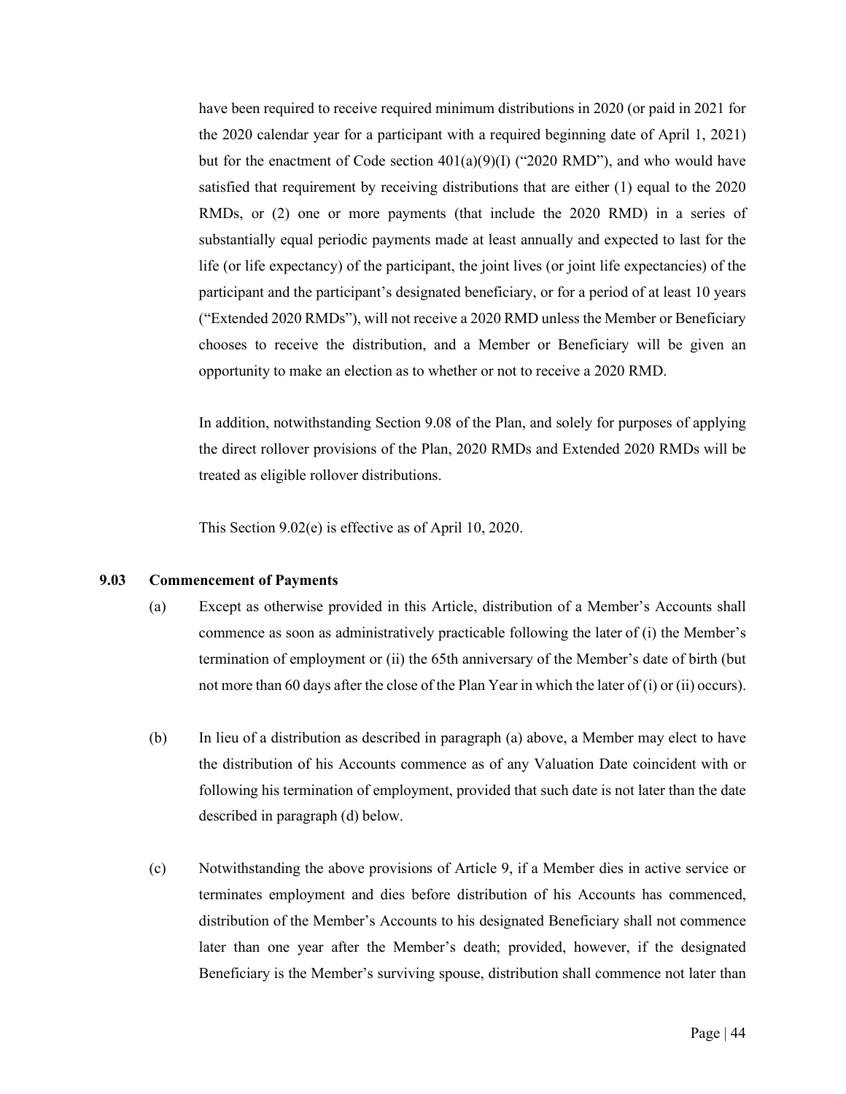have been required to receive required minimum distributions in 2020 (or paid in 2021 for the 2020 calendar year for a participant with a required beginning date of April 1, 2021) but for the enactment of Code section  $401(a)(9)(I)$  ("2020 RMD"), and who would have satisfied that requirement by receiving distributions that are either (1) equal to the 2020 RMDs, or (2) one or more payments (that include the 2020 RMD) in a series of substantially equal periodic payments made at least annually and expected to last for the life (or life expectancy) of the participant, the joint lives (or joint life expectancies) of the participant and the participant's designated beneficiary, or for a period of at least 10 years ("Extended 2020 RMDs"), will not receive a 2020 RMD unless the Member or Beneficiary chooses to receive the distribution, and a Member or Beneficiary will be given an opportunity to make an election as to whether or not to receive a 2020 RMD.

In addition, notwithstanding Section 9.08 of the Plan, and solely for purposes of applying the direct rollover provisions of the Plan, 2020 RMDs and Extended 2020 RMDs will be treated as eligible rollover distributions.

This Section 9.02(e) is effective as of April 10, 2020.

#### <span id="page-50-0"></span>**9.03 Commencement of Payments**

- (a) Except as otherwise provided in this Article, distribution of a Member's Accounts shall commence as soon as administratively practicable following the later of (i) the Member's termination of employment or (ii) the 65th anniversary of the Member's date of birth (but not more than 60 days after the close of the Plan Year in which the later of (i) or (ii) occurs).
- (b) In lieu of a distribution as described in paragraph (a) above, a Member may elect to have the distribution of his Accounts commence as of any Valuation Date coincident with or following his termination of employment, provided that such date is not later than the date described in paragraph (d) below.
- (c) Notwithstanding the above provisions of Article 9, if a Member dies in active service or terminates employment and dies before distribution of his Accounts has commenced, distribution of the Member's Accounts to his designated Beneficiary shall not commence later than one year after the Member's death; provided, however, if the designated Beneficiary is the Member's surviving spouse, distribution shall commence not later than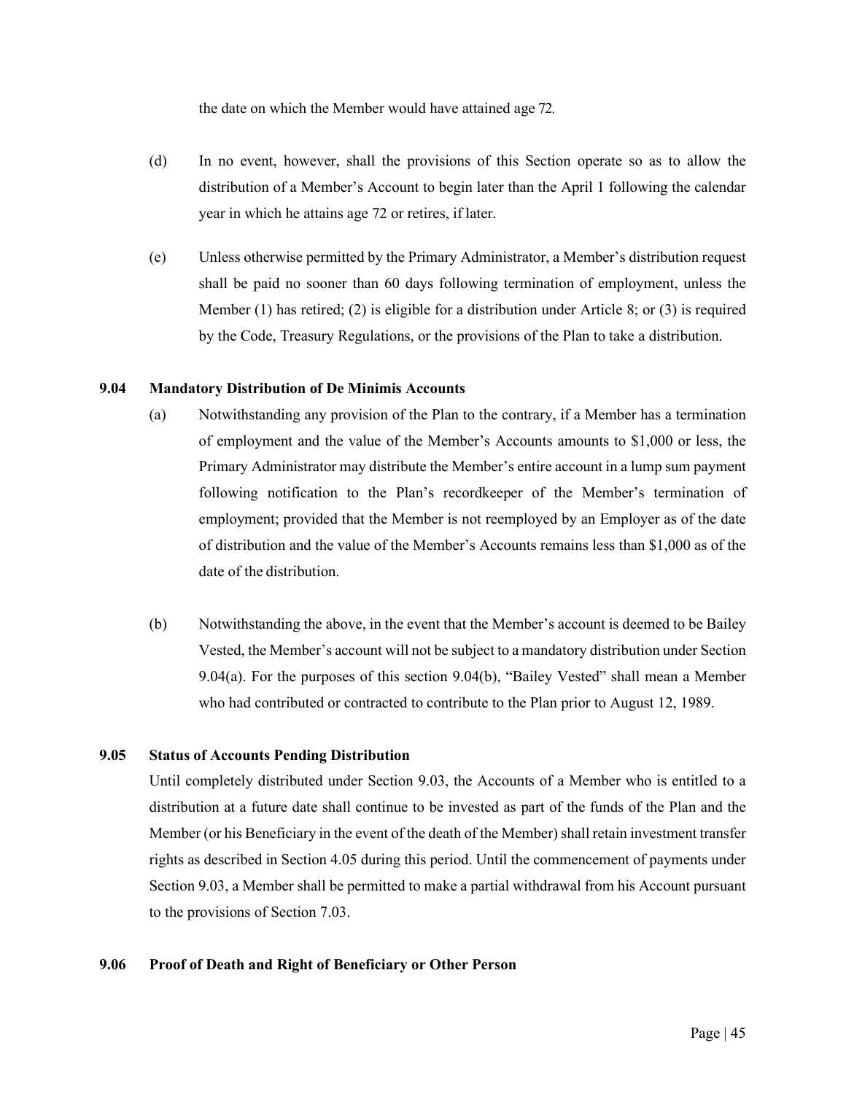the date on which the Member would have attained age 72.

- (d) In no event, however, shall the provisions of this Section operate so as to allow the distribution of a Member's Account to begin later than the April 1 following the calendar year in which he attains age 72 or retires, if later.
- (e) Unless otherwise permitted by the Primary Administrator, a Member's distribution request shall be paid no sooner than 60 days following termination of employment, unless the Member (1) has retired; (2) is eligible for a distribution under Article 8; or (3) is required by the Code, Treasury Regulations, or the provisions of the Plan to take a distribution.

# <span id="page-51-0"></span>**9.04 Mandatory Distribution of De Minimis Accounts**

- (a) Notwithstanding any provision of the Plan to the contrary, if a Member has a termination of employment and the value of the Member's Accounts amounts to \$1,000 or less, the Primary Administrator may distribute the Member's entire account in a lump sum payment following notification to the Plan's recordkeeper of the Member's termination of employment; provided that the Member is not reemployed by an Employer as of the date of distribution and the value of the Member's Accounts remains less than \$1,000 as of the date of the distribution.
- (b) Notwithstanding the above, in the event that the Member's account is deemed to be Bailey Vested, the Member's account will not be subject to a mandatory distribution under Section 9.04(a). For the purposes of this section 9.04(b), "Bailey Vested" shall mean a Member who had contributed or contracted to contribute to the Plan prior to August 12, 1989.

### <span id="page-51-1"></span>**9.05 Status of Accounts Pending Distribution**

Until completely distributed under Section 9.03, the Accounts of a Member who is entitled to a distribution at a future date shall continue to be invested as part of the funds of the Plan and the Member (or his Beneficiary in the event of the death of the Member) shall retain investment transfer rights as described in Section 4.05 during this period. Until the commencement of payments under Section 9.03, a Member shall be permitted to make a partial withdrawal from his Account pursuant to the provisions of Section 7.03.

# <span id="page-51-2"></span>**9.06 Proof of Death and Right of Beneficiary or Other Person**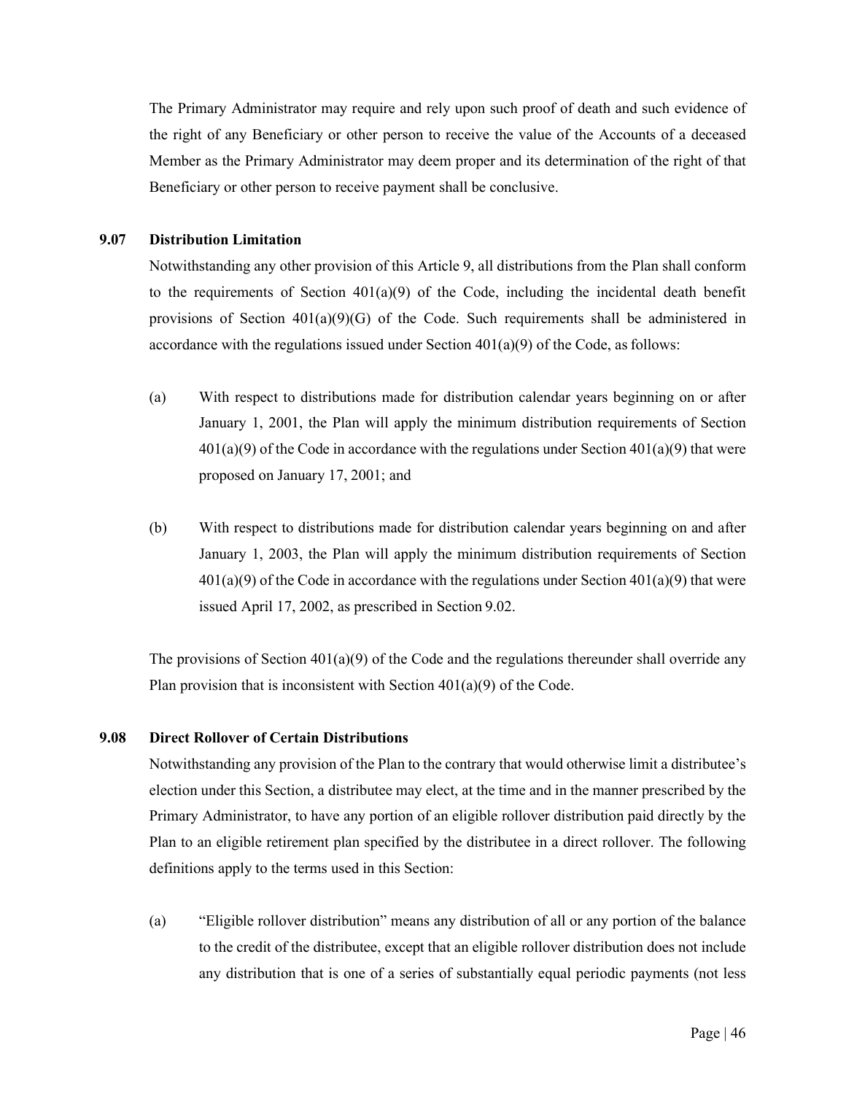The Primary Administrator may require and rely upon such proof of death and such evidence of the right of any Beneficiary or other person to receive the value of the Accounts of a deceased Member as the Primary Administrator may deem proper and its determination of the right of that Beneficiary or other person to receive payment shall be conclusive.

# <span id="page-52-0"></span>**9.07 Distribution Limitation**

Notwithstanding any other provision of this Article 9, all distributions from the Plan shall conform to the requirements of Section  $401(a)(9)$  of the Code, including the incidental death benefit provisions of Section 401(a)(9)(G) of the Code. Such requirements shall be administered in accordance with the regulations issued under Section  $401(a)(9)$  of the Code, as follows:

- (a) With respect to distributions made for distribution calendar years beginning on or after January 1, 2001, the Plan will apply the minimum distribution requirements of Section  $401(a)(9)$  of the Code in accordance with the regulations under Section  $401(a)(9)$  that were proposed on January 17, 2001; and
- (b) With respect to distributions made for distribution calendar years beginning on and after January 1, 2003, the Plan will apply the minimum distribution requirements of Section  $401(a)(9)$  of the Code in accordance with the regulations under Section  $401(a)(9)$  that were issued April 17, 2002, as prescribed in Section 9.02.

The provisions of Section  $401(a)(9)$  of the Code and the regulations thereunder shall override any Plan provision that is inconsistent with Section  $401(a)(9)$  of the Code.

# <span id="page-52-1"></span>**9.08 Direct Rollover of Certain Distributions**

Notwithstanding any provision of the Plan to the contrary that would otherwise limit a distributee's election under this Section, a distributee may elect, at the time and in the manner prescribed by the Primary Administrator, to have any portion of an eligible rollover distribution paid directly by the Plan to an eligible retirement plan specified by the distributee in a direct rollover. The following definitions apply to the terms used in this Section:

(a) "Eligible rollover distribution" means any distribution of all or any portion of the balance to the credit of the distributee, except that an eligible rollover distribution does not include any distribution that is one of a series of substantially equal periodic payments (not less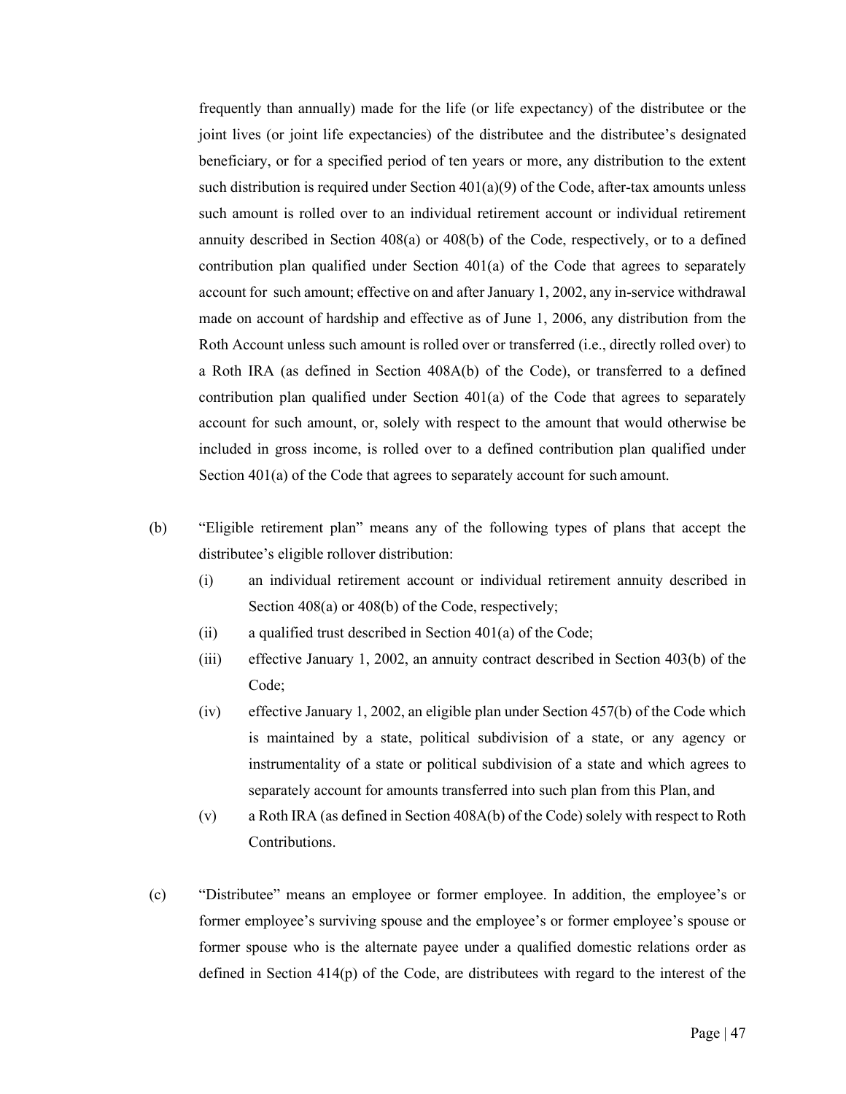frequently than annually) made for the life (or life expectancy) of the distributee or the joint lives (or joint life expectancies) of the distributee and the distributee's designated beneficiary, or for a specified period of ten years or more, any distribution to the extent such distribution is required under Section  $401(a)(9)$  of the Code, after-tax amounts unless such amount is rolled over to an individual retirement account or individual retirement annuity described in Section 408(a) or 408(b) of the Code, respectively, or to a defined contribution plan qualified under Section 401(a) of the Code that agrees to separately account for such amount; effective on and after January 1, 2002, any in-service withdrawal made on account of hardship and effective as of June 1, 2006, any distribution from the Roth Account unless such amount is rolled over or transferred (i.e., directly rolled over) to a Roth IRA (as defined in Section 408A(b) of the Code), or transferred to a defined contribution plan qualified under Section 401(a) of the Code that agrees to separately account for such amount, or, solely with respect to the amount that would otherwise be included in gross income, is rolled over to a defined contribution plan qualified under Section 401(a) of the Code that agrees to separately account for such amount.

- (b) "Eligible retirement plan" means any of the following types of plans that accept the distributee's eligible rollover distribution:
	- (i) an individual retirement account or individual retirement annuity described in Section 408(a) or 408(b) of the Code, respectively;
	- (ii) a qualified trust described in Section  $401(a)$  of the Code;
	- (iii) effective January 1, 2002, an annuity contract described in Section 403(b) of the Code;
	- (iv) effective January 1, 2002, an eligible plan under Section 457(b) of the Code which is maintained by a state, political subdivision of a state, or any agency or instrumentality of a state or political subdivision of a state and which agrees to separately account for amounts transferred into such plan from this Plan, and
	- (v) a Roth IRA (as defined in Section 408A(b) of the Code) solely with respect to Roth Contributions.
- (c) "Distributee" means an employee or former employee. In addition, the employee's or former employee's surviving spouse and the employee's or former employee's spouse or former spouse who is the alternate payee under a qualified domestic relations order as defined in Section 414(p) of the Code, are distributees with regard to the interest of the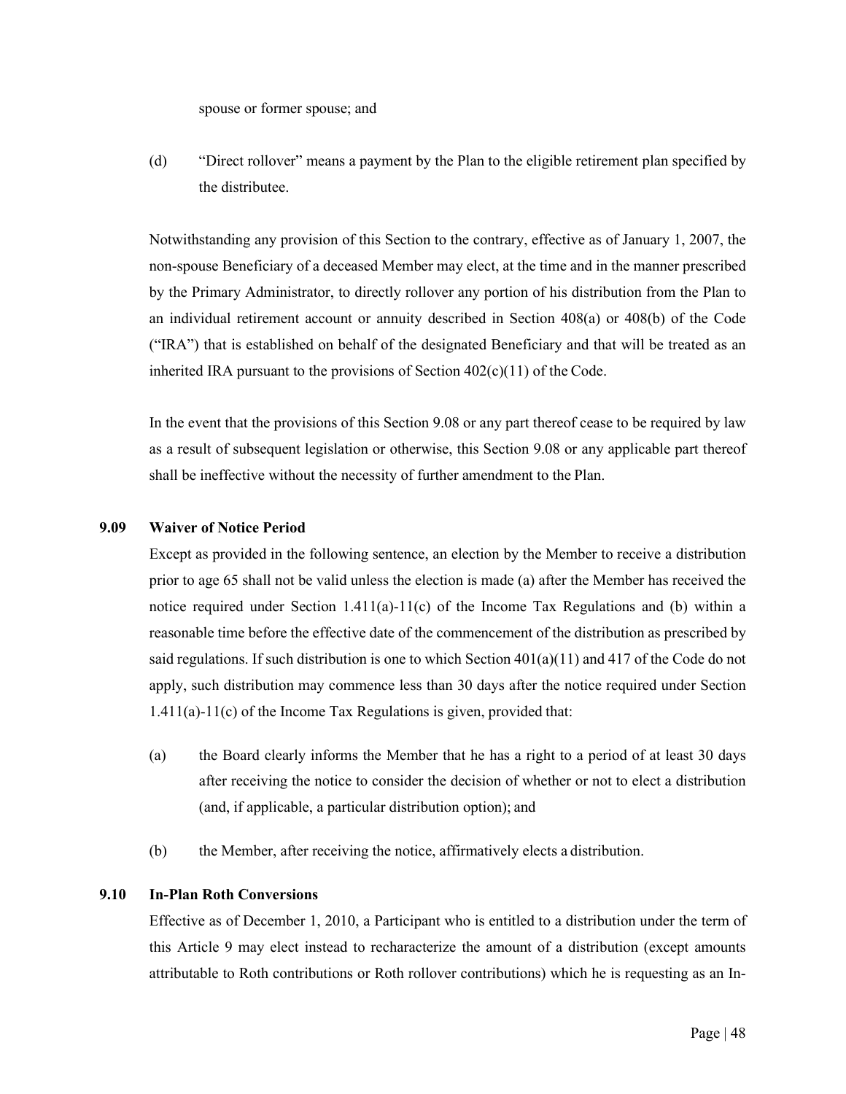spouse or former spouse; and

(d) "Direct rollover" means a payment by the Plan to the eligible retirement plan specified by the distributee.

Notwithstanding any provision of this Section to the contrary, effective as of January 1, 2007, the non-spouse Beneficiary of a deceased Member may elect, at the time and in the manner prescribed by the Primary Administrator, to directly rollover any portion of his distribution from the Plan to an individual retirement account or annuity described in Section 408(a) or 408(b) of the Code ("IRA") that is established on behalf of the designated Beneficiary and that will be treated as an inherited IRA pursuant to the provisions of Section 402(c)(11) of the Code.

In the event that the provisions of this Section 9.08 or any part thereof cease to be required by law as a result of subsequent legislation or otherwise, this Section 9.08 or any applicable part thereof shall be ineffective without the necessity of further amendment to the Plan.

# <span id="page-54-0"></span>**9.09 Waiver of Notice Period**

Except as provided in the following sentence, an election by the Member to receive a distribution prior to age 65 shall not be valid unless the election is made (a) after the Member has received the notice required under Section 1.411(a)-11(c) of the Income Tax Regulations and (b) within a reasonable time before the effective date of the commencement of the distribution as prescribed by said regulations. If such distribution is one to which Section  $401(a)(11)$  and  $417$  of the Code do not apply, such distribution may commence less than 30 days after the notice required under Section 1.411(a)-11(c) of the Income Tax Regulations is given, provided that:

- (a) the Board clearly informs the Member that he has a right to a period of at least 30 days after receiving the notice to consider the decision of whether or not to elect a distribution (and, if applicable, a particular distribution option); and
- (b) the Member, after receiving the notice, affirmatively elects a distribution.

# <span id="page-54-1"></span>**9.10 In-Plan Roth Conversions**

Effective as of December 1, 2010, a Participant who is entitled to a distribution under the term of this Article 9 may elect instead to recharacterize the amount of a distribution (except amounts attributable to Roth contributions or Roth rollover contributions) which he is requesting as an In-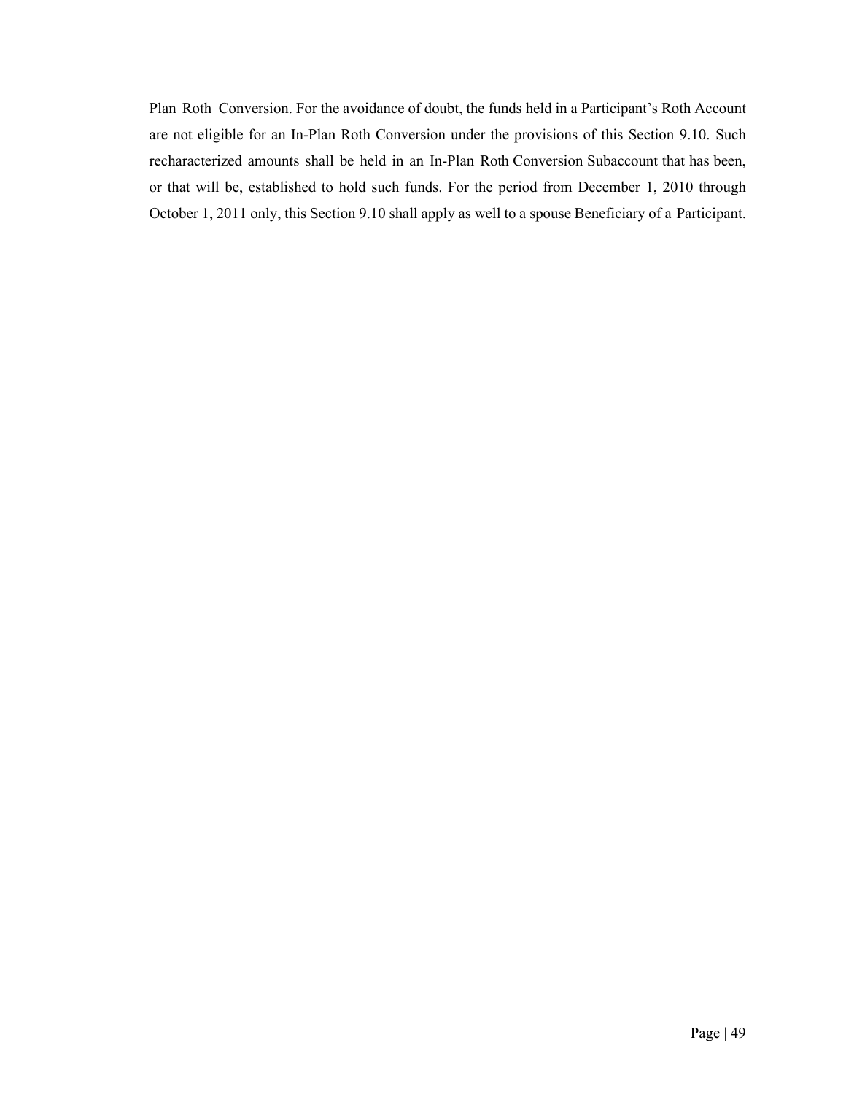Plan Roth Conversion. For the avoidance of doubt, the funds held in a Participant's Roth Account are not eligible for an In-Plan Roth Conversion under the provisions of this Section 9.10. Such recharacterized amounts shall be held in an In-Plan Roth Conversion Subaccount that has been, or that will be, established to hold such funds. For the period from December 1, 2010 through October 1, 2011 only, this Section 9.10 shall apply as well to a spouse Beneficiary of a Participant.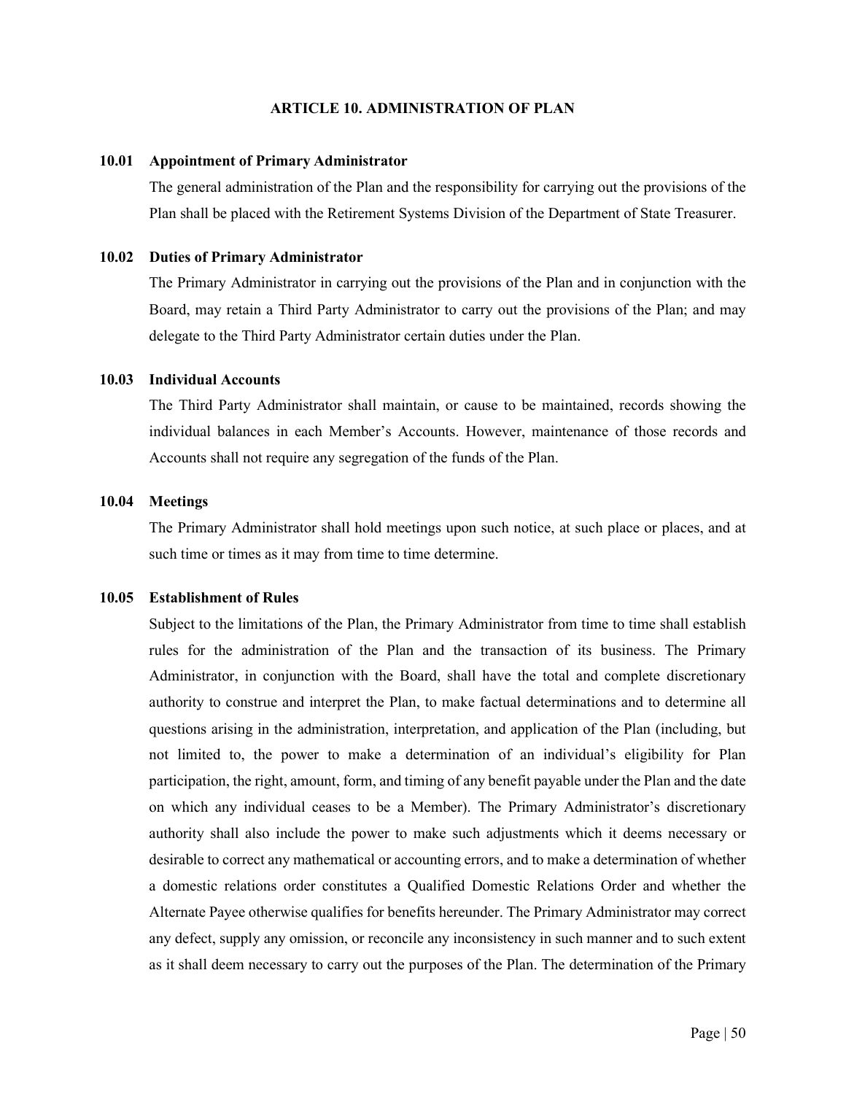#### **ARTICLE 10. ADMINISTRATION OF PLAN**

#### <span id="page-56-1"></span><span id="page-56-0"></span>**10.01 Appointment of Primary Administrator**

The general administration of the Plan and the responsibility for carrying out the provisions of the Plan shall be placed with the Retirement Systems Division of the Department of State Treasurer.

#### <span id="page-56-2"></span>**10.02 Duties of Primary Administrator**

The Primary Administrator in carrying out the provisions of the Plan and in conjunction with the Board, may retain a Third Party Administrator to carry out the provisions of the Plan; and may delegate to the Third Party Administrator certain duties under the Plan.

# <span id="page-56-3"></span>**10.03 Individual Accounts**

The Third Party Administrator shall maintain, or cause to be maintained, records showing the individual balances in each Member's Accounts. However, maintenance of those records and Accounts shall not require any segregation of the funds of the Plan.

# <span id="page-56-4"></span>**10.04 Meetings**

The Primary Administrator shall hold meetings upon such notice, at such place or places, and at such time or times as it may from time to time determine.

#### <span id="page-56-5"></span>**10.05 Establishment of Rules**

Subject to the limitations of the Plan, the Primary Administrator from time to time shall establish rules for the administration of the Plan and the transaction of its business. The Primary Administrator, in conjunction with the Board, shall have the total and complete discretionary authority to construe and interpret the Plan, to make factual determinations and to determine all questions arising in the administration, interpretation, and application of the Plan (including, but not limited to, the power to make a determination of an individual's eligibility for Plan participation, the right, amount, form, and timing of any benefit payable under the Plan and the date on which any individual ceases to be a Member). The Primary Administrator's discretionary authority shall also include the power to make such adjustments which it deems necessary or desirable to correct any mathematical or accounting errors, and to make a determination of whether a domestic relations order constitutes a Qualified Domestic Relations Order and whether the Alternate Payee otherwise qualifies for benefits hereunder. The Primary Administrator may correct any defect, supply any omission, or reconcile any inconsistency in such manner and to such extent as it shall deem necessary to carry out the purposes of the Plan. The determination of the Primary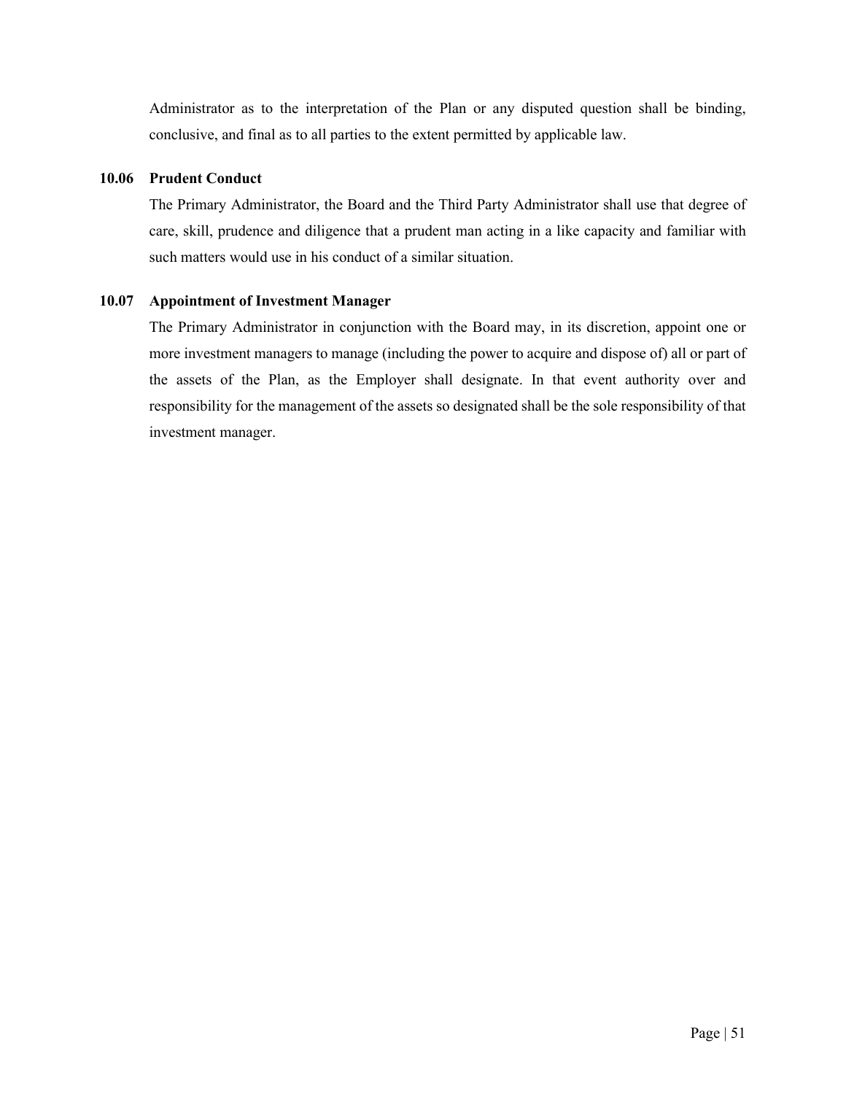Administrator as to the interpretation of the Plan or any disputed question shall be binding, conclusive, and final as to all parties to the extent permitted by applicable law.

# <span id="page-57-0"></span>**10.06 Prudent Conduct**

The Primary Administrator, the Board and the Third Party Administrator shall use that degree of care, skill, prudence and diligence that a prudent man acting in a like capacity and familiar with such matters would use in his conduct of a similar situation.

# <span id="page-57-1"></span>**10.07 Appointment of Investment Manager**

The Primary Administrator in conjunction with the Board may, in its discretion, appoint one or more investment managers to manage (including the power to acquire and dispose of) all or part of the assets of the Plan, as the Employer shall designate. In that event authority over and responsibility for the management of the assets so designated shall be the sole responsibility of that investment manager.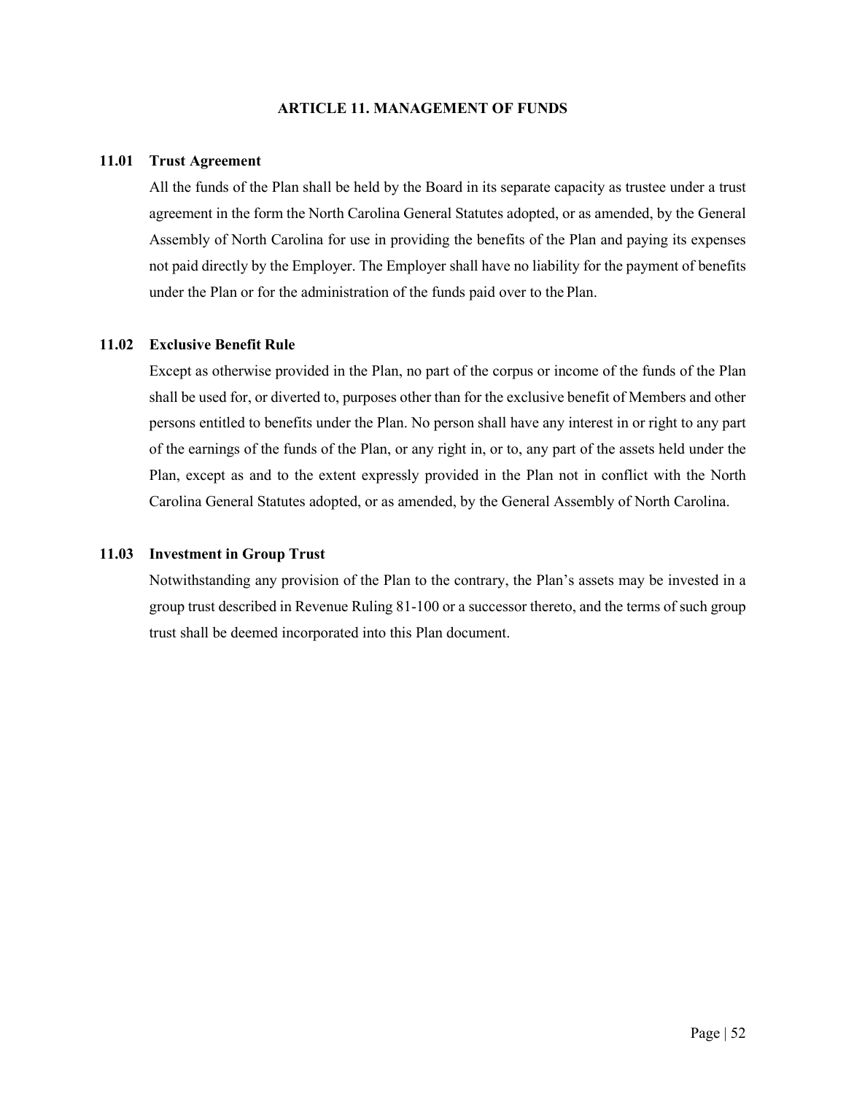## **ARTICLE 11. MANAGEMENT OF FUNDS**

### <span id="page-58-1"></span><span id="page-58-0"></span>**11.01 Trust Agreement**

All the funds of the Plan shall be held by the Board in its separate capacity as trustee under a trust agreement in the form the North Carolina General Statutes adopted, or as amended, by the General Assembly of North Carolina for use in providing the benefits of the Plan and paying its expenses not paid directly by the Employer. The Employer shall have no liability for the payment of benefits under the Plan or for the administration of the funds paid over to the Plan.

# <span id="page-58-2"></span>**11.02 Exclusive Benefit Rule**

Except as otherwise provided in the Plan, no part of the corpus or income of the funds of the Plan shall be used for, or diverted to, purposes other than for the exclusive benefit of Members and other persons entitled to benefits under the Plan. No person shall have any interest in or right to any part of the earnings of the funds of the Plan, or any right in, or to, any part of the assets held under the Plan, except as and to the extent expressly provided in the Plan not in conflict with the North Carolina General Statutes adopted, or as amended, by the General Assembly of North Carolina.

### <span id="page-58-3"></span>**11.03 Investment in Group Trust**

Notwithstanding any provision of the Plan to the contrary, the Plan's assets may be invested in a group trust described in Revenue Ruling 81-100 or a successor thereto, and the terms of such group trust shall be deemed incorporated into this Plan document.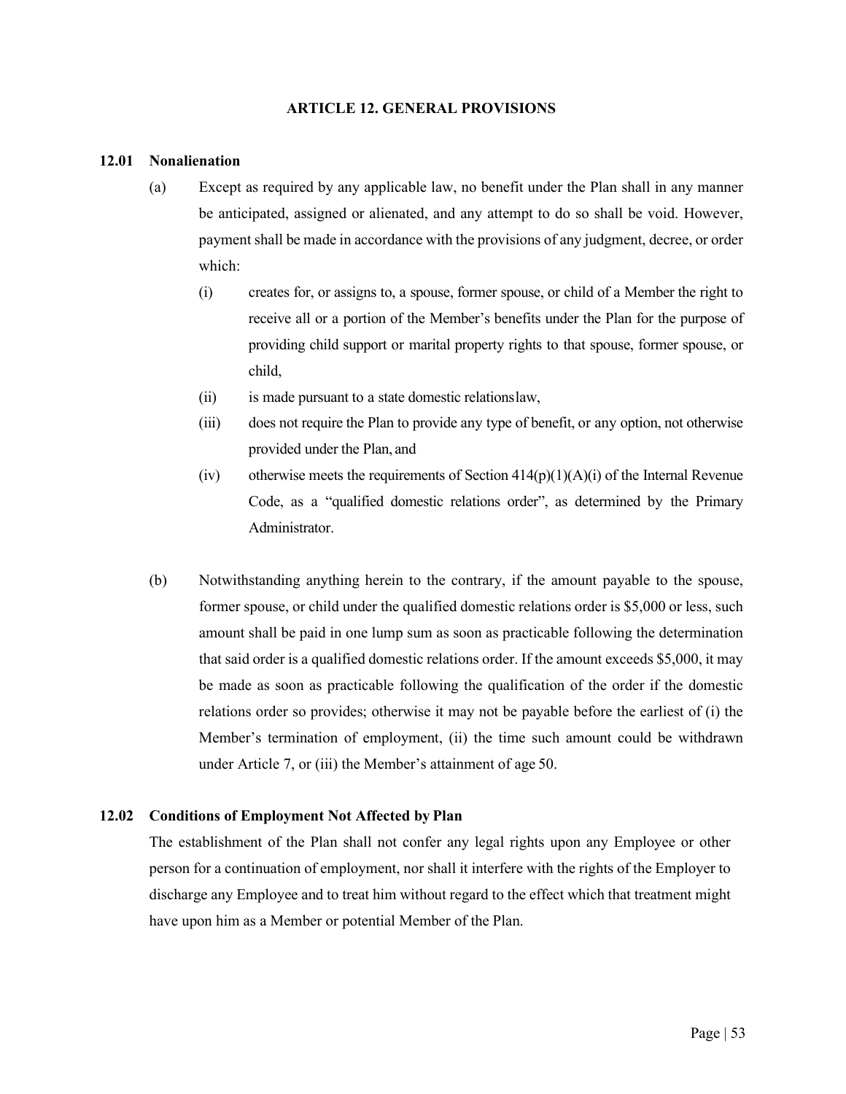#### **ARTICLE 12. GENERAL PROVISIONS**

#### <span id="page-59-1"></span><span id="page-59-0"></span>**12.01 Nonalienation**

- (a) Except as required by any applicable law, no benefit under the Plan shall in any manner be anticipated, assigned or alienated, and any attempt to do so shall be void. However, payment shall be made in accordance with the provisions of any judgment, decree, or order which:
	- (i) creates for, or assigns to, a spouse, former spouse, or child of a Member the right to receive all or a portion of the Member's benefits under the Plan for the purpose of providing child support or marital property rights to that spouse, former spouse, or child,
	- (ii) is made pursuant to a state domestic relationslaw,
	- (iii) does not require the Plan to provide any type of benefit, or any option, not otherwise provided under the Plan, and
	- (iv) otherwise meets the requirements of Section  $414(p)(1)(A)(i)$  of the Internal Revenue Code, as a "qualified domestic relations order", as determined by the Primary Administrator.
- (b) Notwithstanding anything herein to the contrary, if the amount payable to the spouse, former spouse, or child under the qualified domestic relations order is \$5,000 or less, such amount shall be paid in one lump sum as soon as practicable following the determination that said order is a qualified domestic relations order. If the amount exceeds \$5,000, it may be made as soon as practicable following the qualification of the order if the domestic relations order so provides; otherwise it may not be payable before the earliest of (i) the Member's termination of employment, (ii) the time such amount could be withdrawn under Article 7, or (iii) the Member's attainment of age 50.

# <span id="page-59-2"></span>**12.02 Conditions of Employment Not Affected by Plan**

The establishment of the Plan shall not confer any legal rights upon any Employee or other person for a continuation of employment, nor shall it interfere with the rights of the Employer to discharge any Employee and to treat him without regard to the effect which that treatment might have upon him as a Member or potential Member of the Plan.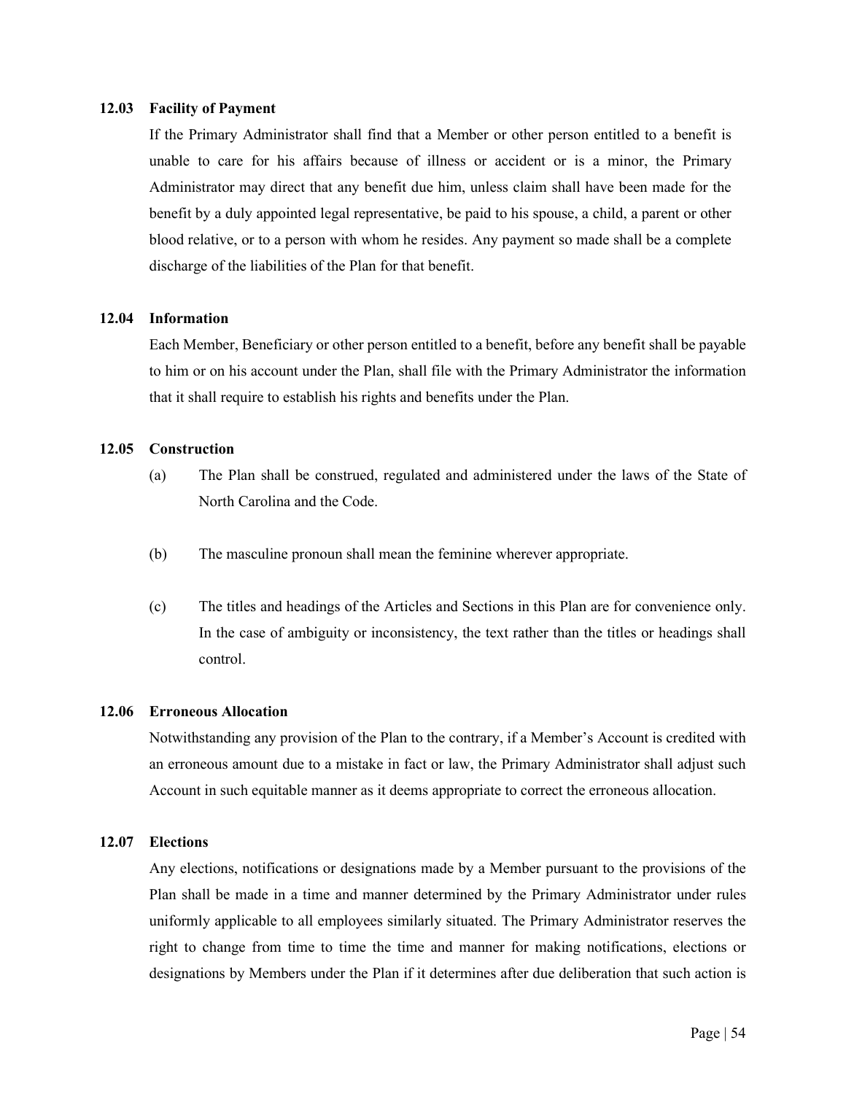#### <span id="page-60-0"></span>**12.03 Facility of Payment**

If the Primary Administrator shall find that a Member or other person entitled to a benefit is unable to care for his affairs because of illness or accident or is a minor, the Primary Administrator may direct that any benefit due him, unless claim shall have been made for the benefit by a duly appointed legal representative, be paid to his spouse, a child, a parent or other blood relative, or to a person with whom he resides. Any payment so made shall be a complete discharge of the liabilities of the Plan for that benefit.

# <span id="page-60-1"></span>**12.04 Information**

Each Member, Beneficiary or other person entitled to a benefit, before any benefit shall be payable to him or on his account under the Plan, shall file with the Primary Administrator the information that it shall require to establish his rights and benefits under the Plan.

# <span id="page-60-2"></span>**12.05 Construction**

- (a) The Plan shall be construed, regulated and administered under the laws of the State of North Carolina and the Code.
- (b) The masculine pronoun shall mean the feminine wherever appropriate.
- (c) The titles and headings of the Articles and Sections in this Plan are for convenience only. In the case of ambiguity or inconsistency, the text rather than the titles or headings shall control.

#### <span id="page-60-3"></span>**12.06 Erroneous Allocation**

Notwithstanding any provision of the Plan to the contrary, if a Member's Account is credited with an erroneous amount due to a mistake in fact or law, the Primary Administrator shall adjust such Account in such equitable manner as it deems appropriate to correct the erroneous allocation.

#### <span id="page-60-4"></span>**12.07 Elections**

Any elections, notifications or designations made by a Member pursuant to the provisions of the Plan shall be made in a time and manner determined by the Primary Administrator under rules uniformly applicable to all employees similarly situated. The Primary Administrator reserves the right to change from time to time the time and manner for making notifications, elections or designations by Members under the Plan if it determines after due deliberation that such action is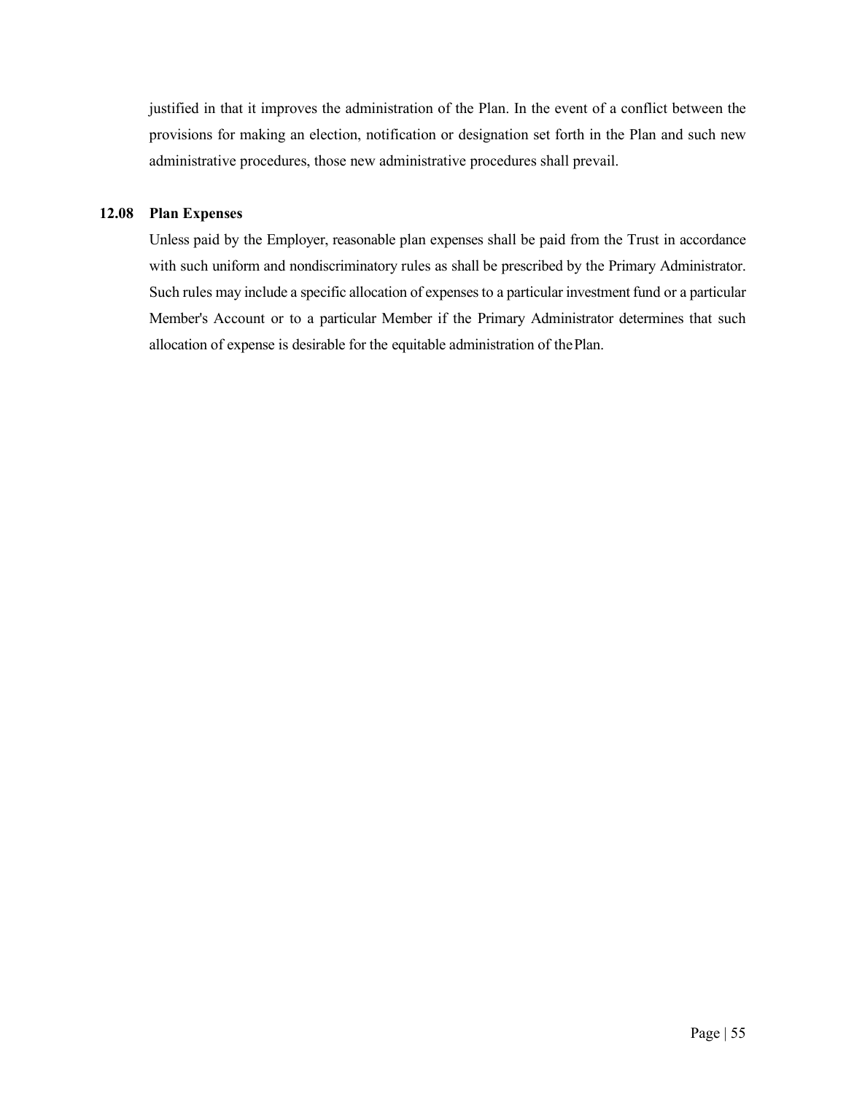justified in that it improves the administration of the Plan. In the event of a conflict between the provisions for making an election, notification or designation set forth in the Plan and such new administrative procedures, those new administrative procedures shall prevail.

# <span id="page-61-0"></span>**12.08 Plan Expenses**

Unless paid by the Employer, reasonable plan expenses shall be paid from the Trust in accordance with such uniform and nondiscriminatory rules as shall be prescribed by the Primary Administrator. Such rules may include a specific allocation of expenses to a particular investment fund or a particular Member's Account or to a particular Member if the Primary Administrator determines that such allocation of expense is desirable for the equitable administration of thePlan.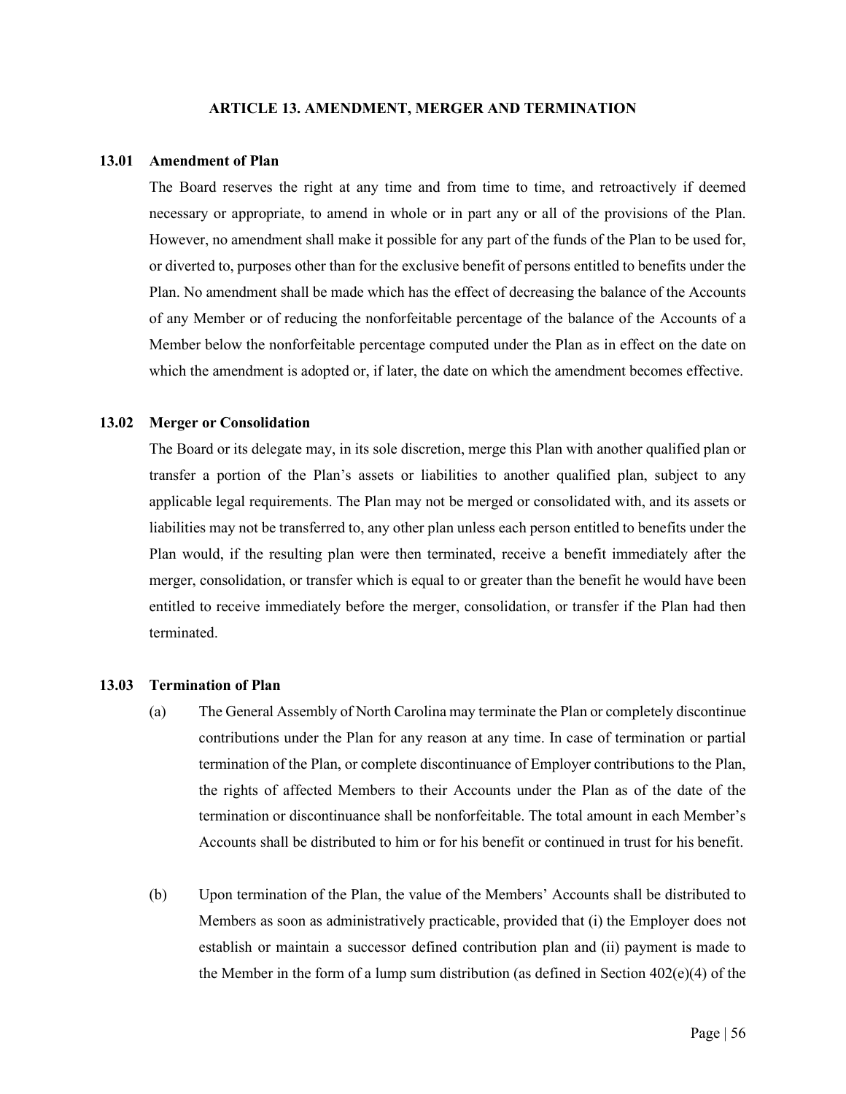#### **ARTICLE 13. AMENDMENT, MERGER AND TERMINATION**

#### <span id="page-62-1"></span><span id="page-62-0"></span>**13.01 Amendment of Plan**

The Board reserves the right at any time and from time to time, and retroactively if deemed necessary or appropriate, to amend in whole or in part any or all of the provisions of the Plan. However, no amendment shall make it possible for any part of the funds of the Plan to be used for, or diverted to, purposes other than for the exclusive benefit of persons entitled to benefits under the Plan. No amendment shall be made which has the effect of decreasing the balance of the Accounts of any Member or of reducing the nonforfeitable percentage of the balance of the Accounts of a Member below the nonforfeitable percentage computed under the Plan as in effect on the date on which the amendment is adopted or, if later, the date on which the amendment becomes effective.

#### <span id="page-62-2"></span>**13.02 Merger or Consolidation**

The Board or its delegate may, in its sole discretion, merge this Plan with another qualified plan or transfer a portion of the Plan's assets or liabilities to another qualified plan, subject to any applicable legal requirements. The Plan may not be merged or consolidated with, and its assets or liabilities may not be transferred to, any other plan unless each person entitled to benefits under the Plan would, if the resulting plan were then terminated, receive a benefit immediately after the merger, consolidation, or transfer which is equal to or greater than the benefit he would have been entitled to receive immediately before the merger, consolidation, or transfer if the Plan had then terminated.

## <span id="page-62-3"></span>**13.03 Termination of Plan**

- (a) The General Assembly of North Carolina may terminate the Plan or completely discontinue contributions under the Plan for any reason at any time. In case of termination or partial termination of the Plan, or complete discontinuance of Employer contributions to the Plan, the rights of affected Members to their Accounts under the Plan as of the date of the termination or discontinuance shall be nonforfeitable. The total amount in each Member's Accounts shall be distributed to him or for his benefit or continued in trust for his benefit.
- (b) Upon termination of the Plan, the value of the Members' Accounts shall be distributed to Members as soon as administratively practicable, provided that (i) the Employer does not establish or maintain a successor defined contribution plan and (ii) payment is made to the Member in the form of a lump sum distribution (as defined in Section  $402(e)(4)$  of the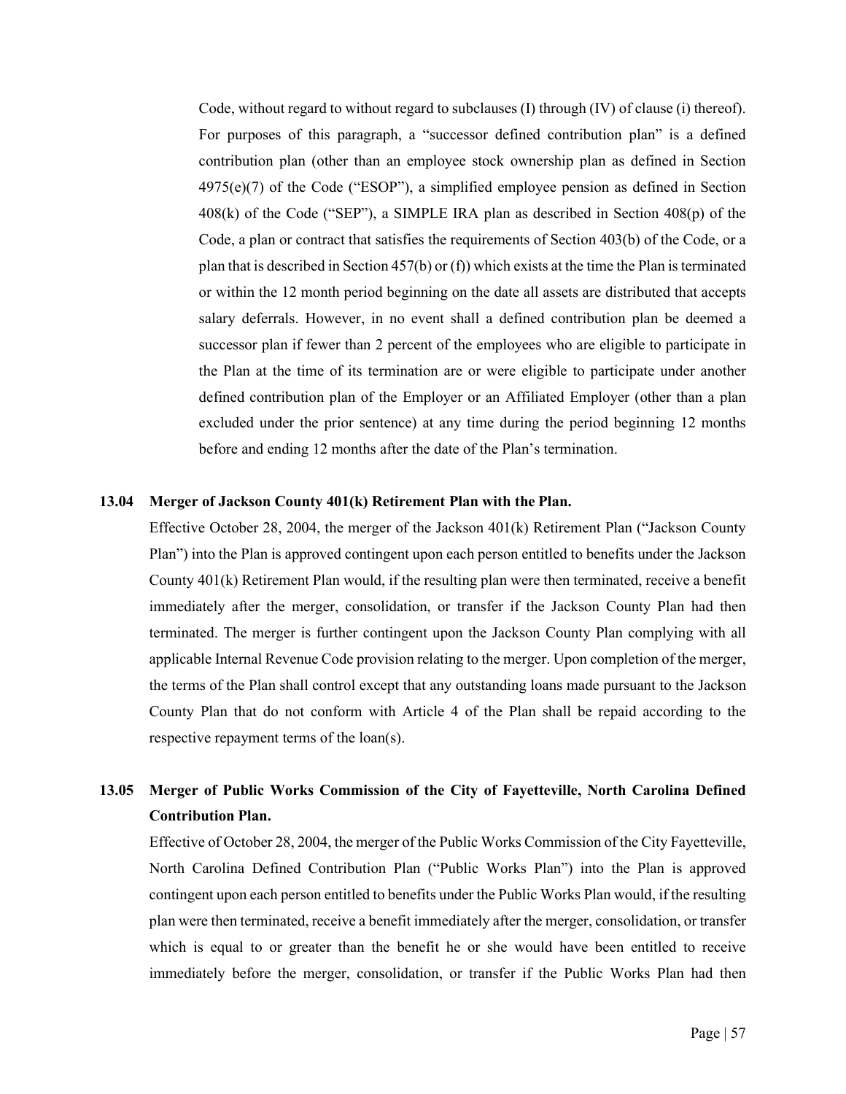Code, without regard to without regard to subclauses  $(I)$  through  $(IV)$  of clause  $(i)$  thereof). For purposes of this paragraph, a "successor defined contribution plan" is a defined contribution plan (other than an employee stock ownership plan as defined in Section  $4975(e)(7)$  of the Code ("ESOP"), a simplified employee pension as defined in Section 408(k) of the Code ("SEP"), a SIMPLE IRA plan as described in Section 408(p) of the Code, a plan or contract that satisfies the requirements of Section 403(b) of the Code, or a plan that is described in Section  $457(b)$  or (f)) which exists at the time the Plan is terminated or within the 12 month period beginning on the date all assets are distributed that accepts salary deferrals. However, in no event shall a defined contribution plan be deemed a successor plan if fewer than 2 percent of the employees who are eligible to participate in the Plan at the time of its termination are or were eligible to participate under another defined contribution plan of the Employer or an Affiliated Employer (other than a plan excluded under the prior sentence) at any time during the period beginning 12 months before and ending 12 months after the date of the Plan's termination.

#### <span id="page-63-0"></span>**13.04 Merger of Jackson County 401(k) Retirement Plan with the Plan.**

Effective October 28, 2004, the merger of the Jackson 401(k) Retirement Plan ("Jackson County Plan") into the Plan is approved contingent upon each person entitled to benefits under the Jackson County 401(k) Retirement Plan would, if the resulting plan were then terminated, receive a benefit immediately after the merger, consolidation, or transfer if the Jackson County Plan had then terminated. The merger is further contingent upon the Jackson County Plan complying with all applicable Internal Revenue Code provision relating to the merger. Upon completion of the merger, the terms of the Plan shall control except that any outstanding loans made pursuant to the Jackson County Plan that do not conform with Article 4 of the Plan shall be repaid according to the respective repayment terms of the loan(s).

# <span id="page-63-1"></span>**13.05 Merger of Public Works Commission of the City of Fayetteville, North Carolina Defined Contribution Plan.**

Effective of October 28, 2004, the merger of the Public Works Commission of the City Fayetteville, North Carolina Defined Contribution Plan ("Public Works Plan") into the Plan is approved contingent upon each person entitled to benefits under the Public Works Plan would, if the resulting plan were then terminated, receive a benefit immediately after the merger, consolidation, or transfer which is equal to or greater than the benefit he or she would have been entitled to receive immediately before the merger, consolidation, or transfer if the Public Works Plan had then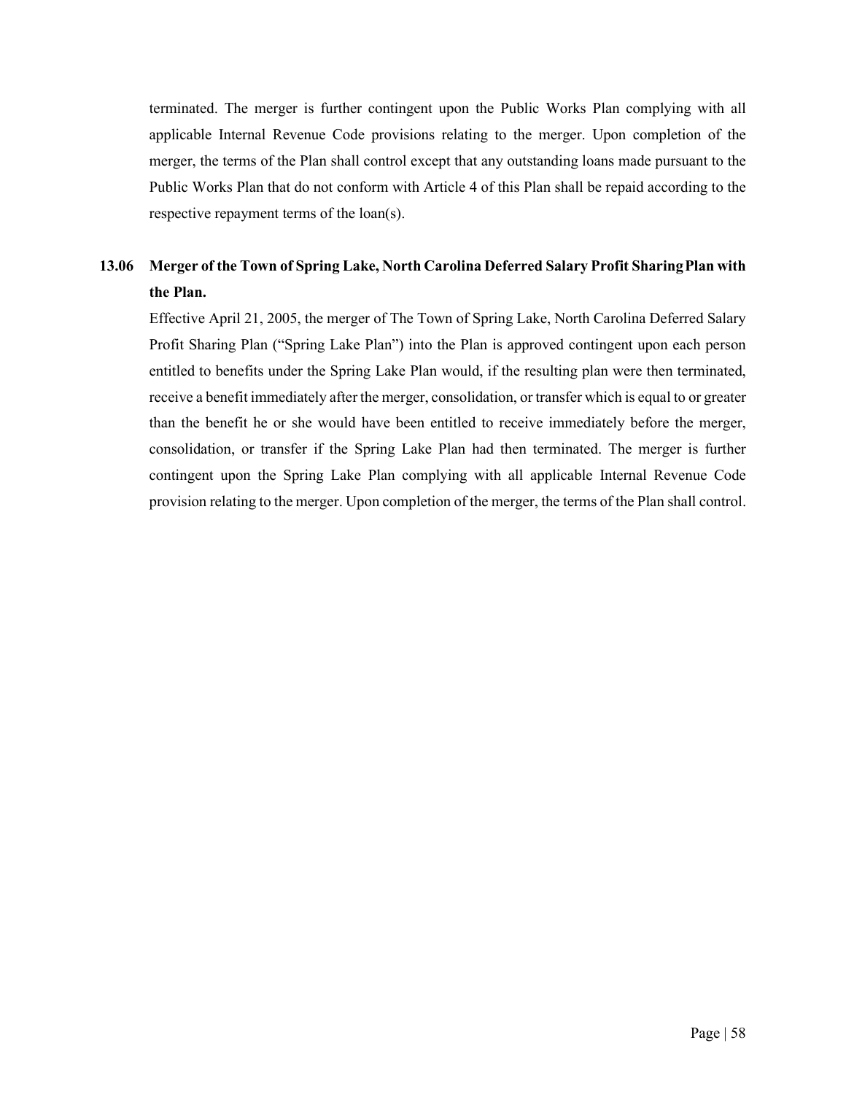terminated. The merger is further contingent upon the Public Works Plan complying with all applicable Internal Revenue Code provisions relating to the merger. Upon completion of the merger, the terms of the Plan shall control except that any outstanding loans made pursuant to the Public Works Plan that do not conform with Article 4 of this Plan shall be repaid according to the respective repayment terms of the loan(s).

# <span id="page-64-0"></span>**13.06 Merger of the Town of Spring Lake, North Carolina Deferred Salary Profit SharingPlan with the Plan.**

Effective April 21, 2005, the merger of The Town of Spring Lake, North Carolina Deferred Salary Profit Sharing Plan ("Spring Lake Plan") into the Plan is approved contingent upon each person entitled to benefits under the Spring Lake Plan would, if the resulting plan were then terminated, receive a benefit immediately after the merger, consolidation, or transfer which is equal to or greater than the benefit he or she would have been entitled to receive immediately before the merger, consolidation, or transfer if the Spring Lake Plan had then terminated. The merger is further contingent upon the Spring Lake Plan complying with all applicable Internal Revenue Code provision relating to the merger. Upon completion of the merger, the terms of the Plan shall control.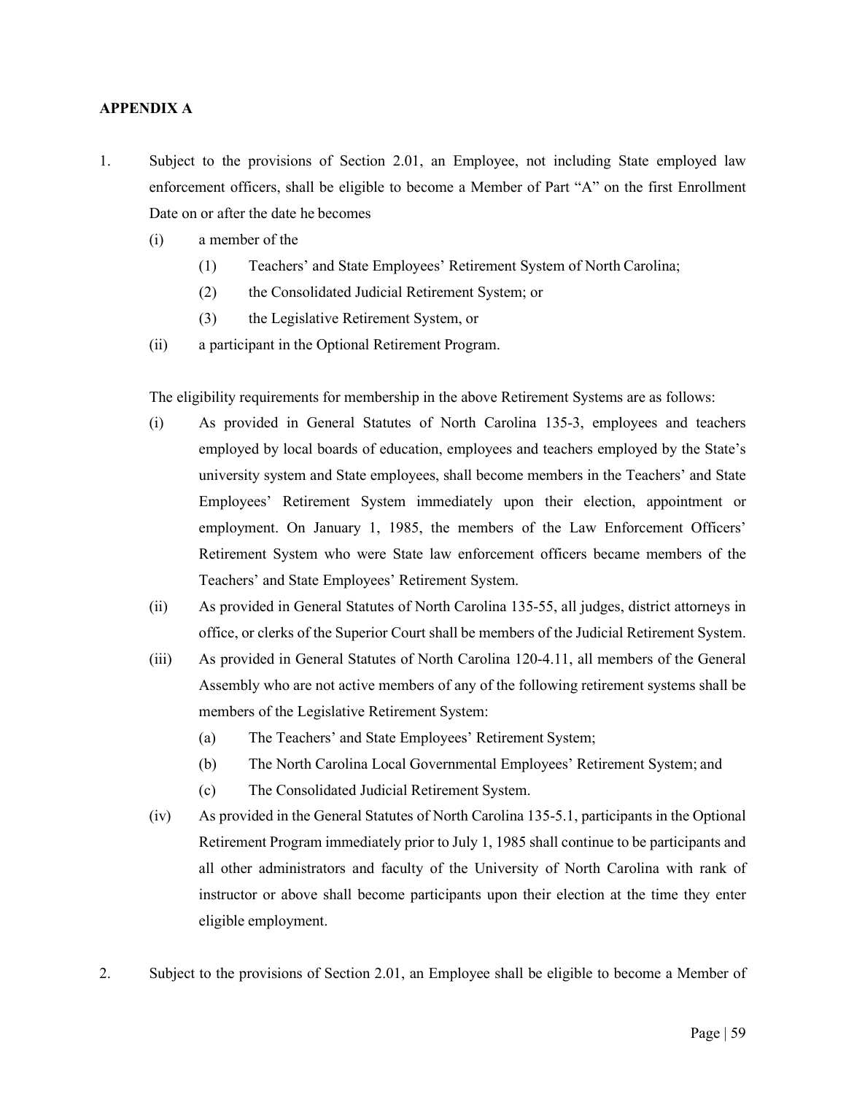# <span id="page-65-0"></span>**APPENDIX A**

- 1. Subject to the provisions of Section 2.01, an Employee, not including State employed law enforcement officers, shall be eligible to become a Member of Part "A" on the first Enrollment Date on or after the date he becomes
	- (i) a member of the
		- (1) Teachers' and State Employees' Retirement System of North Carolina;
		- (2) the Consolidated Judicial Retirement System; or
		- (3) the Legislative Retirement System, or
	- (ii) a participant in the Optional Retirement Program.

The eligibility requirements for membership in the above Retirement Systems are as follows:

- (i) As provided in General Statutes of North Carolina 135-3, employees and teachers employed by local boards of education, employees and teachers employed by the State's university system and State employees, shall become members in the Teachers' and State Employees' Retirement System immediately upon their election, appointment or employment. On January 1, 1985, the members of the Law Enforcement Officers' Retirement System who were State law enforcement officers became members of the Teachers' and State Employees' Retirement System.
- (ii) As provided in General Statutes of North Carolina 135-55, all judges, district attorneys in office, or clerks of the Superior Court shall be members of the Judicial Retirement System.
- (iii) As provided in General Statutes of North Carolina 120-4.11, all members of the General Assembly who are not active members of any of the following retirement systems shall be members of the Legislative Retirement System:
	- (a) The Teachers' and State Employees' Retirement System;
	- (b) The North Carolina Local Governmental Employees' Retirement System; and
	- (c) The Consolidated Judicial Retirement System.
- (iv) As provided in the General Statutes of North Carolina 135-5.1, participants in the Optional Retirement Program immediately prior to July 1, 1985 shall continue to be participants and all other administrators and faculty of the University of North Carolina with rank of instructor or above shall become participants upon their election at the time they enter eligible employment.
- 2. Subject to the provisions of Section 2.01, an Employee shall be eligible to become a Member of